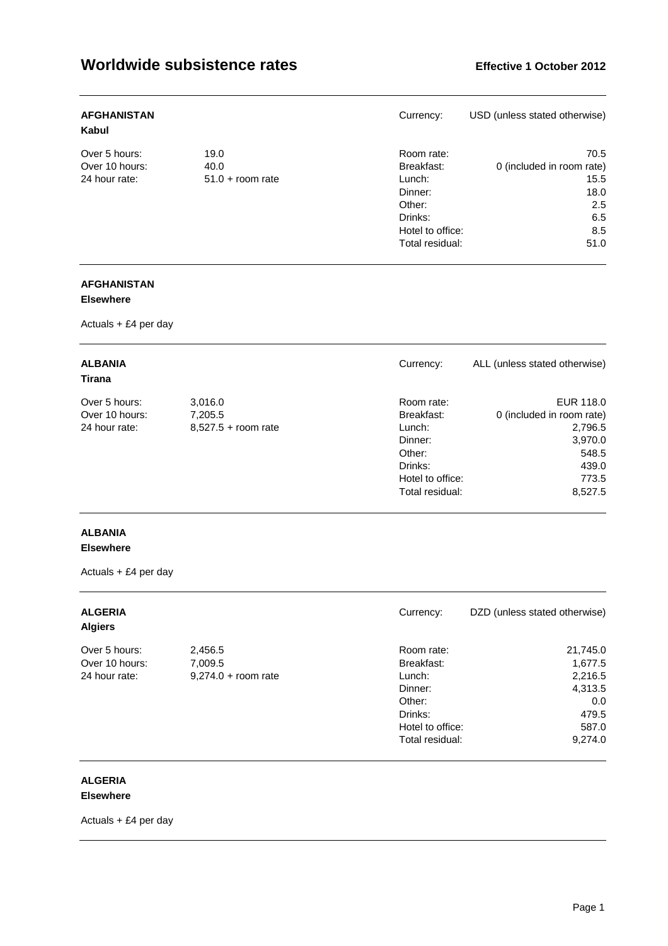| <b>AFGHANISTAN</b><br>Kabul |                    | Currency:        | USD (unless stated otherwise) |
|-----------------------------|--------------------|------------------|-------------------------------|
| Over 5 hours:               | 19.0               | Room rate:       | 70.5                          |
| Over 10 hours:              | 40.0               | Breakfast:       | 0 (included in room rate)     |
| 24 hour rate:               | $51.0 + room$ rate | Lunch:           | 15.5                          |
|                             |                    | Dinner:          | 18.0                          |
|                             |                    | Other:           | 2.5                           |
|                             |                    | Drinks:          | 6.5                           |
|                             |                    | Hotel to office: | 8.5                           |
|                             |                    | Total residual:  | 51.0                          |

### **AFGHANISTAN**

### **Elsewhere**

Actuals + £4 per day

| <b>ALBANIA</b><br>Currency:<br>Tirana |                           |
|---------------------------------------|---------------------------|
| Over 5 hours:                         | EUR 118.0                 |
| 3,016.0                               | Room rate:                |
| Over 10 hours:                        | 0 (included in room rate) |
| Breakfast:                            | 2,796.5                   |
| 7,205.5                               | 3,970.0                   |
| 24 hour rate:                         | 548.5                     |
| $8,527.5 +$ room rate                 | 439.0                     |
| Lunch:                                | 773.5                     |
| Dinner:                               | Hotel to office:          |
| Other:                                | 8,527.5                   |
| Drinks:                               | Total residual:           |

### **ALBANIA**

### **Elsewhere**

Actuals + £4 per day

| <b>ALGERIA</b><br><b>Algiers</b> |                       | Currency:        | DZD (unless stated otherwise) |
|----------------------------------|-----------------------|------------------|-------------------------------|
| Over 5 hours:                    | 2,456.5               | Room rate:       | 21,745.0                      |
| Over 10 hours:                   | 7,009.5               | Breakfast:       | 1,677.5                       |
| 24 hour rate:                    | $9,274.0 +$ room rate | Lunch:           | 2,216.5                       |
|                                  |                       | Dinner:          | 4,313.5                       |
|                                  |                       | Other:           | 0.0                           |
|                                  |                       | Drinks:          | 479.5                         |
|                                  |                       | Hotel to office: | 587.0                         |
|                                  |                       | Total residual:  | 9,274.0                       |

### **ALGERIA**

### **Elsewhere**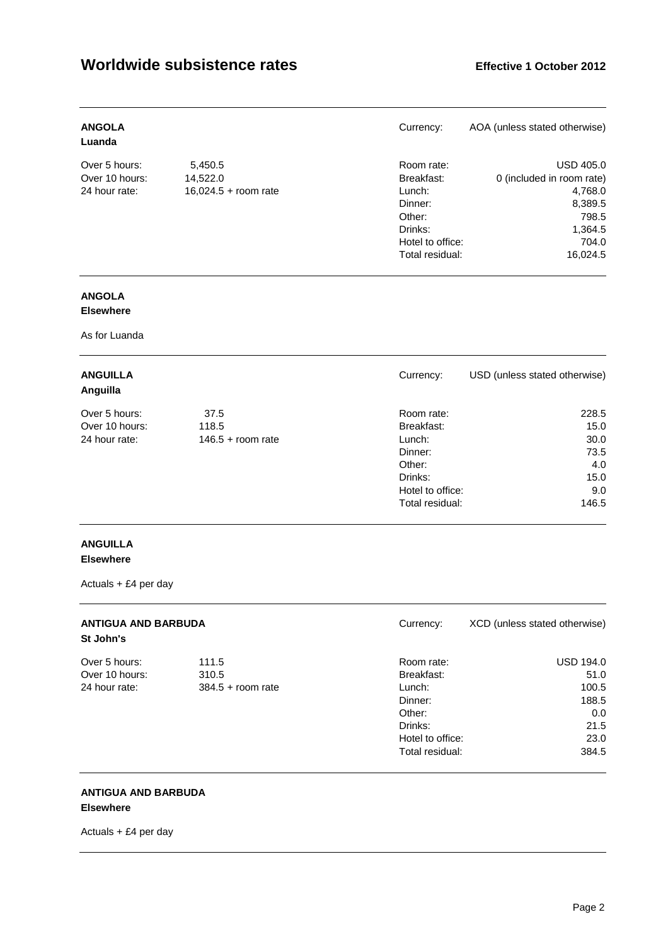| <b>ANGOLA</b><br>Luanda |                      | Currency:        | AOA (unless stated otherwise) |
|-------------------------|----------------------|------------------|-------------------------------|
| Over 5 hours:           | 5,450.5              | Room rate:       | <b>USD 405.0</b>              |
| Over 10 hours:          | 14,522.0             | Breakfast:       | 0 (included in room rate)     |
| 24 hour rate:           | 16,024.5 + room rate | Lunch:           | 4,768.0                       |
|                         |                      | Dinner:          | 8,389.5                       |
|                         |                      | Other:           | 798.5                         |
|                         |                      | Drinks:          | 1,364.5                       |
|                         |                      | Hotel to office: | 704.0                         |
|                         |                      | Total residual:  | 16.024.5                      |

# **ANGOLA**

### **Elsewhere**

As for Luanda

| <b>ANGUILLA</b><br>Anguilla |                     | Currency:        | USD (unless stated otherwise) |
|-----------------------------|---------------------|------------------|-------------------------------|
| Over 5 hours:               | 37.5                | Room rate:       | 228.5                         |
| Over 10 hours:              | 118.5               | Breakfast:       | 15.0                          |
| 24 hour rate:               | $146.5 +$ room rate | Lunch:           | 30.0                          |
|                             |                     | Dinner:          | 73.5                          |
|                             |                     | Other:           | 4.0                           |
|                             |                     | Drinks:          | 15.0                          |
|                             |                     | Hotel to office: | 9.0                           |
|                             |                     | Total residual:  | 146.5                         |

### **ANGUILLA Elsewhere**

Actuals + £4 per day

| <b>ANTIGUA AND BARBUDA</b><br>St John's |                     | Currency:        | XCD (unless stated otherwise) |
|-----------------------------------------|---------------------|------------------|-------------------------------|
| Over 5 hours:                           | 111.5               | Room rate:       | <b>USD 194.0</b>              |
| Over 10 hours:                          | 310.5               | Breakfast:       | 51.0                          |
| 24 hour rate:                           | $384.5 +$ room rate | Lunch:           | 100.5                         |
|                                         |                     | Dinner:          | 188.5                         |
|                                         |                     | Other:           | 0.0                           |
|                                         |                     | Drinks:          | 21.5                          |
|                                         |                     | Hotel to office: | 23.0                          |
|                                         |                     | Total residual:  | 384.5                         |

#### **ANTIGUA AND BARBUDA Elsewhere**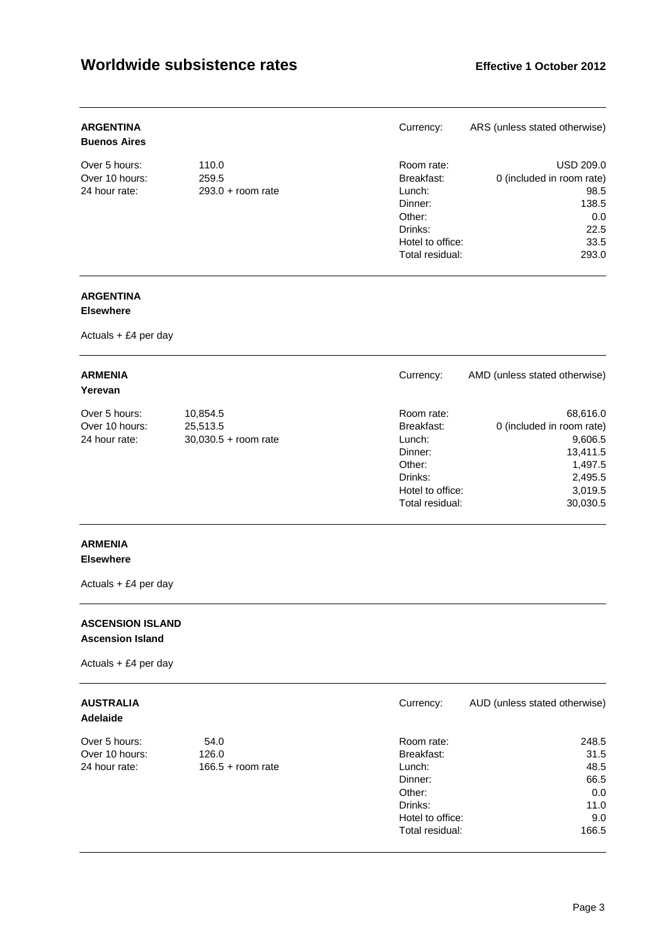| <b>ARGENTINA</b><br><b>Buenos Aires</b> |                     | Currency:        | ARS (unless stated otherwise) |
|-----------------------------------------|---------------------|------------------|-------------------------------|
| Over 5 hours:                           | 110.0               | Room rate:       | USD 209.0                     |
| Over 10 hours:                          | 259.5               | Breakfast:       | 0 (included in room rate)     |
| 24 hour rate:                           | $293.0 +$ room rate | Lunch:           | 98.5                          |
|                                         |                     | Dinner:          | 138.5                         |
|                                         |                     | Other:           | 0.0                           |
|                                         |                     | Drinks:          | 22.5                          |
|                                         |                     | Hotel to office: | 33.5                          |
|                                         |                     | Total residual:  | 293.0                         |

### **ARGENTINA**

### **Elsewhere**

Actuals + £4 per day

| <b>ARMENIA</b><br>Yerevan |                        | Currency:        | AMD (unless stated otherwise) |
|---------------------------|------------------------|------------------|-------------------------------|
| Over 5 hours:             | 10,854.5               | Room rate:       | 68,616.0                      |
| Over 10 hours:            | 25,513.5               | Breakfast:       | 0 (included in room rate)     |
| 24 hour rate:             | $30,030.5 +$ room rate | Lunch:           | 9,606.5                       |
|                           |                        | Dinner:          | 13,411.5                      |
|                           |                        | Other:           | 1,497.5                       |
|                           |                        | Drinks:          | 2,495.5                       |
|                           |                        | Hotel to office: | 3,019.5                       |
|                           |                        | Total residual:  | 30,030.5                      |

### **ARMENIA**

### **Elsewhere**

Actuals + £4 per day

### **ASCENSION ISLAND Ascension Island**

Actuals + £4 per day

# **Adelaide**

| Over 5 hours:  |
|----------------|
| Over 10 hours: |
| 24 hour rate:  |

| <b>AUSTRALIA</b><br>Adelaide |                     | Currency:        | AUD (unless stated otherwise) |
|------------------------------|---------------------|------------------|-------------------------------|
| Over 5 hours:                | 54.0                | Room rate:       | 248.5                         |
| Over 10 hours:               | 126.0               | Breakfast:       | 31.5                          |
| 24 hour rate:                | $166.5 +$ room rate | Lunch:           | 48.5                          |
|                              |                     | Dinner:          | 66.5                          |
|                              |                     | Other:           | 0.0                           |
|                              |                     | Drinks:          | 11.0                          |
|                              |                     | Hotel to office: | 9.0                           |

Total residual: 166.5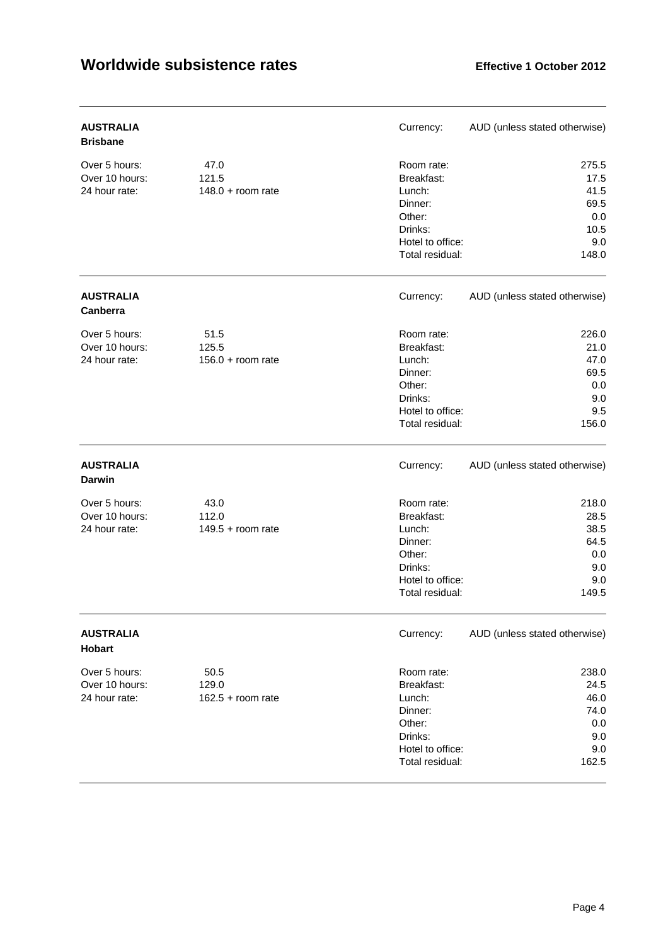| <b>AUSTRALIA</b><br><b>Brisbane</b>              |                                      | Currency:                                                                                                 | AUD (unless stated otherwise)                                |
|--------------------------------------------------|--------------------------------------|-----------------------------------------------------------------------------------------------------------|--------------------------------------------------------------|
| Over 5 hours:<br>Over 10 hours:<br>24 hour rate: | 47.0<br>121.5<br>$148.0 + room rate$ | Room rate:<br>Breakfast:<br>Lunch:<br>Dinner:<br>Other:<br>Drinks:<br>Hotel to office:<br>Total residual: | 275.5<br>17.5<br>41.5<br>69.5<br>0.0<br>10.5<br>9.0<br>148.0 |
| <b>AUSTRALIA</b><br>Canberra                     |                                      | Currency:                                                                                                 | AUD (unless stated otherwise)                                |
| Over 5 hours:<br>Over 10 hours:<br>24 hour rate: | 51.5<br>125.5<br>$156.0 + room$ rate | Room rate:<br>Breakfast:<br>Lunch:<br>Dinner:<br>Other:<br>Drinks:<br>Hotel to office:<br>Total residual: | 226.0<br>21.0<br>47.0<br>69.5<br>0.0<br>9.0<br>9.5<br>156.0  |
| <b>AUSTRALIA</b><br><b>Darwin</b>                |                                      | Currency:                                                                                                 | AUD (unless stated otherwise)                                |
| Over 5 hours:<br>Over 10 hours:<br>24 hour rate: | 43.0<br>112.0<br>$149.5 +$ room rate | Room rate:<br>Breakfast:<br>Lunch:<br>Dinner:<br>Other:<br>Drinks:<br>Hotel to office:<br>Total residual: | 218.0<br>28.5<br>38.5<br>64.5<br>0.0<br>9.0<br>9.0<br>149.5  |
| <b>AUSTRALIA</b><br>Hobart                       |                                      | Currency:                                                                                                 | AUD (unless stated otherwise)                                |
| Over 5 hours:<br>Over 10 hours:<br>24 hour rate: | 50.5<br>129.0<br>$162.5 + room rate$ | Room rate:<br>Breakfast:<br>Lunch:<br>Dinner:<br>Other:<br>Drinks:<br>Hotel to office:<br>Total residual: | 238.0<br>24.5<br>46.0<br>74.0<br>0.0<br>9.0<br>9.0<br>162.5  |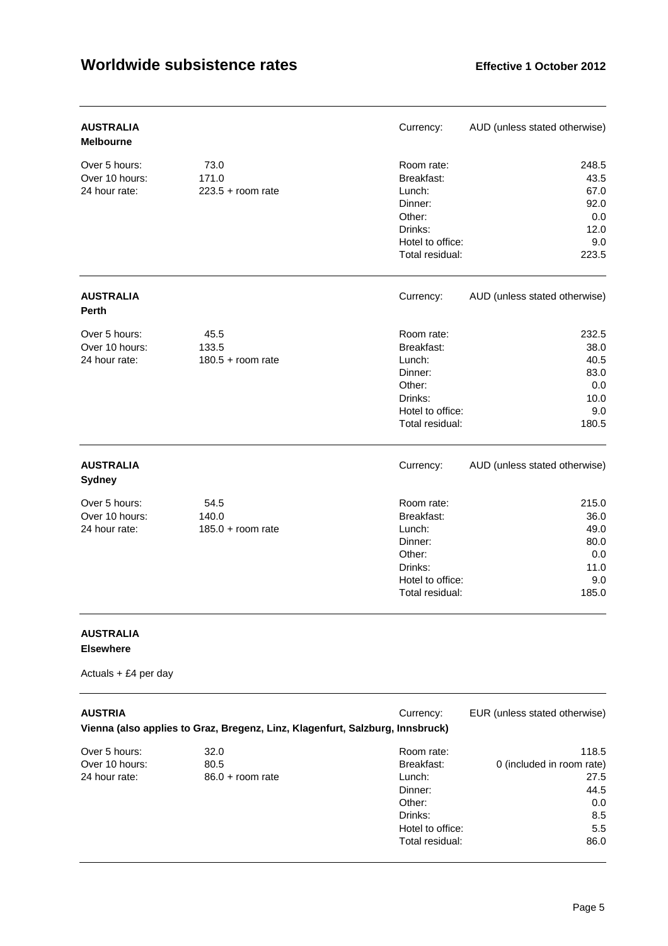| <b>AUSTRALIA</b><br><b>Melbourne</b>             |                                      | Currency:                                                                                                 | AUD (unless stated otherwise)                                |
|--------------------------------------------------|--------------------------------------|-----------------------------------------------------------------------------------------------------------|--------------------------------------------------------------|
| Over 5 hours:<br>Over 10 hours:<br>24 hour rate: | 73.0<br>171.0<br>$223.5 + room rate$ | Room rate:<br>Breakfast:<br>Lunch:<br>Dinner:<br>Other:<br>Drinks:<br>Hotel to office:<br>Total residual: | 248.5<br>43.5<br>67.0<br>92.0<br>0.0<br>12.0<br>9.0<br>223.5 |
| <b>AUSTRALIA</b><br><b>Perth</b>                 |                                      | Currency:                                                                                                 | AUD (unless stated otherwise)                                |
| Over 5 hours:<br>Over 10 hours:<br>24 hour rate: | 45.5<br>133.5<br>$180.5 +$ room rate | Room rate:<br>Breakfast:<br>Lunch:<br>Dinner:<br>Other:<br>Drinks:<br>Hotel to office:<br>Total residual: | 232.5<br>38.0<br>40.5<br>83.0<br>0.0<br>10.0<br>9.0<br>180.5 |
| <b>AUSTRALIA</b><br><b>Sydney</b>                |                                      | Currency:                                                                                                 | AUD (unless stated otherwise)                                |
| Over 5 hours:<br>Over 10 hours:<br>24 hour rate: | 54.5<br>140.0<br>$185.0 + room rate$ | Room rate:<br>Breakfast:<br>Lunch:<br>Dinner:<br>Other:<br>Drinks:<br>Hotel to office:<br>Total residual: | 215.0<br>36.0<br>49.0<br>80.0<br>0.0<br>11.0<br>9.0<br>185.0 |

### **AUSTRALIA Elsewhere**

| <b>AUSTRIA</b> | Vienna (also applies to Graz, Bregenz, Linz, Klagenfurt, Salzburg, Innsbruck) | Currency:        | EUR (unless stated otherwise) |
|----------------|-------------------------------------------------------------------------------|------------------|-------------------------------|
| Over 5 hours:  | 32.0                                                                          | Room rate:       | 118.5                         |
| Over 10 hours: | 80.5                                                                          | Breakfast:       | 0 (included in room rate)     |
| 24 hour rate:  | $86.0 +$ room rate                                                            | Lunch:           | 27.5                          |
|                |                                                                               | Dinner:          | 44.5                          |
|                |                                                                               | Other:           | 0.0                           |
|                |                                                                               | Drinks:          | 8.5                           |
|                |                                                                               | Hotel to office: | 5.5                           |
|                |                                                                               | Total residual:  | 86.0                          |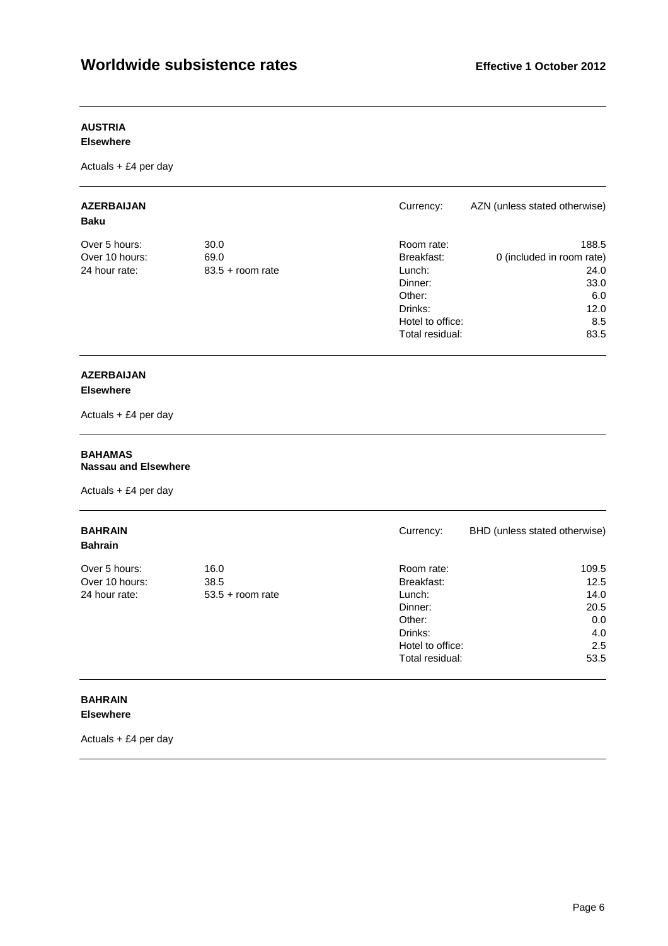### **AUSTRIA**

#### **Elsewhere**

Actuals + £4 per day

| <b>AZERBAIJAN</b><br><b>Baku</b> |                    | Currency:        | AZN (unless stated otherwise) |
|----------------------------------|--------------------|------------------|-------------------------------|
| Over 5 hours:                    | 30.0               | Room rate:       | 188.5                         |
| Over 10 hours:                   | 69.0               | Breakfast:       | 0 (included in room rate)     |
| 24 hour rate:                    | $83.5 +$ room rate | Lunch:           | 24.0                          |
|                                  |                    | Dinner:          | 33.0                          |
|                                  |                    | Other:           | 6.0                           |
|                                  |                    | Drinks:          | 12.0                          |
|                                  |                    | Hotel to office: | 8.5                           |
|                                  |                    | Total residual:  | 83.5                          |

# **AZERBAIJAN**

### **Elsewhere**

Actuals + £4 per day

#### **BAHAMAS Nassau and Elsewhere**

Actuals + £4 per day

| <b>BAHRAIN</b><br><b>Bahrain</b> |                    | Currency:        | BHD (unless stated otherwise) |
|----------------------------------|--------------------|------------------|-------------------------------|
| Over 5 hours:                    | 16.0               | Room rate:       | 109.5                         |
| Over 10 hours:                   | 38.5               | Breakfast:       | 12.5                          |
| 24 hour rate:                    | $53.5 +$ room rate | Lunch:           | 14.0                          |
|                                  |                    | Dinner:          | 20.5                          |
|                                  |                    | Other:           | 0.0                           |
|                                  |                    | Drinks:          | 4.0                           |
|                                  |                    | Hotel to office: | 2.5                           |
|                                  |                    | Total residual:  | 53.5                          |

### **BAHRAIN Elsewhere**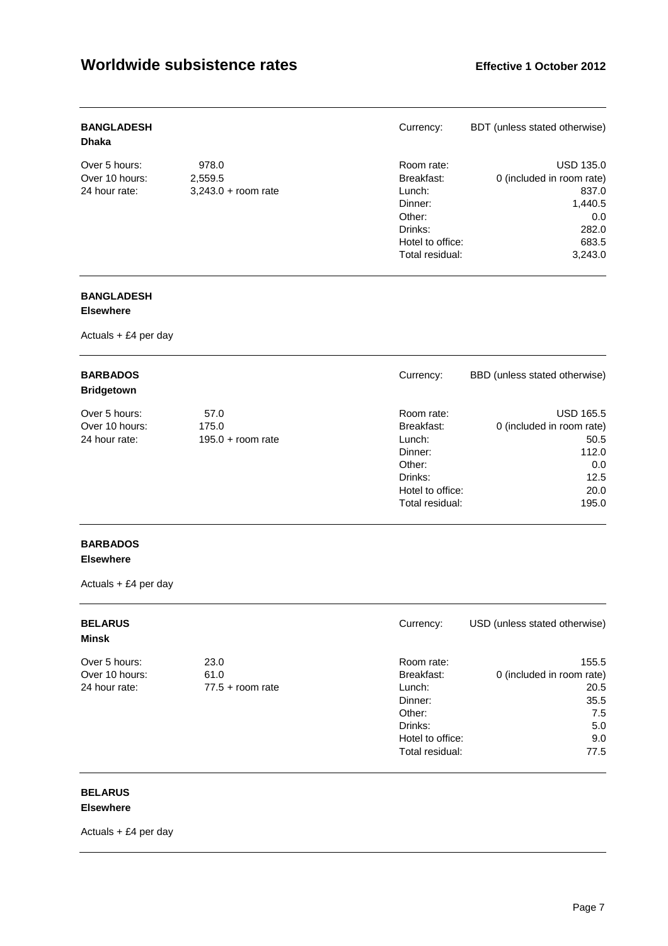| <b>BANGLADESH</b><br><b>Dhaka</b> |                       | Currency:        | BDT (unless stated otherwise) |
|-----------------------------------|-----------------------|------------------|-------------------------------|
| Over 5 hours:                     | 978.0                 | Room rate:       | <b>USD 135.0</b>              |
| Over 10 hours:                    | 2,559.5               | Breakfast:       | 0 (included in room rate)     |
| 24 hour rate:                     | $3,243.0 +$ room rate | Lunch:           | 837.0                         |
|                                   |                       | Dinner:          | 1,440.5                       |
|                                   |                       | Other:           | 0.0                           |
|                                   |                       | Drinks:          | 282.0                         |
|                                   |                       | Hotel to office: | 683.5                         |
|                                   |                       | Total residual:  | 3,243.0                       |

### **BANGLADESH**

### **Elsewhere**

Actuals + £4 per day

| <b>BARBADOS</b><br><b>Bridgetown</b> |                     | Currency:        | BBD (unless stated otherwise) |
|--------------------------------------|---------------------|------------------|-------------------------------|
| Over 5 hours:                        | 57.0                | Room rate:       | <b>USD 165.5</b>              |
| Over 10 hours:                       | 175.0               | Breakfast:       | 0 (included in room rate)     |
| 24 hour rate:                        | $195.0 +$ room rate | Lunch:           | 50.5                          |
|                                      |                     | Dinner:          | 112.0                         |
|                                      |                     | Other:           | 0.0                           |
|                                      |                     | Drinks:          | 12.5                          |
|                                      |                     | Hotel to office: | 20.0                          |
|                                      |                     | Total residual:  | 195.0                         |

# **BARBADOS**

### **Elsewhere**

Actuals + £4 per day

| <b>BELARUS</b><br>Minsk |                    | Currency:        | USD (unless stated otherwise) |
|-------------------------|--------------------|------------------|-------------------------------|
| Over 5 hours:           | 23.0               | Room rate:       | 155.5                         |
| Over 10 hours:          | 61.0               | Breakfast:       | 0 (included in room rate)     |
| 24 hour rate:           | $77.5 +$ room rate | Lunch:           | 20.5                          |
|                         |                    | Dinner:          | 35.5                          |
|                         |                    | Other:           | 7.5                           |
|                         |                    | Drinks:          | 5.0                           |
|                         |                    | Hotel to office: | 9.0                           |
|                         |                    | Total residual:  | 77.5                          |

#### **BELARUS Elsewhere**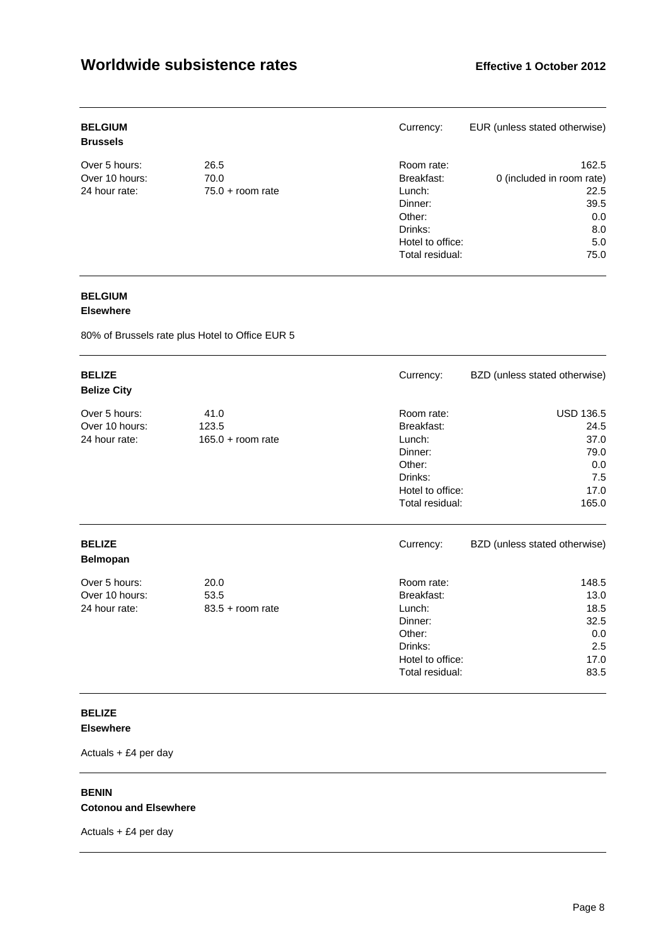| <b>BELGIUM</b><br><b>Brussels</b> |                    | Currency:        | EUR (unless stated otherwise) |
|-----------------------------------|--------------------|------------------|-------------------------------|
| Over 5 hours:                     | 26.5               | Room rate:       | 162.5                         |
| Over 10 hours:                    | 70.0               | Breakfast:       | 0 (included in room rate)     |
| 24 hour rate:                     | $75.0 +$ room rate | Lunch:           | 22.5                          |
|                                   |                    | Dinner:          | 39.5                          |
|                                   |                    | Other:           | 0.0                           |
|                                   |                    | Drinks:          | 8.0                           |
|                                   |                    | Hotel to office: | 5.0                           |
|                                   |                    | Total residual:  | 75.0                          |

### **BELGIUM**

### **Elsewhere**

80% of Brussels rate plus Hotel to Office EUR 5

| <b>BELIZE</b><br><b>Belize City</b>              |                                      | Currency:                                                                                                 | BZD (unless stated otherwise)                                           |
|--------------------------------------------------|--------------------------------------|-----------------------------------------------------------------------------------------------------------|-------------------------------------------------------------------------|
| Over 5 hours:<br>Over 10 hours:<br>24 hour rate: | 41.0<br>123.5<br>$165.0 + room rate$ | Room rate:<br>Breakfast:<br>Lunch:<br>Dinner:<br>Other:<br>Drinks:<br>Hotel to office:<br>Total residual: | <b>USD 136.5</b><br>24.5<br>37.0<br>79.0<br>0.0<br>7.5<br>17.0<br>165.0 |
| <b>BELIZE</b><br><b>Belmopan</b>                 |                                      | Currency:                                                                                                 | BZD (unless stated otherwise)                                           |
| Over 5 hours:<br>Over 10 hours:<br>24 hour rate: | 20.0<br>53.5<br>$83.5 +$ room rate   | Room rate:<br>Breakfast:<br>Lunch:<br>Dinner:<br>Other:<br>Drinks:<br>Hotel to office:<br>Total residual: | 148.5<br>13.0<br>18.5<br>32.5<br>0.0<br>2.5<br>17.0<br>83.5             |

### **BELIZE Elsewhere**

Actuals + £4 per day

#### **BENIN Cotonou and Elsewhere**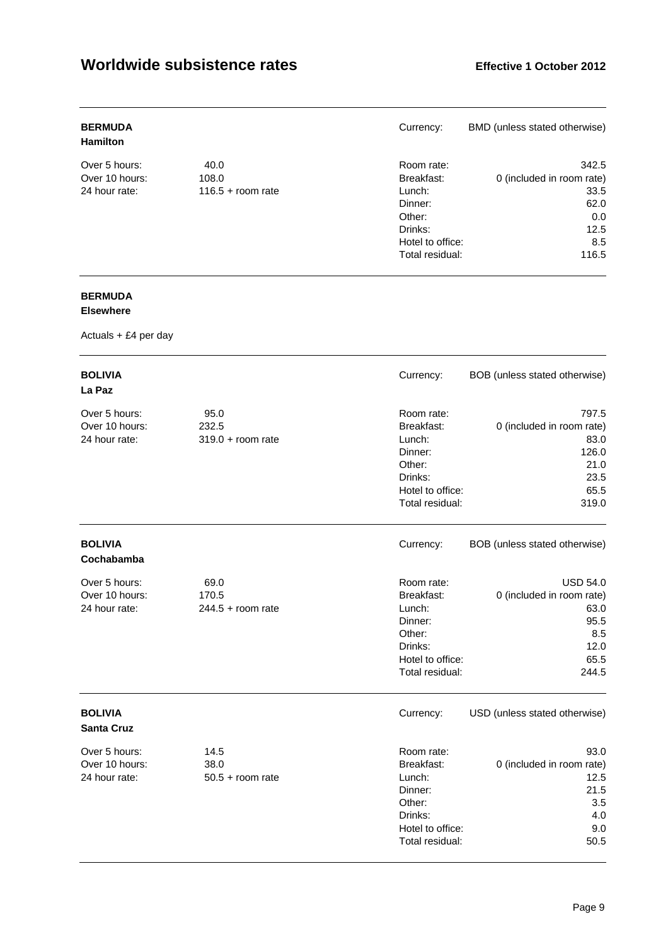| <b>BERMUDA</b><br><b>Hamilton</b> |                     | Currency:        | BMD (unless stated otherwise) |
|-----------------------------------|---------------------|------------------|-------------------------------|
| Over 5 hours:                     | 40.0                | Room rate:       | 342.5                         |
| Over 10 hours:                    | 108.0               | Breakfast:       | 0 (included in room rate)     |
| 24 hour rate:                     | $116.5 +$ room rate | Lunch:           | 33.5                          |
|                                   |                     | Dinner:          | 62.0                          |
|                                   |                     | Other:           | 0.0                           |
|                                   |                     | Drinks:          | 12.5                          |
|                                   |                     | Hotel to office: | 8.5                           |
|                                   |                     | Total residual:  | 116.5                         |

# **BERMUDA**

### **Elsewhere**

| <b>BOLIVIA</b><br>La Paz                         |                                      | Currency:                                                                                                 | BOB (unless stated otherwise)                                                                |
|--------------------------------------------------|--------------------------------------|-----------------------------------------------------------------------------------------------------------|----------------------------------------------------------------------------------------------|
| Over 5 hours:<br>Over 10 hours:<br>24 hour rate: | 95.0<br>232.5<br>$319.0 + room rate$ | Room rate:<br>Breakfast:<br>Lunch:<br>Dinner:<br>Other:<br>Drinks:<br>Hotel to office:<br>Total residual: | 797.5<br>0 (included in room rate)<br>83.0<br>126.0<br>21.0<br>23.5<br>65.5<br>319.0         |
| <b>BOLIVIA</b><br>Cochabamba                     |                                      | Currency:                                                                                                 | BOB (unless stated otherwise)                                                                |
| Over 5 hours:<br>Over 10 hours:<br>24 hour rate: | 69.0<br>170.5<br>$244.5 +$ room rate | Room rate:<br>Breakfast:<br>Lunch:<br>Dinner:<br>Other:<br>Drinks:<br>Hotel to office:<br>Total residual: | <b>USD 54.0</b><br>0 (included in room rate)<br>63.0<br>95.5<br>8.5<br>12.0<br>65.5<br>244.5 |
| <b>BOLIVIA</b><br><b>Santa Cruz</b>              |                                      | Currency:                                                                                                 | USD (unless stated otherwise)                                                                |
| Over 5 hours:<br>Over 10 hours:<br>24 hour rate: | 14.5<br>38.0<br>$50.5 +$ room rate   | Room rate:<br>Breakfast:<br>Lunch:<br>Dinner:<br>Other:<br>Drinks:<br>Hotel to office:<br>Total residual: | 93.0<br>0 (included in room rate)<br>12.5<br>21.5<br>3.5<br>4.0<br>9.0<br>50.5               |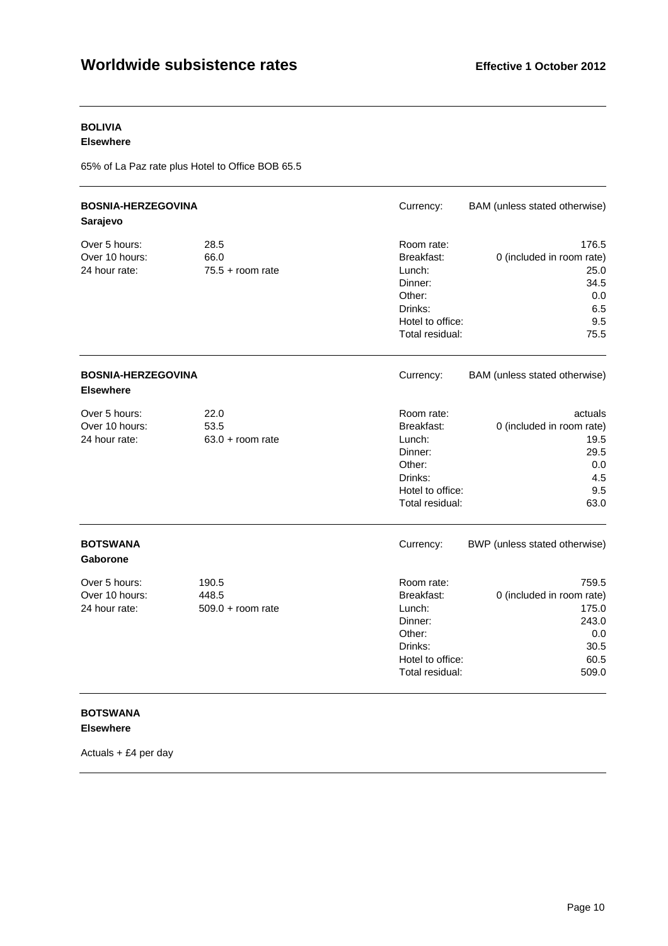# **BOLIVIA**

### **Elsewhere**

65% of La Paz rate plus Hotel to Office BOB 65.5

| <b>BOSNIA-HERZEGOVINA</b><br>Sarajevo            |                                       | Currency:                                                                                                 | BAM (unless stated otherwise)                                                        |
|--------------------------------------------------|---------------------------------------|-----------------------------------------------------------------------------------------------------------|--------------------------------------------------------------------------------------|
| Over 5 hours:<br>Over 10 hours:<br>24 hour rate: | 28.5<br>66.0<br>$75.5 +$ room rate    | Room rate:<br>Breakfast:<br>Lunch:<br>Dinner:<br>Other:<br>Drinks:<br>Hotel to office:<br>Total residual: | 176.5<br>0 (included in room rate)<br>25.0<br>34.5<br>0.0<br>6.5<br>9.5<br>75.5      |
| <b>BOSNIA-HERZEGOVINA</b><br><b>Elsewhere</b>    |                                       | Currency:                                                                                                 | BAM (unless stated otherwise)                                                        |
| Over 5 hours:<br>Over 10 hours:<br>24 hour rate: | 22.0<br>53.5<br>$63.0 + room$ rate    | Room rate:<br>Breakfast:<br>Lunch:<br>Dinner:<br>Other:<br>Drinks:<br>Hotel to office:<br>Total residual: | actuals<br>0 (included in room rate)<br>19.5<br>29.5<br>0.0<br>4.5<br>9.5<br>63.0    |
| <b>BOTSWANA</b><br><b>Gaborone</b>               |                                       | Currency:                                                                                                 | BWP (unless stated otherwise)                                                        |
| Over 5 hours:<br>Over 10 hours:<br>24 hour rate: | 190.5<br>448.5<br>$509.0 + room$ rate | Room rate:<br>Breakfast:<br>Lunch:<br>Dinner:<br>Other:<br>Drinks:<br>Hotel to office:<br>Total residual: | 759.5<br>0 (included in room rate)<br>175.0<br>243.0<br>0.0<br>30.5<br>60.5<br>509.0 |

### **BOTSWANA Elsewhere**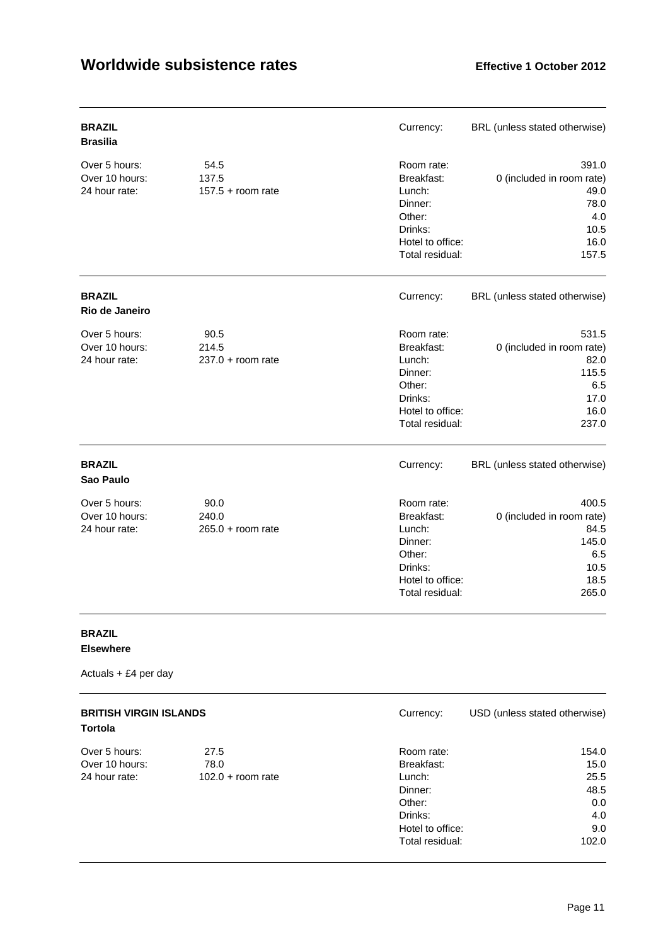| <b>BRAZIL</b><br><b>Brasilia</b>                 |                                      | Currency:                                                                                                 | BRL (unless stated otherwise)                                                       |
|--------------------------------------------------|--------------------------------------|-----------------------------------------------------------------------------------------------------------|-------------------------------------------------------------------------------------|
| Over 5 hours:<br>Over 10 hours:<br>24 hour rate: | 54.5<br>137.5<br>$157.5 +$ room rate | Room rate:<br>Breakfast:<br>Lunch:<br>Dinner:<br>Other:<br>Drinks:<br>Hotel to office:<br>Total residual: | 391.0<br>0 (included in room rate)<br>49.0<br>78.0<br>4.0<br>10.5<br>16.0<br>157.5  |
| <b>BRAZIL</b><br>Rio de Janeiro                  |                                      | Currency:                                                                                                 | BRL (unless stated otherwise)                                                       |
| Over 5 hours:<br>Over 10 hours:<br>24 hour rate: | 90.5<br>214.5<br>$237.0 + room rate$ | Room rate:<br>Breakfast:<br>Lunch:<br>Dinner:<br>Other:<br>Drinks:<br>Hotel to office:<br>Total residual: | 531.5<br>0 (included in room rate)<br>82.0<br>115.5<br>6.5<br>17.0<br>16.0<br>237.0 |
| <b>BRAZIL</b><br>Sao Paulo                       |                                      | Currency:                                                                                                 | BRL (unless stated otherwise)                                                       |
| Over 5 hours:<br>Over 10 hours:<br>24 hour rate: | 90.0<br>240.0<br>$265.0 + room rate$ | Room rate:<br>Breakfast:<br>Lunch:<br>Dinner:<br>Other:<br>Drinks:<br>Hotel to office:<br>Total residual: | 400.5<br>0 (included in room rate)<br>84.5<br>145.0<br>6.5<br>10.5<br>18.5<br>265.0 |

### **BRAZIL Elsewhere**

| <b>BRITISH VIRGIN ISLANDS</b><br><b>Tortola</b> |                     | Currency:        | USD (unless stated otherwise) |
|-------------------------------------------------|---------------------|------------------|-------------------------------|
| Over 5 hours:                                   | 27.5                | Room rate:       | 154.0                         |
| Over 10 hours:                                  | 78.0                | Breakfast:       | 15.0                          |
| 24 hour rate:                                   | $102.0 + room rate$ | Lunch:           | 25.5                          |
|                                                 |                     | Dinner:          | 48.5                          |
|                                                 |                     | Other:           | 0.0                           |
|                                                 |                     | Drinks:          | 4.0                           |
|                                                 |                     | Hotel to office: | 9.0                           |
|                                                 |                     | Total residual:  | 102.0                         |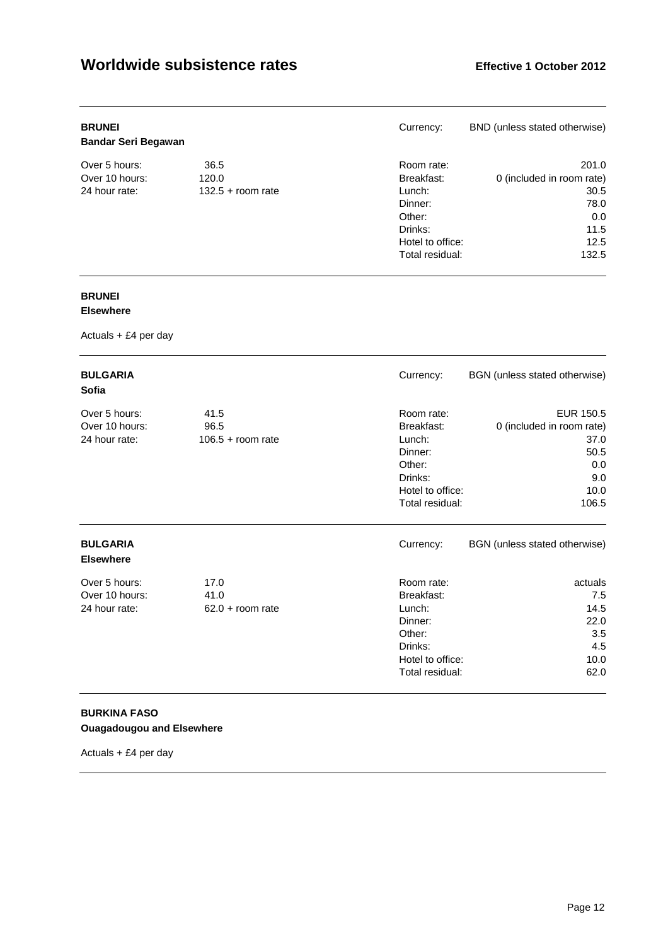| <b>BRUNEI</b><br><b>Bandar Seri Begawan</b> |                     | Currency:        | BND (unless stated otherwise) |
|---------------------------------------------|---------------------|------------------|-------------------------------|
| Over 5 hours:                               | 36.5                | Room rate:       | 201.0                         |
| Over 10 hours:                              | 120.0               | Breakfast:       | 0 (included in room rate)     |
| 24 hour rate:                               | $132.5 +$ room rate | Lunch:           | 30.5                          |
|                                             |                     | Dinner:          | 78.0                          |
|                                             |                     | Other:           | 0.0                           |
|                                             |                     | Drinks:          | 11.5                          |
|                                             |                     | Hotel to office: | 12.5                          |
|                                             |                     | Total residual:  | 132.5                         |

### **BRUNEI**

### **Elsewhere**

Actuals + £4 per day

| <b>BULGARIA</b><br>Sofia                         |                                     | Currency:                                                                                                 | BGN (unless stated otherwise)                                                         |
|--------------------------------------------------|-------------------------------------|-----------------------------------------------------------------------------------------------------------|---------------------------------------------------------------------------------------|
| Over 5 hours:<br>Over 10 hours:<br>24 hour rate: | 41.5<br>96.5<br>$106.5 + room rate$ | Room rate:<br>Breakfast:<br>Lunch:<br>Dinner:<br>Other:<br>Drinks:<br>Hotel to office:<br>Total residual: | EUR 150.5<br>0 (included in room rate)<br>37.0<br>50.5<br>0.0<br>9.0<br>10.0<br>106.5 |
| <b>BULGARIA</b><br><b>Elsewhere</b>              |                                     | Currency:                                                                                                 | BGN (unless stated otherwise)                                                         |
| Over 5 hours:<br>Over 10 hours:<br>24 hour rate: | 17.0<br>41.0<br>$62.0 + room$ rate  | Room rate:<br>Breakfast:<br>Lunch:<br>Dinner:<br>Other:<br>Drinks:<br>Hotel to office:<br>Total residual: | actuals<br>7.5<br>14.5<br>22.0<br>3.5<br>4.5<br>10.0<br>62.0                          |

### **BURKINA FASO Ouagadougou and Elsewhere**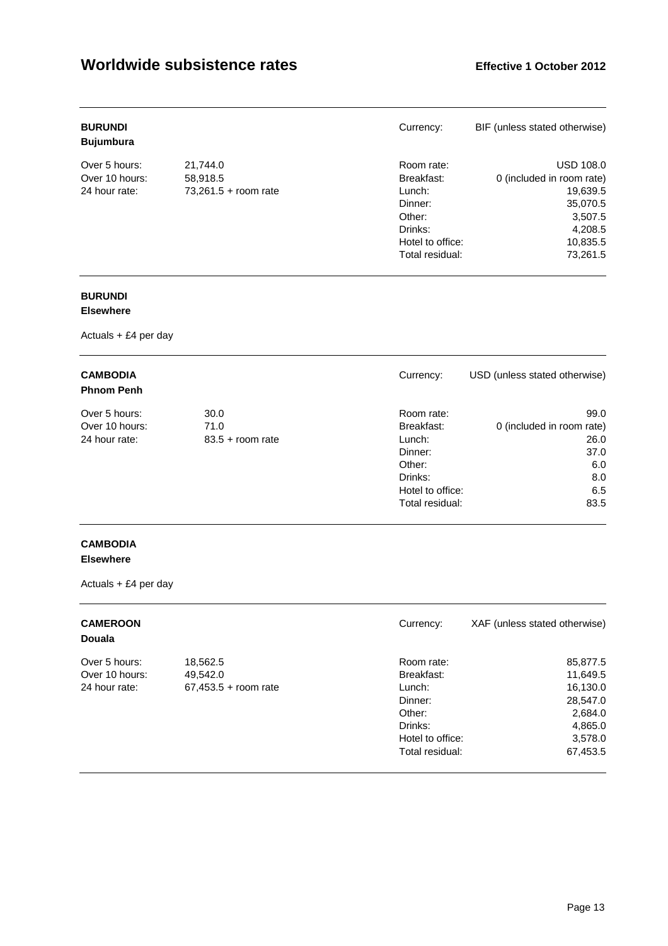| <b>BURUNDI</b><br><b>Bujumbura</b> |                        | Currency:        | BIF (unless stated otherwise) |
|------------------------------------|------------------------|------------------|-------------------------------|
| Over 5 hours:                      | 21,744.0               | Room rate:       | <b>USD 108.0</b>              |
| Over 10 hours:                     | 58,918.5               | Breakfast:       | 0 (included in room rate)     |
| 24 hour rate:                      | $73,261.5 + room rate$ | Lunch:           | 19,639.5                      |
|                                    |                        | Dinner:          | 35,070.5                      |
|                                    |                        | Other:           | 3,507.5                       |
|                                    |                        | Drinks:          | 4,208.5                       |
|                                    |                        | Hotel to office: | 10,835.5                      |
|                                    |                        | Total residual:  | 73.261.5                      |

### **BURUNDI**

### **Elsewhere**

Actuals + £4 per day

| <b>CAMBODIA</b><br><b>Phnom Penh</b> |                    | Currency:        | USD (unless stated otherwise) |
|--------------------------------------|--------------------|------------------|-------------------------------|
| Over 5 hours:                        | 30.0               | Room rate:       | 99.0                          |
| Over 10 hours:                       | 71.0               | Breakfast:       | 0 (included in room rate)     |
| 24 hour rate:                        | $83.5 +$ room rate | Lunch:           | 26.0                          |
|                                      |                    | Dinner:          | 37.0                          |
|                                      |                    | Other:           | 6.0                           |
|                                      |                    | Drinks:          | 8.0                           |
|                                      |                    | Hotel to office: | 6.5                           |
|                                      |                    | Total residual:  | 83.5                          |

### **CAMBODIA Elsewhere**

| <b>CAMEROON</b><br><b>Douala</b>                 |                                                | Currency:                                                                              | XAF (unless stated otherwise)                                                 |
|--------------------------------------------------|------------------------------------------------|----------------------------------------------------------------------------------------|-------------------------------------------------------------------------------|
| Over 5 hours:<br>Over 10 hours:<br>24 hour rate: | 18,562.5<br>49,542.0<br>$67,453.5 +$ room rate | Room rate:<br>Breakfast:<br>Lunch:<br>Dinner:<br>Other:<br>Drinks:<br>Hotel to office: | 85,877.5<br>11,649.5<br>16,130.0<br>28,547.0<br>2,684.0<br>4,865.0<br>3,578.0 |
|                                                  |                                                | Total residual:                                                                        | 67,453.5                                                                      |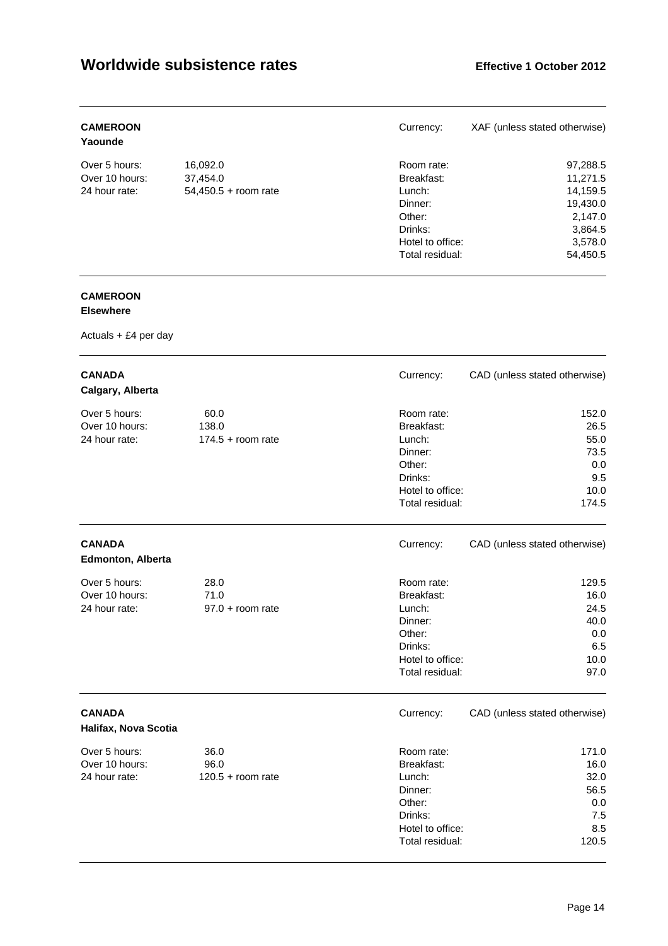| <b>CAMEROON</b><br>Yaounde |                        | Currency:        | XAF (unless stated otherwise) |
|----------------------------|------------------------|------------------|-------------------------------|
| Over 5 hours:              | 16,092.0               | Room rate:       | 97,288.5                      |
| Over 10 hours:             | 37.454.0               | Breakfast:       | 11.271.5                      |
| 24 hour rate:              | $54,450.5 +$ room rate | Lunch:           | 14,159.5                      |
|                            |                        | Dinner:          | 19,430.0                      |
|                            |                        | Other:           | 2,147.0                       |
|                            |                        | Drinks:          | 3,864.5                       |
|                            |                        | Hotel to office: | 3,578.0                       |
|                            |                        | Total residual:  | 54.450.5                      |

### **CAMEROON**

### **Elsewhere**

| <b>CANADA</b><br>Calgary, Alberta                |                                      | Currency:                                                                                                 | CAD (unless stated otherwise)                                |
|--------------------------------------------------|--------------------------------------|-----------------------------------------------------------------------------------------------------------|--------------------------------------------------------------|
| Over 5 hours:<br>Over 10 hours:<br>24 hour rate: | 60.0<br>138.0<br>$174.5 +$ room rate | Room rate:<br>Breakfast:<br>Lunch:<br>Dinner:<br>Other:<br>Drinks:<br>Hotel to office:<br>Total residual: | 152.0<br>26.5<br>55.0<br>73.5<br>0.0<br>9.5<br>10.0<br>174.5 |
| <b>CANADA</b><br><b>Edmonton, Alberta</b>        |                                      | Currency:                                                                                                 | CAD (unless stated otherwise)                                |
| Over 5 hours:<br>Over 10 hours:<br>24 hour rate: | 28.0<br>71.0<br>$97.0 + room$ rate   | Room rate:<br>Breakfast:<br>Lunch:<br>Dinner:<br>Other:<br>Drinks:<br>Hotel to office:<br>Total residual: | 129.5<br>16.0<br>24.5<br>40.0<br>0.0<br>6.5<br>10.0<br>97.0  |
| <b>CANADA</b><br>Halifax, Nova Scotia            |                                      | Currency:                                                                                                 | CAD (unless stated otherwise)                                |
| Over 5 hours:<br>Over 10 hours:<br>24 hour rate: | 36.0<br>96.0<br>$120.5 + room$ rate  | Room rate:<br>Breakfast:<br>Lunch:<br>Dinner:<br>Other:<br>Drinks:<br>Hotel to office:<br>Total residual: | 171.0<br>16.0<br>32.0<br>56.5<br>0.0<br>7.5<br>8.5<br>120.5  |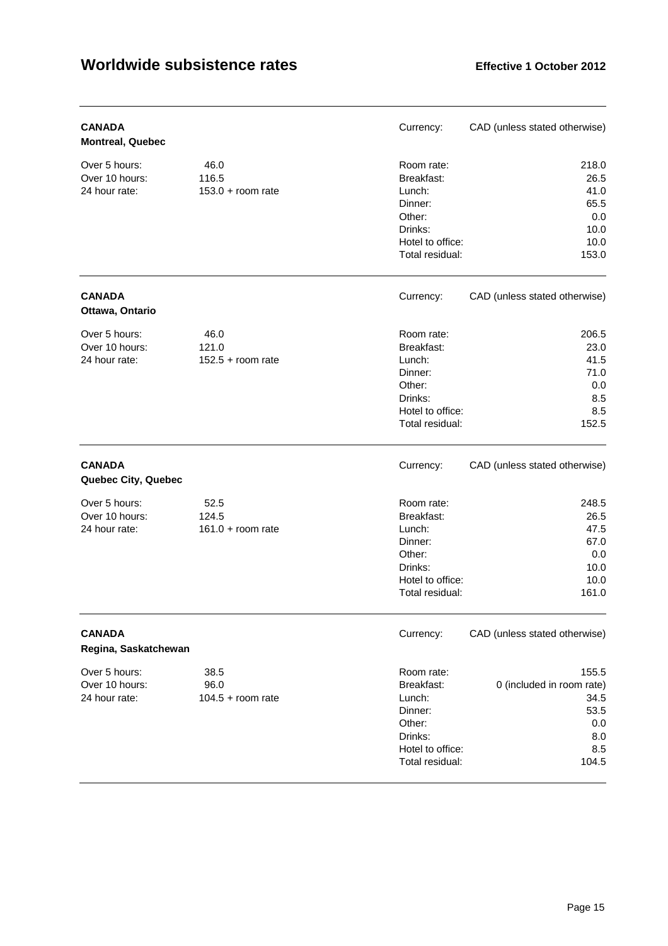| <b>CANADA</b><br><b>Montreal, Quebec</b>         |                                      | Currency:                                                                                                 | CAD (unless stated otherwise)                                                    |
|--------------------------------------------------|--------------------------------------|-----------------------------------------------------------------------------------------------------------|----------------------------------------------------------------------------------|
| Over 5 hours:<br>Over 10 hours:<br>24 hour rate: | 46.0<br>116.5<br>$153.0 + room$ rate | Room rate:<br>Breakfast:<br>Lunch:<br>Dinner:<br>Other:<br>Drinks:<br>Hotel to office:<br>Total residual: | 218.0<br>26.5<br>41.0<br>65.5<br>0.0<br>10.0<br>10.0<br>153.0                    |
| <b>CANADA</b><br>Ottawa, Ontario                 |                                      | Currency:                                                                                                 | CAD (unless stated otherwise)                                                    |
| Over 5 hours:<br>Over 10 hours:<br>24 hour rate: | 46.0<br>121.0<br>$152.5 + room$ rate | Room rate:<br>Breakfast:<br>Lunch:<br>Dinner:<br>Other:<br>Drinks:<br>Hotel to office:<br>Total residual: | 206.5<br>23.0<br>41.5<br>71.0<br>0.0<br>8.5<br>8.5<br>152.5                      |
| <b>CANADA</b><br>Quebec City, Quebec             |                                      | Currency:                                                                                                 | CAD (unless stated otherwise)                                                    |
| Over 5 hours:<br>Over 10 hours:<br>24 hour rate: | 52.5<br>124.5<br>$161.0 + room rate$ | Room rate:<br>Breakfast:<br>Lunch:<br>Dinner:<br>Other:<br>Drinks:<br>Hotel to office:<br>Total residual: | 248.5<br>26.5<br>47.5<br>67.0<br>0.0<br>10.0<br>10.0<br>161.0                    |
| <b>CANADA</b><br>Regina, Saskatchewan            |                                      | Currency:                                                                                                 | CAD (unless stated otherwise)                                                    |
| Over 5 hours:<br>Over 10 hours:<br>24 hour rate: | 38.5<br>96.0<br>$104.5 + room rate$  | Room rate:<br>Breakfast:<br>Lunch:<br>Dinner:<br>Other:<br>Drinks:<br>Hotel to office:<br>Total residual: | 155.5<br>0 (included in room rate)<br>34.5<br>53.5<br>0.0<br>8.0<br>8.5<br>104.5 |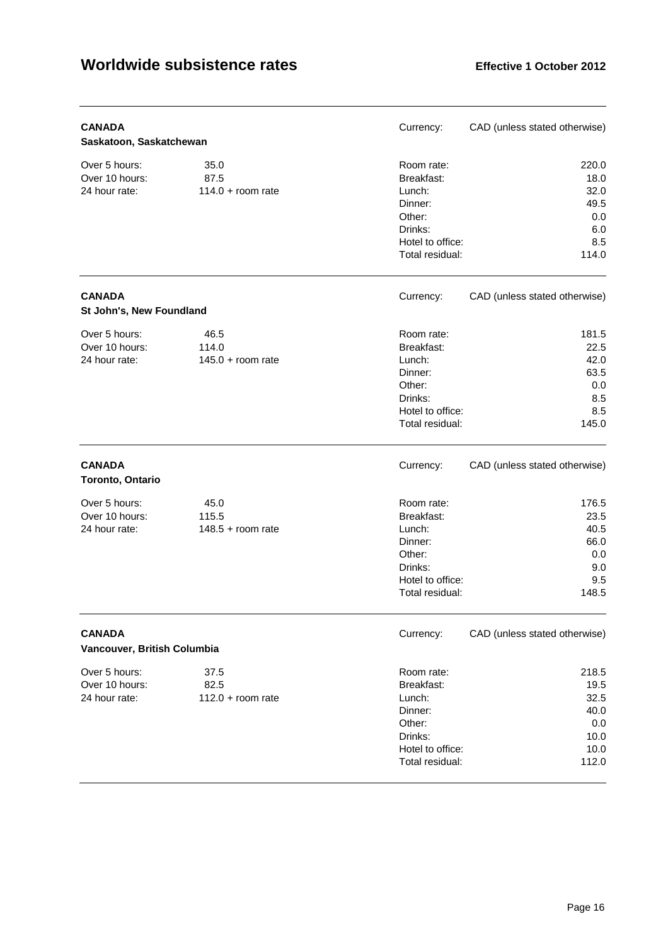| <b>CANADA</b><br>Saskatoon, Saskatchewan         |                                      | Currency:                                                                                                 | CAD (unless stated otherwise)                                 |
|--------------------------------------------------|--------------------------------------|-----------------------------------------------------------------------------------------------------------|---------------------------------------------------------------|
| Over 5 hours:<br>Over 10 hours:<br>24 hour rate: | 35.0<br>87.5<br>$114.0 + room rate$  | Room rate:<br>Breakfast:<br>Lunch:<br>Dinner:<br>Other:<br>Drinks:<br>Hotel to office:<br>Total residual: | 220.0<br>18.0<br>32.0<br>49.5<br>0.0<br>6.0<br>8.5<br>114.0   |
| <b>CANADA</b><br>St John's, New Foundland        |                                      | Currency:                                                                                                 | CAD (unless stated otherwise)                                 |
| Over 5 hours:<br>Over 10 hours:<br>24 hour rate: | 46.5<br>114.0<br>$145.0 + room$ rate | Room rate:<br>Breakfast:<br>Lunch:<br>Dinner:<br>Other:<br>Drinks:<br>Hotel to office:<br>Total residual: | 181.5<br>22.5<br>42.0<br>63.5<br>0.0<br>8.5<br>8.5<br>145.0   |
| <b>CANADA</b><br>Toronto, Ontario                |                                      | Currency:                                                                                                 | CAD (unless stated otherwise)                                 |
| Over 5 hours:<br>Over 10 hours:<br>24 hour rate: | 45.0<br>115.5<br>$148.5 +$ room rate | Room rate:<br>Breakfast:<br>Lunch:<br>Dinner:<br>Other:<br>Drinks:<br>Hotel to office:<br>Total residual: | 176.5<br>23.5<br>40.5<br>66.0<br>0.0<br>9.0<br>9.5<br>148.5   |
| <b>CANADA</b><br>Vancouver, British Columbia     |                                      | Currency:                                                                                                 | CAD (unless stated otherwise)                                 |
| Over 5 hours:<br>Over 10 hours:<br>24 hour rate: | 37.5<br>82.5<br>$112.0 + room rate$  | Room rate:<br>Breakfast:<br>Lunch:<br>Dinner:<br>Other:<br>Drinks:<br>Hotel to office:<br>Total residual: | 218.5<br>19.5<br>32.5<br>40.0<br>0.0<br>10.0<br>10.0<br>112.0 |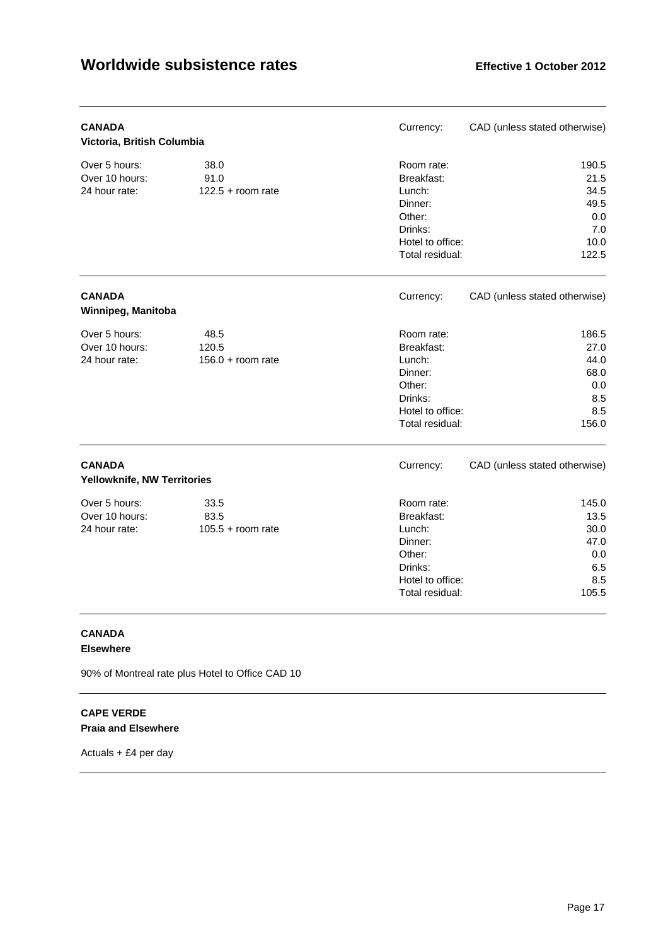| <b>CANADA</b><br>Victoria, British Columbia      |                                      | Currency:                                                                                                 | CAD (unless stated otherwise)                                |
|--------------------------------------------------|--------------------------------------|-----------------------------------------------------------------------------------------------------------|--------------------------------------------------------------|
| Over 5 hours:<br>Over 10 hours:<br>24 hour rate: | 38.0<br>91.0<br>$122.5 + room rate$  | Room rate:<br>Breakfast:<br>Lunch:<br>Dinner:<br>Other:<br>Drinks:<br>Hotel to office:<br>Total residual: | 190.5<br>21.5<br>34.5<br>49.5<br>0.0<br>7.0<br>10.0<br>122.5 |
| <b>CANADA</b><br>Winnipeg, Manitoba              |                                      | Currency:                                                                                                 | CAD (unless stated otherwise)                                |
| Over 5 hours:<br>Over 10 hours:<br>24 hour rate: | 48.5<br>120.5<br>$156.0 + room$ rate | Room rate:<br>Breakfast:<br>Lunch:<br>Dinner:<br>Other:<br>Drinks:<br>Hotel to office:<br>Total residual: | 186.5<br>27.0<br>44.0<br>68.0<br>0.0<br>8.5<br>8.5<br>156.0  |
| <b>CANADA</b><br>Yellowknife, NW Territories     |                                      | Currency:                                                                                                 | CAD (unless stated otherwise)                                |
| Over 5 hours:<br>Over 10 hours:<br>24 hour rate: | 33.5<br>83.5<br>$105.5 +$ room rate  | Room rate:<br>Breakfast:<br>Lunch:<br>Dinner:<br>Other:<br>Drinks:<br>Hotel to office:<br>Total residual: | 145.0<br>13.5<br>30.0<br>47.0<br>0.0<br>6.5<br>8.5<br>105.5  |

# **CANADA**

### **Elsewhere**

90% of Montreal rate plus Hotel to Office CAD 10

### **CAPE VERDE Praia and Elsewhere**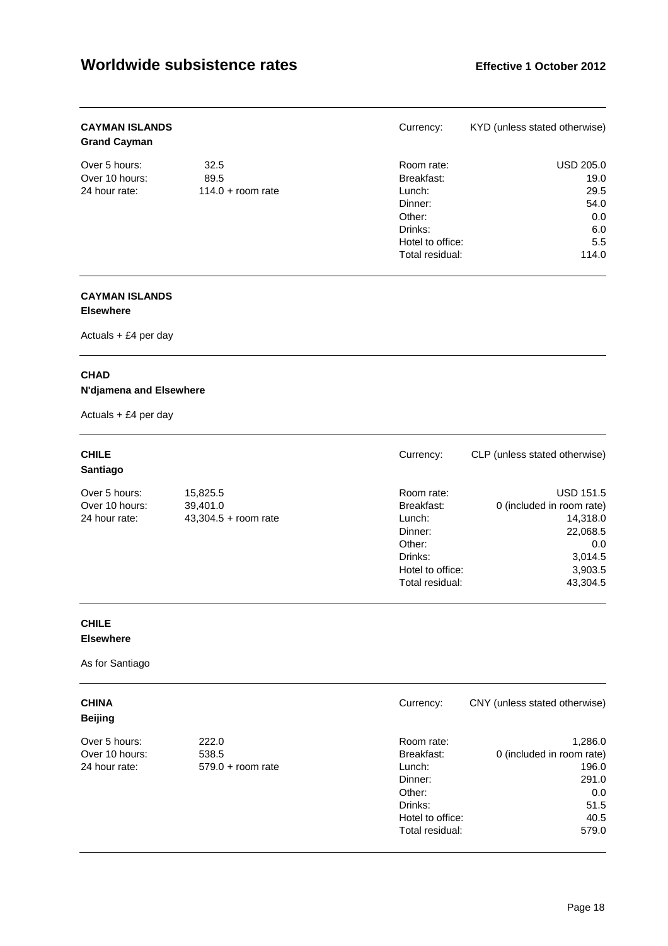| <b>CAYMAN ISLANDS</b><br><b>Grand Cayman</b> |                     | Currency:        | KYD (unless stated otherwise) |
|----------------------------------------------|---------------------|------------------|-------------------------------|
| Over 5 hours:                                | 32.5                | Room rate:       | USD 205.0                     |
| Over 10 hours:                               | 89.5                | Breakfast:       | 19.0                          |
| 24 hour rate:                                | $114.0 +$ room rate | Lunch:           | 29.5                          |
|                                              |                     | Dinner:          | 54.0                          |
|                                              |                     | Other:           | 0.0                           |
|                                              |                     | Drinks:          | 6.0                           |
|                                              |                     | Hotel to office: | 5.5                           |
|                                              |                     | Total residual:  | 114.0                         |

#### **CAYMAN ISLANDS Elsewhere**

Actuals + £4 per day

### **CHAD**

### **N'djamena and Elsewhere**

Actuals + £4 per day

| <b>CHILE</b><br>Santiago |                        | Currency:        | CLP (unless stated otherwise) |
|--------------------------|------------------------|------------------|-------------------------------|
| Over 5 hours:            | 15,825.5               | Room rate:       | <b>USD 151.5</b>              |
| Over 10 hours:           | 39.401.0               | Breakfast:       | 0 (included in room rate)     |
| 24 hour rate:            | $43,304.5 + room rate$ | Lunch:           | 14,318.0                      |
|                          |                        | Dinner:          | 22,068.5                      |
|                          |                        | Other:           | 0.0                           |
|                          |                        | Drinks:          | 3,014.5                       |
|                          |                        | Hotel to office: | 3,903.5                       |
|                          |                        | Total residual:  | 43.304.5                      |

### **CHILE Elsewhere**

As for Santiago

| <b>CHINA</b><br><b>Beijing</b> |                     | Currency:        | CNY (unless stated otherwise) |
|--------------------------------|---------------------|------------------|-------------------------------|
| Over 5 hours:                  | 222.0               | Room rate:       | 1,286.0                       |
| Over 10 hours:                 | 538.5               | Breakfast:       | 0 (included in room rate)     |
| 24 hour rate:                  | $579.0 +$ room rate | Lunch:           | 196.0                         |
|                                |                     | Dinner:          | 291.0                         |
|                                |                     | Other:           | 0.0                           |
|                                |                     | Drinks:          | 51.5                          |
|                                |                     | Hotel to office: | 40.5                          |
|                                |                     | Total residual:  | 579.0                         |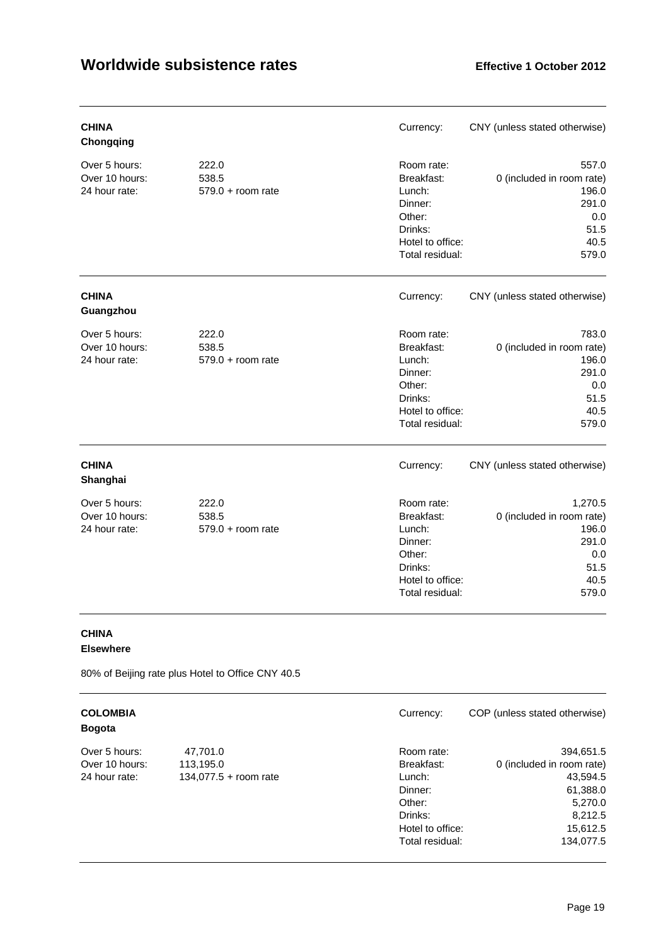| <b>CHINA</b><br>Chongqing                        |                                       | Currency:                                                                                                 | CNY (unless stated otherwise)                                                          |
|--------------------------------------------------|---------------------------------------|-----------------------------------------------------------------------------------------------------------|----------------------------------------------------------------------------------------|
| Over 5 hours:<br>Over 10 hours:<br>24 hour rate: | 222.0<br>538.5<br>$579.0 + room rate$ | Room rate:<br>Breakfast:<br>Lunch:<br>Dinner:<br>Other:<br>Drinks:<br>Hotel to office:<br>Total residual: | 557.0<br>0 (included in room rate)<br>196.0<br>291.0<br>0.0<br>51.5<br>40.5<br>579.0   |
| <b>CHINA</b><br>Guangzhou                        |                                       | Currency:                                                                                                 | CNY (unless stated otherwise)                                                          |
| Over 5 hours:<br>Over 10 hours:<br>24 hour rate: | 222.0<br>538.5<br>$579.0 + room rate$ | Room rate:<br>Breakfast:<br>Lunch:<br>Dinner:<br>Other:<br>Drinks:<br>Hotel to office:<br>Total residual: | 783.0<br>0 (included in room rate)<br>196.0<br>291.0<br>0.0<br>51.5<br>40.5<br>579.0   |
| <b>CHINA</b><br>Shanghai                         |                                       | Currency:                                                                                                 | CNY (unless stated otherwise)                                                          |
| Over 5 hours:<br>Over 10 hours:<br>24 hour rate: | 222.0<br>538.5<br>$579.0 + room rate$ | Room rate:<br>Breakfast:<br>Lunch:<br>Dinner:<br>Other:<br>Drinks:<br>Hotel to office:<br>Total residual: | 1,270.5<br>0 (included in room rate)<br>196.0<br>291.0<br>0.0<br>51.5<br>40.5<br>579.0 |

# **CHINA**

**Elsewhere** 

80% of Beijing rate plus Hotel to Office CNY 40.5

### **COLOMBIA** COLOMBIA CURRENCE COP (unless stated otherwise) **Bogota**

| Over 5 hours:  |  |
|----------------|--|
| Over 10 hours: |  |
| 24 hour rate:  |  |

134,077.5 + room rate Lunch:

# Over 5 hours: 47,701.0 Room rate: 394,651.5 113,195.0 Breakfast: 0 (included in room rate)<br>134.077.5 + room rate 134.077.5 + room rate 143.594.5

| 44 IIUUI 1 ALG. | <b>1001110017 C.110, PU</b> | Lui iui i.       | +ບ.ບອ+.ບ  |
|-----------------|-----------------------------|------------------|-----------|
|                 |                             | Dinner:          | 61,388.0  |
|                 |                             | Other:           | 5,270.0   |
|                 |                             | Drinks:          | 8,212.5   |
|                 |                             | Hotel to office: | 15,612.5  |
|                 |                             | Total residual:  | 134,077.5 |
|                 |                             |                  |           |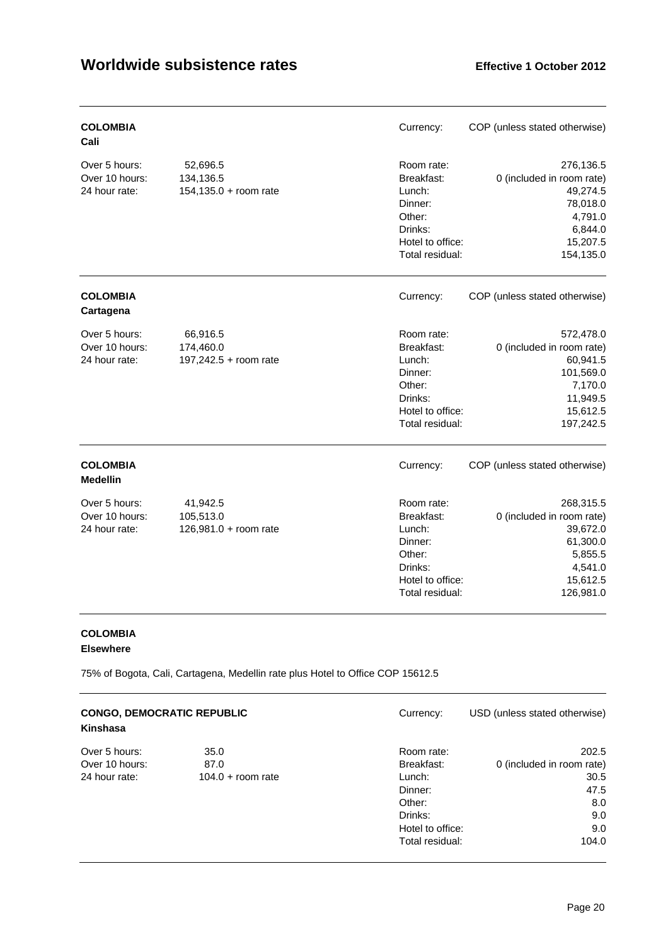| <b>COLOMBIA</b><br>Cali                          |                                                   | Currency:                                                                                                 | COP (unless stated otherwise)                                                                                   |
|--------------------------------------------------|---------------------------------------------------|-----------------------------------------------------------------------------------------------------------|-----------------------------------------------------------------------------------------------------------------|
| Over 5 hours:<br>Over 10 hours:<br>24 hour rate: | 52,696.5<br>134,136.5<br>$154, 135.0 + room rate$ | Room rate:<br>Breakfast:<br>Lunch:<br>Dinner:<br>Other:<br>Drinks:<br>Hotel to office:<br>Total residual: | 276,136.5<br>0 (included in room rate)<br>49,274.5<br>78,018.0<br>4,791.0<br>6,844.0<br>15,207.5<br>154,135.0   |
| <b>COLOMBIA</b><br>Cartagena                     |                                                   | Currency:                                                                                                 | COP (unless stated otherwise)                                                                                   |
| Over 5 hours:<br>Over 10 hours:<br>24 hour rate: | 66,916.5<br>174,460.0<br>197,242.5 + room rate    | Room rate:<br>Breakfast:<br>Lunch:<br>Dinner:<br>Other:<br>Drinks:<br>Hotel to office:<br>Total residual: | 572,478.0<br>0 (included in room rate)<br>60,941.5<br>101,569.0<br>7,170.0<br>11,949.5<br>15,612.5<br>197,242.5 |
| <b>COLOMBIA</b><br><b>Medellin</b>               |                                                   | Currency:                                                                                                 | COP (unless stated otherwise)                                                                                   |
| Over 5 hours:<br>Over 10 hours:<br>24 hour rate: | 41,942.5<br>105,513.0<br>126,981.0 + room rate    | Room rate:<br>Breakfast:<br>Lunch:<br>Dinner:<br>Other:<br>Drinks:<br>Hotel to office:<br>Total residual: | 268,315.5<br>0 (included in room rate)<br>39,672.0<br>61,300.0<br>5,855.5<br>4,541.0<br>15,612.5<br>126,981.0   |

### **COLOMBIA Elsewhere**

75% of Bogota, Cali, Cartagena, Medellin rate plus Hotel to Office COP 15612.5

| <b>CONGO, DEMOCRATIC REPUBLIC</b><br>Kinshasa |                     | Currency:        | USD (unless stated otherwise) |
|-----------------------------------------------|---------------------|------------------|-------------------------------|
| Over 5 hours:                                 | 35.0                | Room rate:       | 202.5                         |
| Over 10 hours:                                | 87.0                | Breakfast:       | 0 (included in room rate)     |
| 24 hour rate:                                 | $104.0 +$ room rate | Lunch:           | 30.5                          |
|                                               |                     | Dinner:          | 47.5                          |
|                                               |                     | Other:           | 8.0                           |
|                                               |                     | Drinks:          | 9.0                           |
|                                               |                     | Hotel to office: | 9.0                           |
|                                               |                     | Total residual:  | 104.0                         |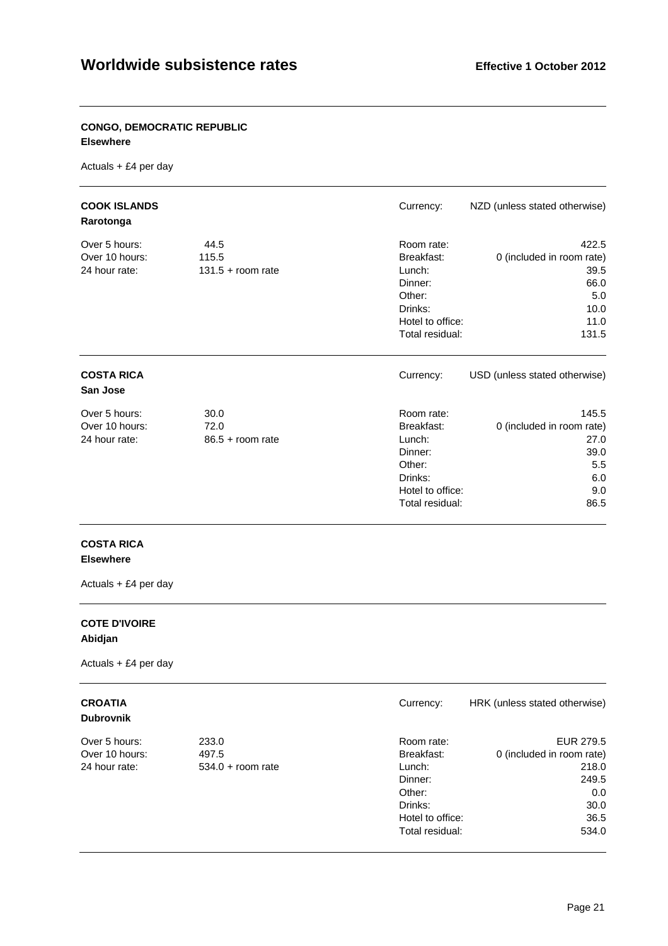#### **CONGO, DEMOCRATIC REPUBLIC Elsewhere**

Actuals + £4 per day

| <b>COOK ISLANDS</b><br>Rarotonga                 |                                      | Currency:                                                                                                 | NZD (unless stated otherwise)                                                      |
|--------------------------------------------------|--------------------------------------|-----------------------------------------------------------------------------------------------------------|------------------------------------------------------------------------------------|
| Over 5 hours:<br>Over 10 hours:<br>24 hour rate: | 44.5<br>115.5<br>$131.5 + room rate$ | Room rate:<br>Breakfast:<br>Lunch:<br>Dinner:<br>Other:<br>Drinks:<br>Hotel to office:<br>Total residual: | 422.5<br>0 (included in room rate)<br>39.5<br>66.0<br>5.0<br>10.0<br>11.0<br>131.5 |
| <b>COSTA RICA</b><br>San Jose                    |                                      | Currency:                                                                                                 | USD (unless stated otherwise)                                                      |
| Over 5 hours:<br>Over 10 hours:<br>24 hour rate: | 30.0<br>72.0<br>$86.5 +$ room rate   | Room rate:<br>Breakfast:<br>Lunch:<br>Dinner:<br>Other:<br>Drinks:<br>Hotel to office:<br>Total residual: | 145.5<br>0 (included in room rate)<br>27.0<br>39.0<br>5.5<br>6.0<br>9.0<br>86.5    |

#### **COSTA RICA Elsewhere**

Actuals + £4 per day

### **COTE D'IVOIRE Abidjan**

Actuals + £4 per day

### **CROATIA** Currency: HRK (unless stated otherwise)

| <b>Dubrovnik</b> |  |
|------------------|--|
|------------------|--|

| <b>Dubrovnik</b> |                     |                  |                           |
|------------------|---------------------|------------------|---------------------------|
| Over 5 hours:    | 233.0               | Room rate:       | EUR 279.5                 |
| Over 10 hours:   | 497.5               | Breakfast:       | 0 (included in room rate) |
| 24 hour rate:    | $534.0 +$ room rate | Lunch:           | 218.0                     |
|                  |                     | Dinner:          | 249.5                     |
|                  |                     | Other:           | 0.0                       |
|                  |                     | Drinks:          | 30.0                      |
|                  |                     | Hotel to office: | 36.5                      |
|                  |                     | Total residual:  | 534.0                     |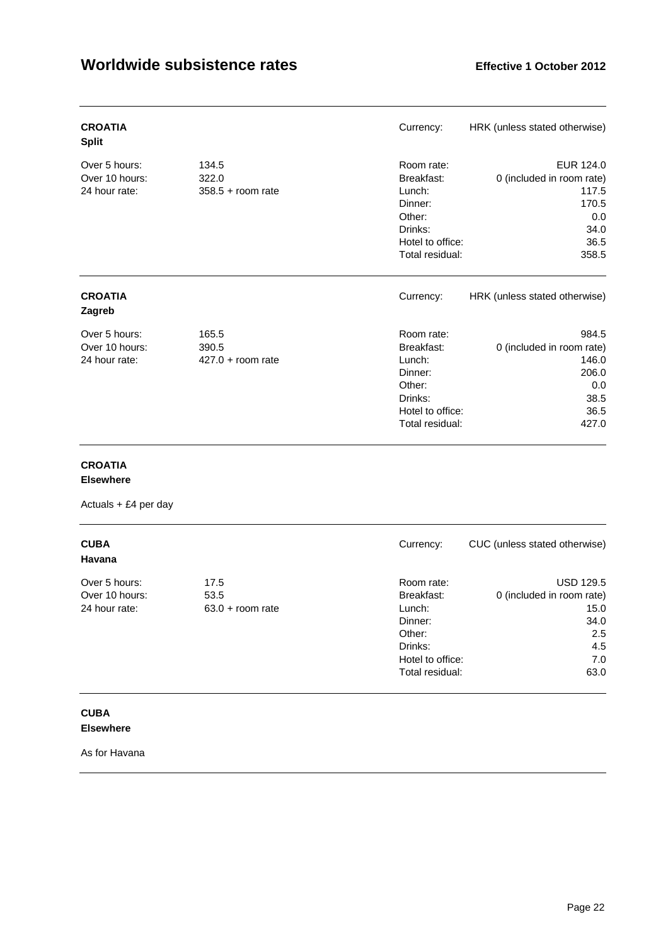| <b>CROATIA</b><br><b>Split</b>                   |                                       | Currency:                                                                                                 | HRK (unless stated otherwise)                                                            |
|--------------------------------------------------|---------------------------------------|-----------------------------------------------------------------------------------------------------------|------------------------------------------------------------------------------------------|
| Over 5 hours:<br>Over 10 hours:<br>24 hour rate: | 134.5<br>322.0<br>$358.5 +$ room rate | Room rate:<br>Breakfast:<br>Lunch:<br>Dinner:<br>Other:<br>Drinks:<br>Hotel to office:<br>Total residual: | EUR 124.0<br>0 (included in room rate)<br>117.5<br>170.5<br>0.0<br>34.0<br>36.5<br>358.5 |
| <b>CROATIA</b><br>Zagreb                         |                                       | Currency:                                                                                                 | HRK (unless stated otherwise)                                                            |
| Over 5 hours:<br>Over 10 hours:<br>24 hour rate: | 165.5<br>390.5<br>$427.0 + room rate$ | Room rate:<br>Breakfast:<br>Lunch:<br>Dinner:<br>Other:<br>Drinks:<br>Hotel to office:<br>Total residual: | 984.5<br>0 (included in room rate)<br>146.0<br>206.0<br>0.0<br>38.5<br>36.5<br>427.0     |

### **CROATIA**

#### **Elsewhere**

Actuals + £4 per day

| <b>CUBA</b><br>Havana                            |                                    | Currency:                                                                                                 | CUC (unless stated otherwise)                                                              |
|--------------------------------------------------|------------------------------------|-----------------------------------------------------------------------------------------------------------|--------------------------------------------------------------------------------------------|
| Over 5 hours:<br>Over 10 hours:<br>24 hour rate: | 17.5<br>53.5<br>$63.0 + room$ rate | Room rate:<br>Breakfast:<br>Lunch:<br>Dinner:<br>Other:<br>Drinks:<br>Hotel to office:<br>Total residual: | <b>USD 129.5</b><br>0 (included in room rate)<br>15.0<br>34.0<br>2.5<br>4.5<br>7.0<br>63.0 |

### **CUBA Elsewhere**

As for Havana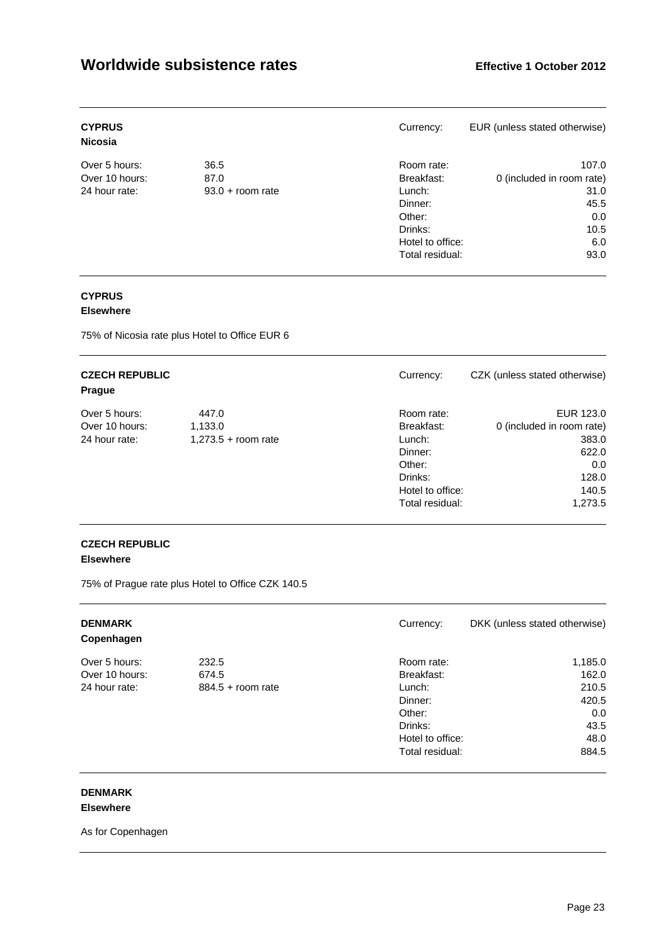| <b>CYPRUS</b><br><b>Nicosia</b> |                    | Currency:        | EUR (unless stated otherwise) |
|---------------------------------|--------------------|------------------|-------------------------------|
| Over 5 hours:                   | 36.5               | Room rate:       | 107.0                         |
| Over 10 hours:                  | 87.0               | Breakfast:       | 0 (included in room rate)     |
| 24 hour rate:                   | $93.0 + room$ rate | Lunch:           | 31.0                          |
|                                 |                    | Dinner:          | 45.5                          |
|                                 |                    | Other:           | 0.0                           |
|                                 |                    | Drinks:          | 10.5                          |
|                                 |                    | Hotel to office: | 6.0                           |
|                                 |                    | Total residual:  | 93.0                          |

### **CYPRUS**

### **Elsewhere**

75% of Nicosia rate plus Hotel to Office EUR 6

| <b>CZECH REPUBLIC</b><br><b>Prague</b> |                       | Currency:        | CZK (unless stated otherwise) |
|----------------------------------------|-----------------------|------------------|-------------------------------|
| Over 5 hours:                          | 447.0                 | Room rate:       | EUR 123.0                     |
| Over 10 hours:                         | 1,133.0               | Breakfast:       | 0 (included in room rate)     |
| 24 hour rate:                          | $1,273.5 +$ room rate | Lunch:           | 383.0                         |
|                                        |                       | Dinner:          | 622.0                         |
|                                        |                       | Other:           | 0.0                           |
|                                        |                       | Drinks:          | 128.0                         |
|                                        |                       | Hotel to office: | 140.5                         |
|                                        |                       | Total residual:  | 1,273.5                       |

# **CZECH REPUBLIC**

### **Elsewhere**

75% of Prague rate plus Hotel to Office CZK 140.5

| <b>DENMARK</b><br>Copenhagen |                     | Currency:        | DKK (unless stated otherwise) |
|------------------------------|---------------------|------------------|-------------------------------|
| Over 5 hours:                | 232.5               | Room rate:       | 1,185.0                       |
| Over 10 hours:               | 674.5               | Breakfast:       | 162.0                         |
| 24 hour rate:                | $884.5 +$ room rate | Lunch:           | 210.5                         |
|                              |                     | Dinner:          | 420.5                         |
|                              |                     | Other:           | 0.0                           |
|                              |                     | Drinks:          | 43.5                          |
|                              |                     | Hotel to office: | 48.0                          |
|                              |                     | Total residual:  | 884.5                         |

#### **DENMARK Elsewhere**

As for Copenhagen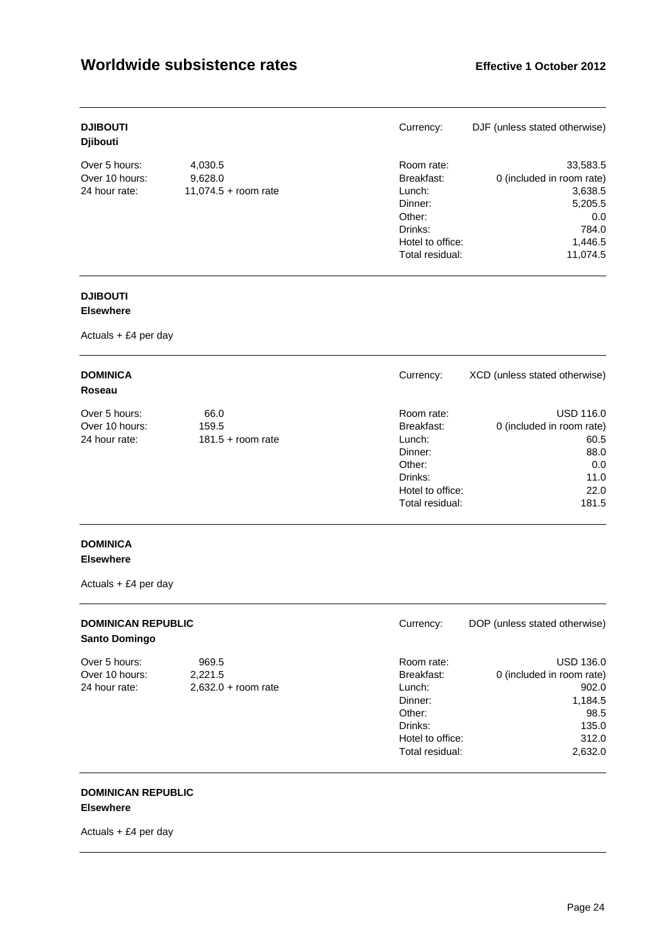| <b>DJIBOUTI</b><br><b>Diibouti</b> |                      | Currency:        | DJF (unless stated otherwise) |
|------------------------------------|----------------------|------------------|-------------------------------|
| Over 5 hours:                      | 4,030.5              | Room rate:       | 33,583.5                      |
| Over 10 hours:                     | 9,628.0              | Breakfast:       | 0 (included in room rate)     |
| 24 hour rate:                      | 11,074.5 + room rate | Lunch:           | 3,638.5                       |
|                                    |                      | Dinner:          | 5,205.5                       |
|                                    |                      | Other:           | 0.0                           |
|                                    |                      | Drinks:          | 784.0                         |
|                                    |                      | Hotel to office: | 1,446.5                       |
|                                    |                      | Total residual:  | 11.074.5                      |

# **DJIBOUTI**

### **Elsewhere**

Actuals + £4 per day

| <b>DOMINICA</b><br>Roseau |                     | Currency:        | XCD (unless stated otherwise) |
|---------------------------|---------------------|------------------|-------------------------------|
| Over 5 hours:             | 66.0                | Room rate:       | <b>USD 116.0</b>              |
| Over 10 hours:            | 159.5               | Breakfast:       | 0 (included in room rate)     |
| 24 hour rate:             | $181.5 +$ room rate | Lunch:           | 60.5                          |
|                           |                     | Dinner:          | 88.0                          |
|                           |                     | Other:           | 0.0                           |
|                           |                     | Drinks:          | 11.0                          |
|                           |                     | Hotel to office: | 22.0                          |
|                           |                     | Total residual:  | 181.5                         |

### **DOMINICA Elsewhere**

Actuals + £4 per day

| <b>DOMINICAN REPUBLIC</b><br><b>Santo Domingo</b> |                       | Currency:        | DOP (unless stated otherwise) |
|---------------------------------------------------|-----------------------|------------------|-------------------------------|
| Over 5 hours:                                     | 969.5                 | Room rate:       | <b>USD 136.0</b>              |
| Over 10 hours:                                    | 2,221.5               | Breakfast:       | 0 (included in room rate)     |
| 24 hour rate:                                     | $2,632.0 + room rate$ | Lunch:           | 902.0                         |
|                                                   |                       | Dinner:          | 1,184.5                       |
|                                                   |                       | Other:           | 98.5                          |
|                                                   |                       | Drinks:          | 135.0                         |
|                                                   |                       | Hotel to office: | 312.0                         |
|                                                   |                       | Total residual:  | 2,632.0                       |

#### **DOMINICAN REPUBLIC Elsewhere**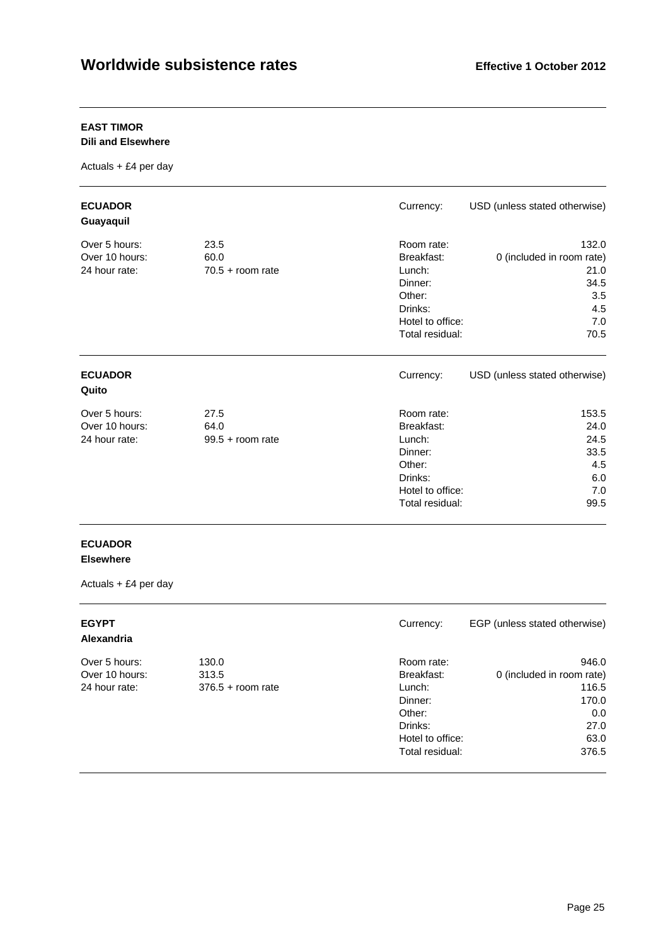### **EAST TIMOR**

**Dili and Elsewhere** 

Actuals + £4 per day

| <b>ECUADOR</b><br>Guayaquil                      |                                    | Currency:                                                                                                 | USD (unless stated otherwise)                                                   |
|--------------------------------------------------|------------------------------------|-----------------------------------------------------------------------------------------------------------|---------------------------------------------------------------------------------|
| Over 5 hours:<br>Over 10 hours:<br>24 hour rate: | 23.5<br>60.0<br>$70.5 + room rate$ | Room rate:<br>Breakfast:<br>Lunch:<br>Dinner:<br>Other:<br>Drinks:<br>Hotel to office:<br>Total residual: | 132.0<br>0 (included in room rate)<br>21.0<br>34.5<br>3.5<br>4.5<br>7.0<br>70.5 |
| <b>ECUADOR</b><br>Quito                          |                                    | Currency:                                                                                                 | USD (unless stated otherwise)                                                   |
| Over 5 hours:<br>Over 10 hours:<br>24 hour rate: | 27.5<br>64.0<br>$99.5 +$ room rate | Room rate:<br>Breakfast:<br>Lunch:<br>Dinner:<br>Other:<br>Drinks:<br>Hotel to office:<br>Total residual: | 153.5<br>24.0<br>24.5<br>33.5<br>4.5<br>6.0<br>7.0<br>99.5                      |

### **ECUADOR Elsewhere**

| <b>EGYPT</b><br><b>Alexandria</b> |                     | Currency:                                      | EGP (unless stated otherwise)      |
|-----------------------------------|---------------------|------------------------------------------------|------------------------------------|
| Over 5 hours:<br>Over 10 hours:   | 130.0<br>313.5      | Room rate:<br>Breakfast:                       | 946.0<br>0 (included in room rate) |
| 24 hour rate:                     | $376.5 +$ room rate | Lunch:<br>Dinner:<br>Other:                    | 116.5<br>170.0<br>0.0              |
|                                   |                     | Drinks:<br>Hotel to office:<br>Total residual: | 27.0<br>63.0<br>376.5              |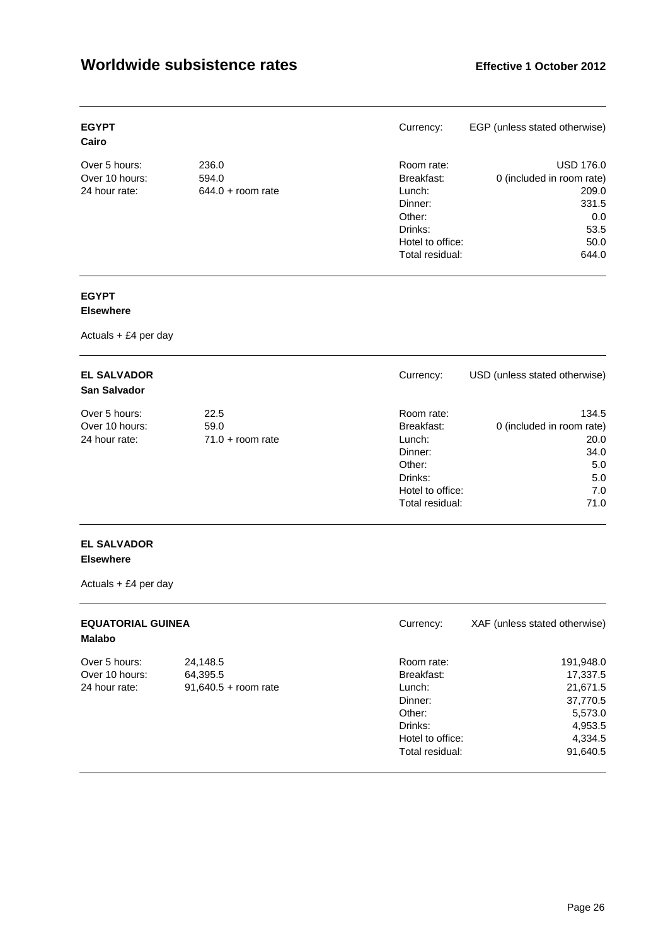| <b>EGYPT</b><br>Cairo |                     | Currency:        | EGP (unless stated otherwise) |
|-----------------------|---------------------|------------------|-------------------------------|
| Over 5 hours:         | 236.0               | Room rate:       | <b>USD 176.0</b>              |
| Over 10 hours:        | 594.0               | Breakfast:       | 0 (included in room rate)     |
| 24 hour rate:         | $644.0 +$ room rate | Lunch:           | 209.0                         |
|                       |                     | Dinner:          | 331.5                         |
|                       |                     | Other:           | 0.0                           |
|                       |                     | Drinks:          | 53.5                          |
|                       |                     | Hotel to office: | 50.0                          |
|                       |                     | Total residual:  | 644.0                         |

# **EGYPT**

### **Elsewhere**

Actuals + £4 per day

| <b>EL SALVADOR</b><br><b>San Salvador</b> |                    | Currency:        | USD (unless stated otherwise) |
|-------------------------------------------|--------------------|------------------|-------------------------------|
| Over 5 hours:                             | 22.5               | Room rate:       | 134.5                         |
| Over 10 hours:                            | 59.0               | Breakfast:       | 0 (included in room rate)     |
| 24 hour rate:                             | $71.0 + room$ rate | Lunch:           | 20.0                          |
|                                           |                    | Dinner:          | 34.0                          |
|                                           |                    | Other:           | 5.0                           |
|                                           |                    | Drinks:          | 5.0                           |
|                                           |                    | Hotel to office: | 7.0                           |
|                                           |                    | Total residual:  | 71.0                          |

### **EL SALVADOR Elsewhere**

| <b>EQUATORIAL GUINEA</b><br><b>Malabo</b> |                        | Currency:        | XAF (unless stated otherwise) |
|-------------------------------------------|------------------------|------------------|-------------------------------|
| Over 5 hours:                             | 24,148.5               | Room rate:       | 191,948.0                     |
| Over 10 hours:                            | 64,395.5               | Breakfast:       | 17,337.5                      |
| 24 hour rate:                             | $91,640.5 +$ room rate | Lunch:           | 21,671.5                      |
|                                           |                        | Dinner:          | 37,770.5                      |
|                                           |                        | Other:           | 5,573.0                       |
|                                           |                        | Drinks:          | 4,953.5                       |
|                                           |                        | Hotel to office: | 4,334.5                       |
|                                           |                        | Total residual:  | 91,640.5                      |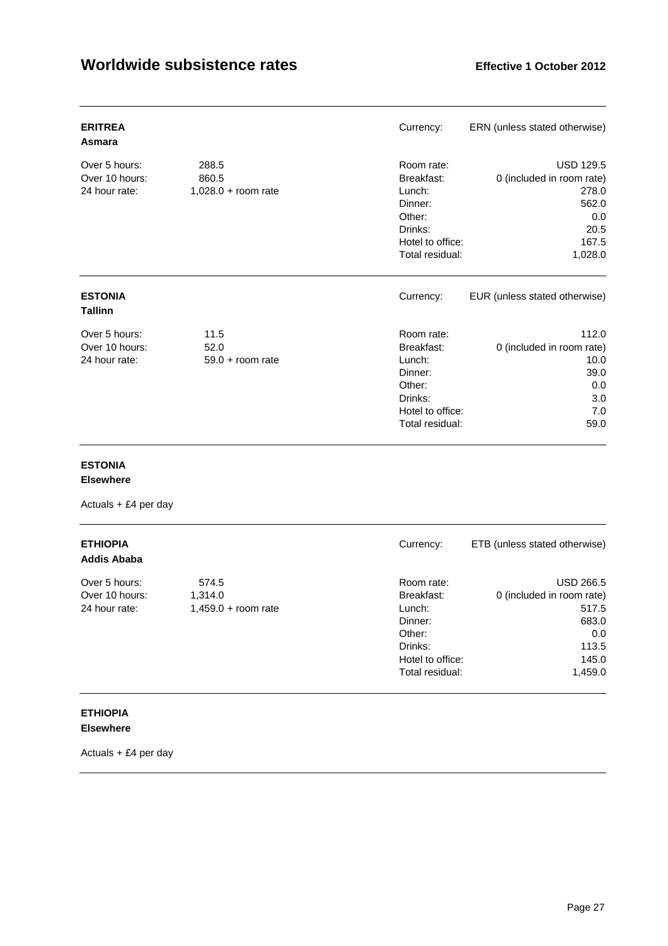| <b>ERITREA</b><br>Asmara                         |                                         | Currency:                                                                                                 | ERN (unless stated otherwise)                                                                      |
|--------------------------------------------------|-----------------------------------------|-----------------------------------------------------------------------------------------------------------|----------------------------------------------------------------------------------------------------|
| Over 5 hours:<br>Over 10 hours:<br>24 hour rate: | 288.5<br>860.5<br>$1,028.0 + room rate$ | Room rate:<br>Breakfast:<br>Lunch:<br>Dinner:<br>Other:<br>Drinks:<br>Hotel to office:<br>Total residual: | <b>USD 129.5</b><br>0 (included in room rate)<br>278.0<br>562.0<br>0.0<br>20.5<br>167.5<br>1,028.0 |
| <b>ESTONIA</b><br><b>Tallinn</b>                 |                                         | Currency:                                                                                                 | EUR (unless stated otherwise)                                                                      |
| Over 5 hours:<br>Over 10 hours:<br>24 hour rate: | 11.5<br>52.0<br>$59.0 + room$ rate      | Room rate:<br>Breakfast:<br>Lunch:<br>Dinner:<br>Other:<br>Drinks:<br>Hotel to office:<br>Total residual: | 112.0<br>0 (included in room rate)<br>10.0<br>39.0<br>0.0<br>3.0<br>7.0<br>59.0                    |

### **ESTONIA**

#### **Elsewhere**

Actuals + £4 per day

| <b>ETHIOPIA</b><br><b>Addis Ababa</b> |                       | Currency:        | ETB (unless stated otherwise) |
|---------------------------------------|-----------------------|------------------|-------------------------------|
| Over 5 hours:                         | 574.5                 | Room rate:       | USD 266.5                     |
| Over 10 hours:                        | 1,314.0               | Breakfast:       | 0 (included in room rate)     |
| 24 hour rate:                         | $1,459.0 + room rate$ | Lunch:           | 517.5                         |
|                                       |                       | Dinner:          | 683.0                         |
|                                       |                       | Other:           | 0.0                           |
|                                       |                       | Drinks:          | 113.5                         |
|                                       |                       | Hotel to office: | 145.0                         |
|                                       |                       | Total residual:  | 1,459.0                       |

### **ETHIOPIA Elsewhere**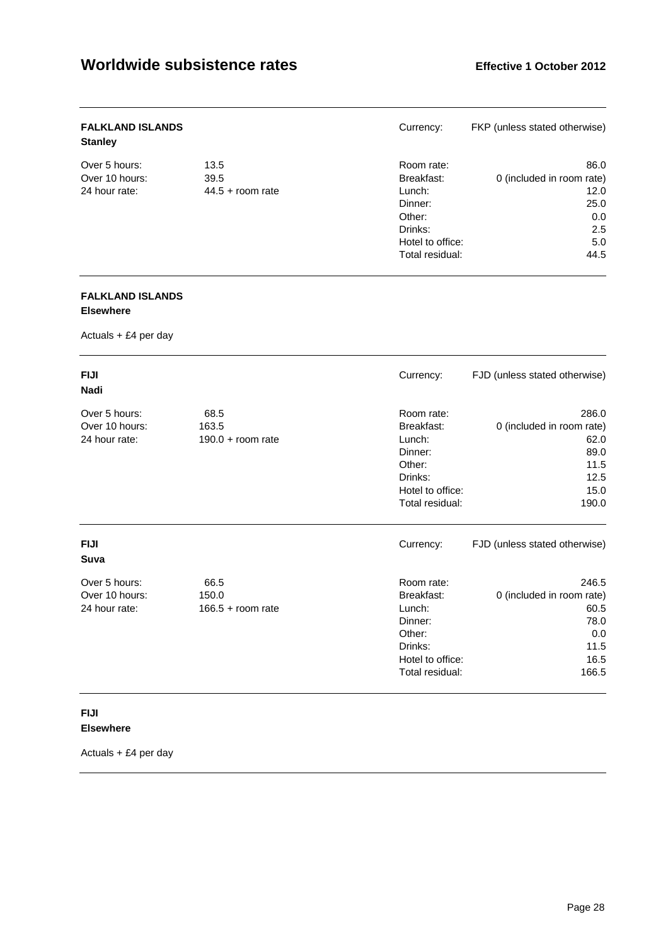| <b>FALKLAND ISLANDS</b><br><b>Stanley</b> |                    | Currency:        | FKP (unless stated otherwise) |
|-------------------------------------------|--------------------|------------------|-------------------------------|
| Over 5 hours:                             | 13.5               | Room rate:       | 86.0                          |
| Over 10 hours:                            | 39.5               | Breakfast:       | 0 (included in room rate)     |
| 24 hour rate:                             | $44.5 +$ room rate | Lunch:           | 12.0                          |
|                                           |                    | Dinner:          | 25.0                          |
|                                           |                    | Other:           | 0.0                           |
|                                           |                    | Drinks:          | 2.5                           |
|                                           |                    | Hotel to office: | 5.0                           |
|                                           |                    | Total residual:  | 44.5                          |

### **FALKLAND ISLANDS Elsewhere**

Actuals + £4 per day

| <b>FIJI</b><br>Nadi                              |                                      | Currency:                                                                                                 | FJD (unless stated otherwise)                                                       |
|--------------------------------------------------|--------------------------------------|-----------------------------------------------------------------------------------------------------------|-------------------------------------------------------------------------------------|
| Over 5 hours:<br>Over 10 hours:<br>24 hour rate: | 68.5<br>163.5<br>$190.0 + room rate$ | Room rate:<br>Breakfast:<br>Lunch:<br>Dinner:<br>Other:<br>Drinks:<br>Hotel to office:<br>Total residual: | 286.0<br>0 (included in room rate)<br>62.0<br>89.0<br>11.5<br>12.5<br>15.0<br>190.0 |
| <b>FIJI</b><br>Suva                              |                                      | Currency:                                                                                                 | FJD (unless stated otherwise)                                                       |
| Over 5 hours:<br>Over 10 hours:<br>24 hour rate: | 66.5<br>150.0<br>$166.5 +$ room rate | Room rate:<br>Breakfast:<br>Lunch:<br>Dinner:<br>Other:<br>Drinks:<br>Hotel to office:<br>Total residual: | 246.5<br>0 (included in room rate)<br>60.5<br>78.0<br>0.0<br>11.5<br>16.5<br>166.5  |

### **FIJI Elsewhere**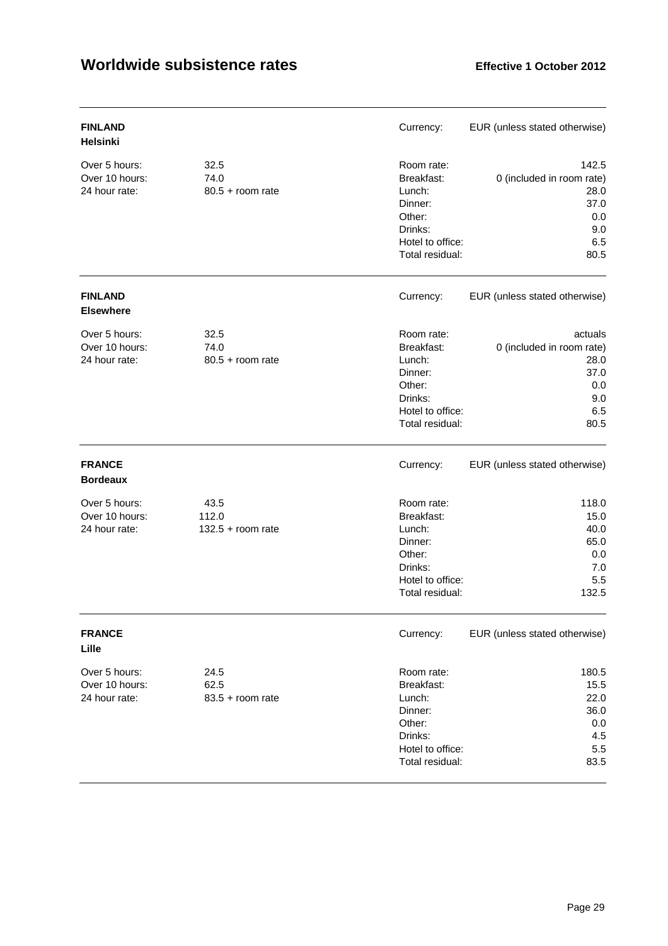| <b>FINLAND</b><br><b>Helsinki</b>                |                                      | Currency:                                                                                                 | EUR (unless stated otherwise)                                                     |
|--------------------------------------------------|--------------------------------------|-----------------------------------------------------------------------------------------------------------|-----------------------------------------------------------------------------------|
| Over 5 hours:<br>Over 10 hours:<br>24 hour rate: | 32.5<br>74.0<br>$80.5 +$ room rate   | Room rate:<br>Breakfast:<br>Lunch:<br>Dinner:<br>Other:<br>Drinks:<br>Hotel to office:<br>Total residual: | 142.5<br>0 (included in room rate)<br>28.0<br>37.0<br>0.0<br>9.0<br>6.5<br>80.5   |
| <b>FINLAND</b><br><b>Elsewhere</b>               |                                      | Currency:                                                                                                 | EUR (unless stated otherwise)                                                     |
| Over 5 hours:<br>Over 10 hours:<br>24 hour rate: | 32.5<br>74.0<br>$80.5 +$ room rate   | Room rate:<br>Breakfast:<br>Lunch:<br>Dinner:<br>Other:<br>Drinks:<br>Hotel to office:<br>Total residual: | actuals<br>0 (included in room rate)<br>28.0<br>37.0<br>0.0<br>9.0<br>6.5<br>80.5 |
| <b>FRANCE</b><br><b>Bordeaux</b>                 |                                      | Currency:                                                                                                 | EUR (unless stated otherwise)                                                     |
| Over 5 hours:<br>Over 10 hours:<br>24 hour rate: | 43.5<br>112.0<br>$132.5 + room rate$ | Room rate:<br>Breakfast:<br>Lunch:<br>Dinner:<br>Other:<br>Drinks:<br>Hotel to office:<br>Total residual: | 118.0<br>15.0<br>40.0<br>65.0<br>0.0<br>7.0<br>5.5<br>132.5                       |
| <b>FRANCE</b><br>Lille                           |                                      | Currency:                                                                                                 | EUR (unless stated otherwise)                                                     |
| Over 5 hours:<br>Over 10 hours:<br>24 hour rate: | 24.5<br>62.5<br>$83.5 +$ room rate   | Room rate:<br>Breakfast:<br>Lunch:<br>Dinner:<br>Other:<br>Drinks:<br>Hotel to office:<br>Total residual: | 180.5<br>15.5<br>22.0<br>36.0<br>0.0<br>4.5<br>5.5<br>83.5                        |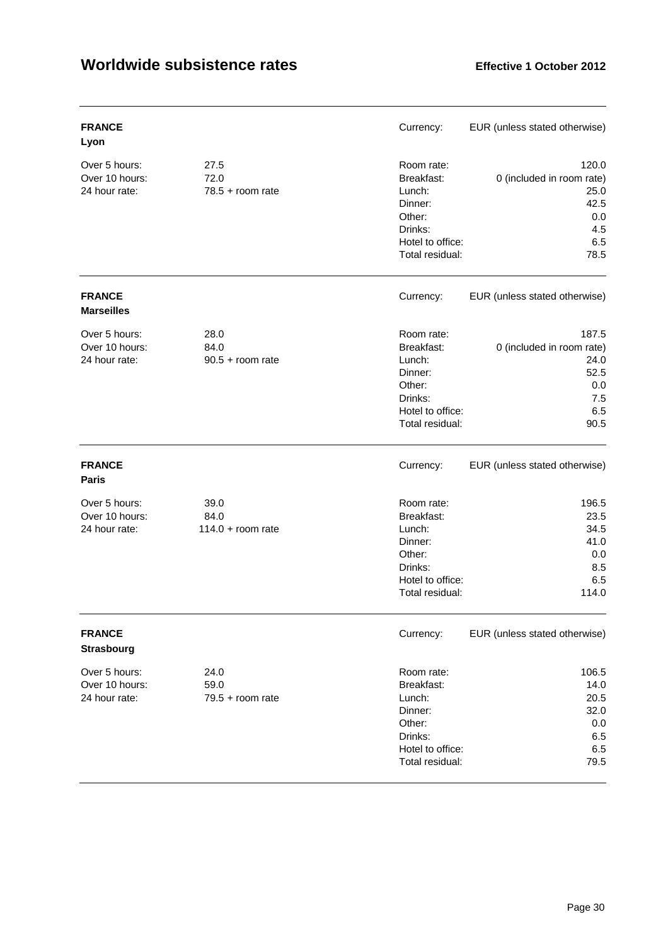| <b>FRANCE</b><br>Lyon                            |                                     | Currency:                                                                                                 | EUR (unless stated otherwise)                                                   |
|--------------------------------------------------|-------------------------------------|-----------------------------------------------------------------------------------------------------------|---------------------------------------------------------------------------------|
| Over 5 hours:<br>Over 10 hours:<br>24 hour rate: | 27.5<br>72.0<br>$78.5 +$ room rate  | Room rate:<br>Breakfast:<br>Lunch:<br>Dinner:<br>Other:<br>Drinks:<br>Hotel to office:<br>Total residual: | 120.0<br>0 (included in room rate)<br>25.0<br>42.5<br>0.0<br>4.5<br>6.5<br>78.5 |
| <b>FRANCE</b><br><b>Marseilles</b>               |                                     | Currency:                                                                                                 | EUR (unless stated otherwise)                                                   |
| Over 5 hours:<br>Over 10 hours:<br>24 hour rate: | 28.0<br>84.0<br>$90.5 +$ room rate  | Room rate:<br>Breakfast:<br>Lunch:<br>Dinner:<br>Other:<br>Drinks:<br>Hotel to office:<br>Total residual: | 187.5<br>0 (included in room rate)<br>24.0<br>52.5<br>0.0<br>7.5<br>6.5<br>90.5 |
| <b>FRANCE</b><br><b>Paris</b>                    |                                     | Currency:                                                                                                 | EUR (unless stated otherwise)                                                   |
| Over 5 hours:<br>Over 10 hours:<br>24 hour rate: | 39.0<br>84.0<br>$114.0 + room rate$ | Room rate:<br>Breakfast:<br>Lunch:<br>Dinner:<br>Other:<br>Drinks:<br>Hotel to office:<br>Total residual: | 196.5<br>23.5<br>34.5<br>41.0<br>0.0<br>8.5<br>6.5<br>114.0                     |
| <b>FRANCE</b><br><b>Strasbourg</b>               |                                     | Currency:                                                                                                 | EUR (unless stated otherwise)                                                   |
| Over 5 hours:<br>Over 10 hours:<br>24 hour rate: | 24.0<br>59.0<br>$79.5 +$ room rate  | Room rate:<br>Breakfast:<br>Lunch:<br>Dinner:<br>Other:<br>Drinks:<br>Hotel to office:<br>Total residual: | 106.5<br>14.0<br>20.5<br>32.0<br>0.0<br>6.5<br>6.5<br>79.5                      |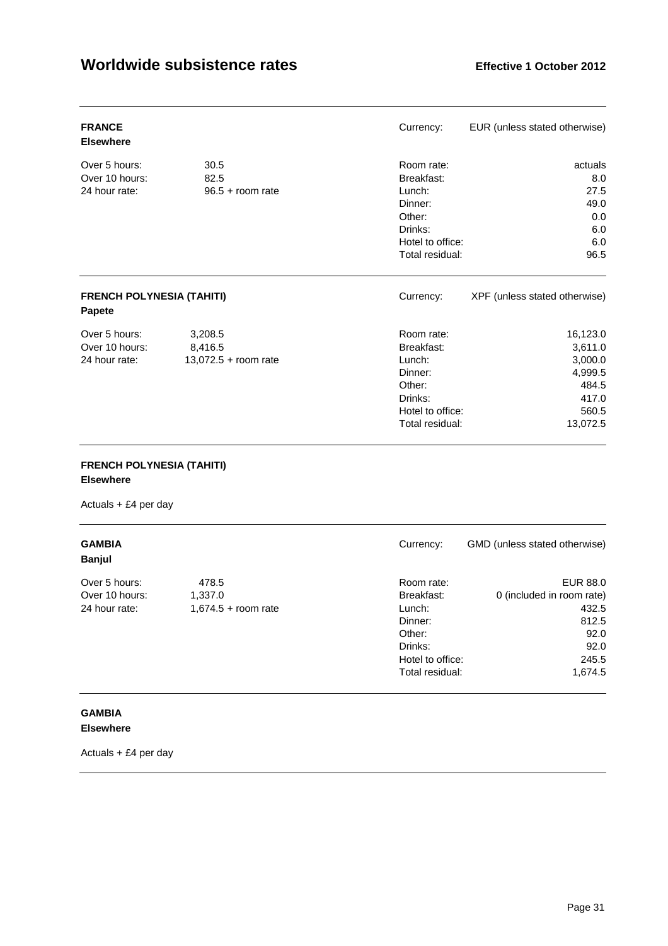| <b>FRANCE</b><br><b>Elsewhere</b>                 |                                              | Currency:                                                                                                 | EUR (unless stated otherwise)                                                    |
|---------------------------------------------------|----------------------------------------------|-----------------------------------------------------------------------------------------------------------|----------------------------------------------------------------------------------|
| Over 5 hours:<br>Over 10 hours:<br>24 hour rate:  | 30.5<br>82.5<br>$96.5 + room$ rate           | Room rate:<br>Breakfast:<br>Lunch:<br>Dinner:<br>Other:<br>Drinks:<br>Hotel to office:<br>Total residual: | actuals<br>8.0<br>27.5<br>49.0<br>0.0<br>6.0<br>6.0<br>96.5                      |
| <b>FRENCH POLYNESIA (TAHITI)</b><br><b>Papete</b> |                                              | Currency:                                                                                                 | XPF (unless stated otherwise)                                                    |
| Over 5 hours:<br>Over 10 hours:<br>24 hour rate:  | 3,208.5<br>8,416.5<br>$13,072.5 +$ room rate | Room rate:<br>Breakfast:<br>Lunch:<br>Dinner:<br>Other:<br>Drinks:<br>Hotel to office:<br>Total residual: | 16,123.0<br>3,611.0<br>3,000.0<br>4,999.5<br>484.5<br>417.0<br>560.5<br>13,072.5 |

### **FRENCH POLYNESIA (TAHITI)**

### **Elsewhere**

Actuals + £4 per day

| <b>GAMBIA</b><br><b>Banjul</b>                   |                                           | Currency:                                                                                                 | GMD (unless stated otherwise)                                                               |
|--------------------------------------------------|-------------------------------------------|-----------------------------------------------------------------------------------------------------------|---------------------------------------------------------------------------------------------|
| Over 5 hours:<br>Over 10 hours:<br>24 hour rate: | 478.5<br>1,337.0<br>$1,674.5 +$ room rate | Room rate:<br>Breakfast:<br>Lunch:<br>Dinner:<br>Other:<br>Drinks:<br>Hotel to office:<br>Total residual: | EUR 88.0<br>0 (included in room rate)<br>432.5<br>812.5<br>92.0<br>92.0<br>245.5<br>1,674.5 |

### **GAMBIA Elsewhere**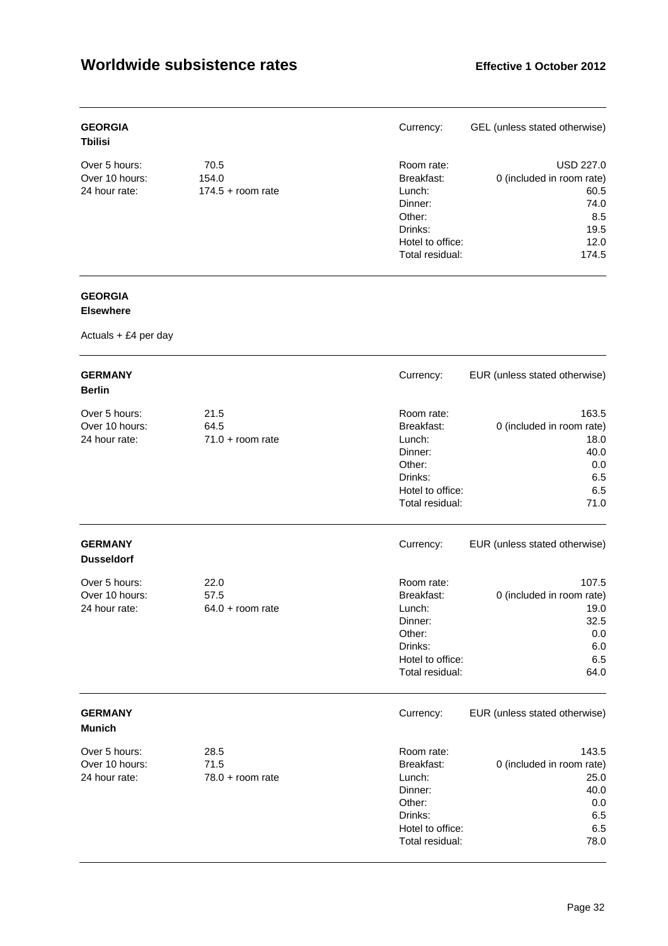| <b>GEORGIA</b><br><b>Tbilisi</b> |                     | Currency:        | GEL (unless stated otherwise) |
|----------------------------------|---------------------|------------------|-------------------------------|
| Over 5 hours:                    | 70.5                | Room rate:       | USD 227.0                     |
| Over 10 hours:                   | 154.0               | Breakfast:       | 0 (included in room rate)     |
| 24 hour rate:                    | $174.5 +$ room rate | Lunch:           | 60.5                          |
|                                  |                     | Dinner:          | 74.0                          |
|                                  |                     | Other:           | 8.5                           |
|                                  |                     | Drinks:          | 19.5                          |
|                                  |                     | Hotel to office: | 12.0                          |
|                                  |                     | Total residual:  | 174.5                         |

# **GEORGIA**

### **Elsewhere**

| <b>GERMANY</b><br><b>Berlin</b>                  |                                    | Currency:                                                                                                 | EUR (unless stated otherwise)                                                   |
|--------------------------------------------------|------------------------------------|-----------------------------------------------------------------------------------------------------------|---------------------------------------------------------------------------------|
| Over 5 hours:<br>Over 10 hours:<br>24 hour rate: | 21.5<br>64.5<br>$71.0 + room rate$ | Room rate:<br>Breakfast:<br>Lunch:<br>Dinner:<br>Other:<br>Drinks:<br>Hotel to office:<br>Total residual: | 163.5<br>0 (included in room rate)<br>18.0<br>40.0<br>0.0<br>6.5<br>6.5<br>71.0 |
| <b>GERMANY</b><br><b>Dusseldorf</b>              |                                    | Currency:                                                                                                 | EUR (unless stated otherwise)                                                   |
| Over 5 hours:<br>Over 10 hours:<br>24 hour rate: | 22.0<br>57.5<br>$64.0 + room$ rate | Room rate:<br>Breakfast:<br>Lunch:<br>Dinner:<br>Other:<br>Drinks:<br>Hotel to office:<br>Total residual: | 107.5<br>0 (included in room rate)<br>19.0<br>32.5<br>0.0<br>6.0<br>6.5<br>64.0 |
| <b>GERMANY</b><br><b>Munich</b>                  |                                    | Currency:                                                                                                 | EUR (unless stated otherwise)                                                   |
| Over 5 hours:<br>Over 10 hours:<br>24 hour rate: | 28.5<br>71.5<br>$78.0 + room rate$ | Room rate:<br>Breakfast:<br>Lunch:<br>Dinner:<br>Other:<br>Drinks:<br>Hotel to office:<br>Total residual: | 143.5<br>0 (included in room rate)<br>25.0<br>40.0<br>0.0<br>6.5<br>6.5<br>78.0 |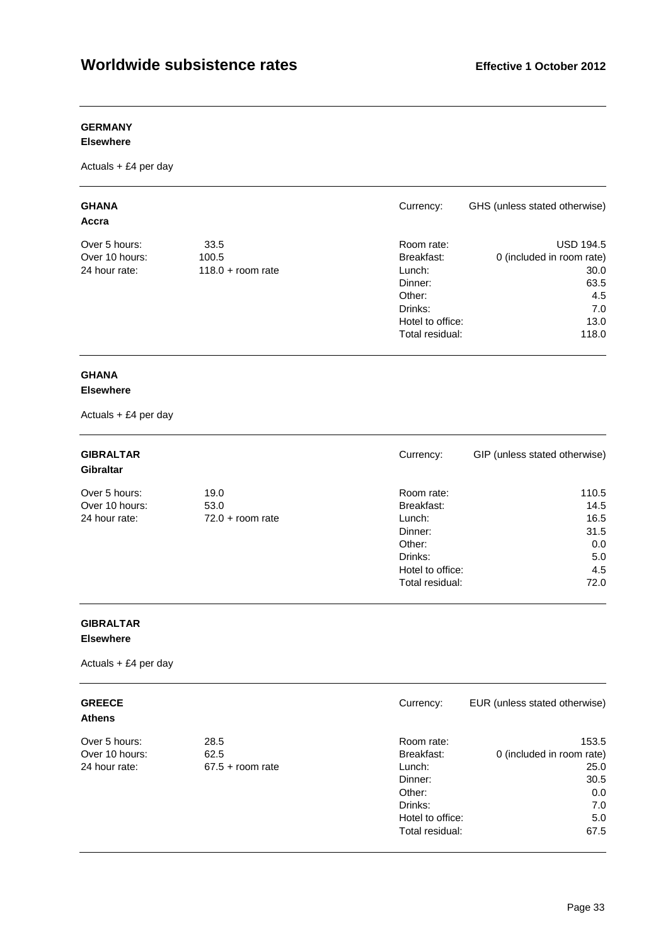### **GERMANY**

#### **Elsewhere**

Actuals + £4 per day

| <b>GHANA</b><br>Accra |                     | Currency:        | GHS (unless stated otherwise) |
|-----------------------|---------------------|------------------|-------------------------------|
| Over 5 hours:         | 33.5                | Room rate:       | <b>USD 194.5</b>              |
| Over 10 hours:        | 100.5               | Breakfast:       | 0 (included in room rate)     |
| 24 hour rate:         | $118.0 +$ room rate | Lunch:           | 30.0                          |
|                       |                     | Dinner:          | 63.5                          |
|                       |                     | Other:           | 4.5                           |
|                       |                     | Drinks:          | 7.0                           |
|                       |                     | Hotel to office: | 13.0                          |
|                       |                     | Total residual:  | 118.0                         |

### **GHANA**

### **Elsewhere**

Actuals + £4 per day

| <b>GIBRALTAR</b><br><b>Gibraltar</b> |                    | Currency:        | GIP (unless stated otherwise) |
|--------------------------------------|--------------------|------------------|-------------------------------|
| Over 5 hours:                        | 19.0               | Room rate:       | 110.5                         |
| Over 10 hours:                       | 53.0               | Breakfast:       | 14.5                          |
| 24 hour rate:                        | $72.0 + room rate$ | Lunch:           | 16.5                          |
|                                      |                    | Dinner:          | 31.5                          |
|                                      |                    | Other:           | 0.0                           |
|                                      |                    | Drinks:          | 5.0                           |
|                                      |                    | Hotel to office: | 4.5                           |
|                                      |                    | Total residual:  | 72.0                          |

# **GIBRALTAR**

**Elsewhere** 

| <b>GREECE</b><br><b>Athens</b> |                    | Currency:        | EUR (unless stated otherwise) |
|--------------------------------|--------------------|------------------|-------------------------------|
| Over 5 hours:                  | 28.5               | Room rate:       | 153.5                         |
| Over 10 hours:                 | 62.5               | Breakfast:       | 0 (included in room rate)     |
| 24 hour rate:                  | $67.5 +$ room rate | Lunch:           | 25.0                          |
|                                |                    | Dinner:          | 30.5                          |
|                                |                    | Other:           | 0.0                           |
|                                |                    | Drinks:          | 7.0                           |
|                                |                    | Hotel to office: | 5.0                           |
|                                |                    | Total residual:  | 67.5                          |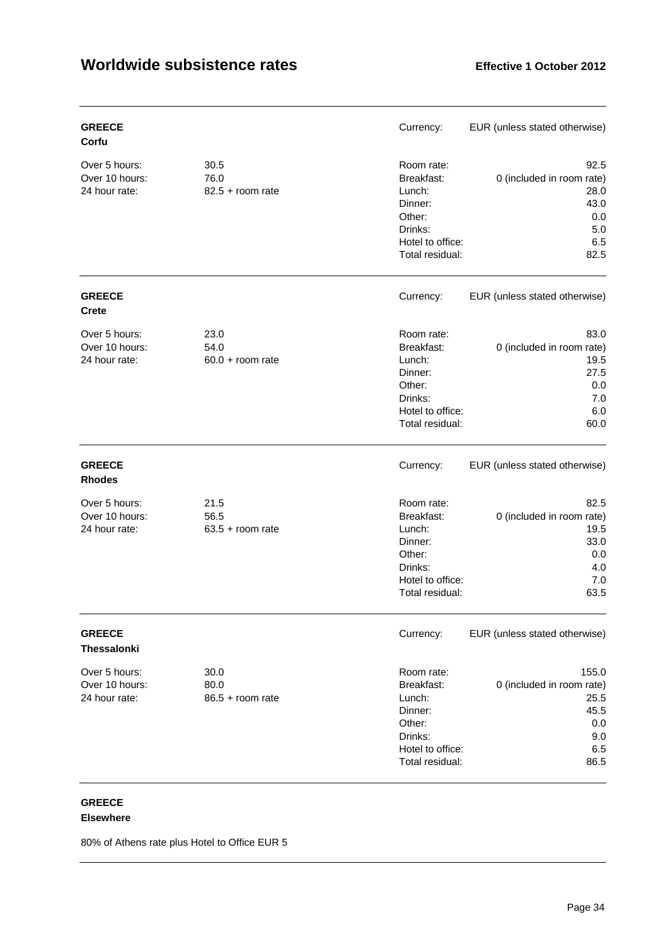| <b>GREECE</b><br>Corfu                           |                                    | Currency:                                                                                                 | EUR (unless stated otherwise)                                                    |
|--------------------------------------------------|------------------------------------|-----------------------------------------------------------------------------------------------------------|----------------------------------------------------------------------------------|
| Over 5 hours:<br>Over 10 hours:<br>24 hour rate: | 30.5<br>76.0<br>$82.5 +$ room rate | Room rate:<br>Breakfast:<br>Lunch:<br>Dinner:<br>Other:<br>Drinks:<br>Hotel to office:<br>Total residual: | 92.5<br>0 (included in room rate)<br>28.0<br>43.0<br>0.0<br>$5.0$<br>6.5<br>82.5 |
| <b>GREECE</b><br><b>Crete</b>                    |                                    | Currency:                                                                                                 | EUR (unless stated otherwise)                                                    |
| Over 5 hours:<br>Over 10 hours:<br>24 hour rate: | 23.0<br>54.0<br>$60.0 + room$ rate | Room rate:<br>Breakfast:<br>Lunch:<br>Dinner:<br>Other:<br>Drinks:<br>Hotel to office:<br>Total residual: | 83.0<br>0 (included in room rate)<br>19.5<br>27.5<br>0.0<br>7.0<br>6.0<br>60.0   |
| <b>GREECE</b><br><b>Rhodes</b>                   |                                    | Currency:                                                                                                 | EUR (unless stated otherwise)                                                    |
| Over 5 hours:<br>Over 10 hours:<br>24 hour rate: | 21.5<br>56.5<br>$63.5 +$ room rate | Room rate:<br>Breakfast:<br>Lunch:<br>Dinner:<br>Other:<br>Drinks:<br>Hotel to office:<br>Total residual: | 82.5<br>0 (included in room rate)<br>19.5<br>33.0<br>0.0<br>4.0<br>7.0<br>63.5   |
| <b>GREECE</b><br><b>Thessalonki</b>              |                                    | Currency:                                                                                                 | EUR (unless stated otherwise)                                                    |
| Over 5 hours:<br>Over 10 hours:<br>24 hour rate: | 30.0<br>80.0<br>$86.5 + room$ rate | Room rate:<br>Breakfast:<br>Lunch:<br>Dinner:<br>Other:<br>Drinks:<br>Hotel to office:<br>Total residual: | 155.0<br>0 (included in room rate)<br>25.5<br>45.5<br>0.0<br>9.0<br>6.5<br>86.5  |

# **GREECE**

### **Elsewhere**

80% of Athens rate plus Hotel to Office EUR 5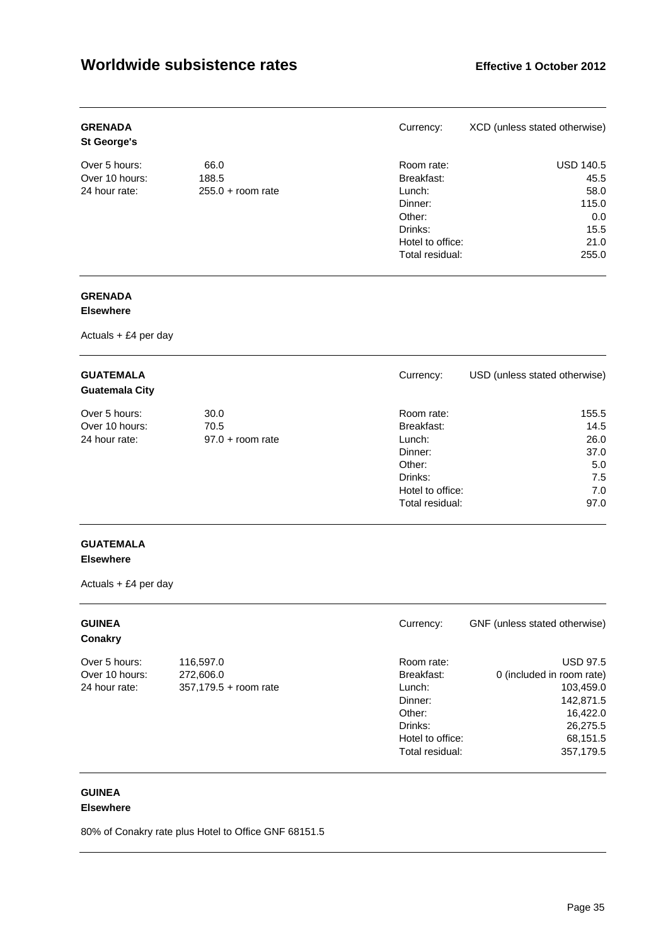| <b>GRENADA</b><br><b>St George's</b> |                     | Currency:        | XCD (unless stated otherwise) |
|--------------------------------------|---------------------|------------------|-------------------------------|
| Over 5 hours:                        | 66.0                | Room rate:       | <b>USD 140.5</b>              |
| Over 10 hours:                       | 188.5               | Breakfast:       | 45.5                          |
| 24 hour rate:                        | $255.0 + room rate$ | Lunch:           | 58.0                          |
|                                      |                     | Dinner:          | 115.0                         |
|                                      |                     | Other:           | 0.0                           |
|                                      |                     | Drinks:          | 15.5                          |
|                                      |                     | Hotel to office: | 21.0                          |
|                                      |                     | Total residual:  | 255.0                         |

### **GRENADA**

### **Elsewhere**

Actuals + £4 per day

| <b>GUATEMALA</b><br><b>Guatemala City</b> |                    | Currency:        | USD (unless stated otherwise) |
|-------------------------------------------|--------------------|------------------|-------------------------------|
| Over 5 hours:                             | 30.0               | Room rate:       | 155.5                         |
| Over 10 hours:                            | 70.5               | Breakfast:       | 14.5                          |
| 24 hour rate:                             | $97.0 +$ room rate | Lunch:           | 26.0                          |
|                                           |                    | Dinner:          | 37.0                          |
|                                           |                    | Other:           | 5.0                           |
|                                           |                    | Drinks:          | 7.5                           |
|                                           |                    | Hotel to office: | 7.0                           |
|                                           |                    | Total residual:  | 97.0                          |

### **GUATEMALA Elsewhere**

Actuals + £4 per day

| <b>GUINEA</b><br>Conakry |                       | Currency:        | GNF (unless stated otherwise) |
|--------------------------|-----------------------|------------------|-------------------------------|
| Over 5 hours:            | 116,597.0             | Room rate:       | <b>USD 97.5</b>               |
| Over 10 hours:           | 272,606.0             | Breakfast:       | 0 (included in room rate)     |
| 24 hour rate:            | 357,179.5 + room rate | Lunch:           | 103,459.0                     |
|                          |                       | Dinner:          | 142,871.5                     |
|                          |                       | Other:           | 16,422.0                      |
|                          |                       | Drinks:          | 26,275.5                      |
|                          |                       | Hotel to office: | 68,151.5                      |
|                          |                       | Total residual:  | 357,179.5                     |

#### **GUINEA Elsewhere**

80% of Conakry rate plus Hotel to Office GNF 68151.5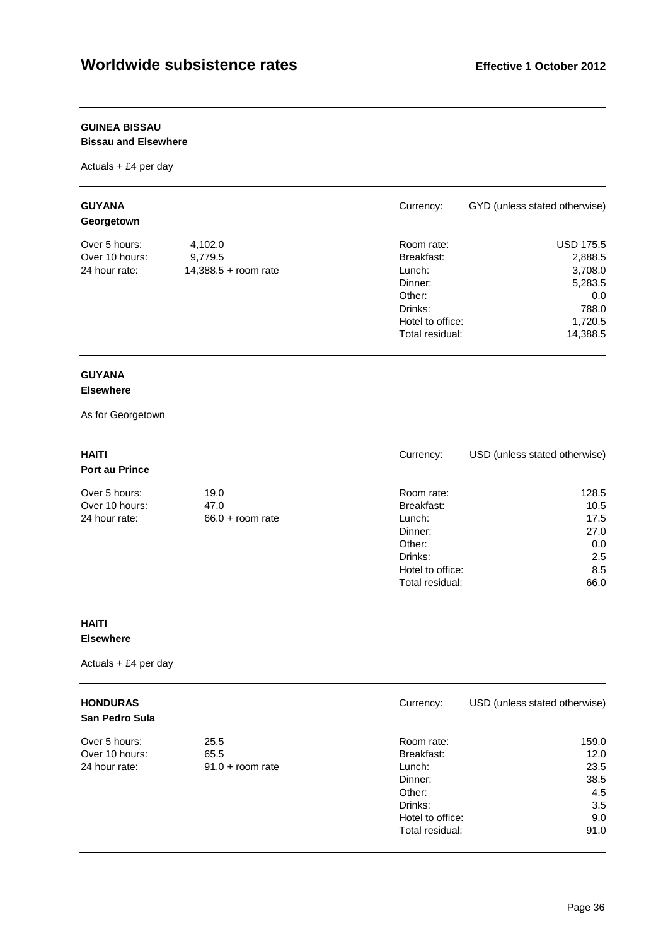### **GUINEA BISSAU**

### **Bissau and Elsewhere**

Actuals + £4 per day

| <b>GUYANA</b><br>Georgetown |                      | Currency:        | GYD (unless stated otherwise) |
|-----------------------------|----------------------|------------------|-------------------------------|
| Over 5 hours:               | 4,102.0              | Room rate:       | <b>USD 175.5</b>              |
| Over 10 hours:              | 9,779.5              | Breakfast:       | 2,888.5                       |
| 24 hour rate:               | 14,388.5 + room rate | Lunch:           | 3,708.0                       |
|                             |                      | Dinner:          | 5,283.5                       |
|                             |                      | Other:           | 0.0                           |
|                             |                      | Drinks:          | 788.0                         |
|                             |                      | Hotel to office: | 1,720.5                       |
|                             |                      | Total residual:  | 14,388.5                      |

### **GUYANA**

### **Elsewhere**

As for Georgetown

| <b>HAITI</b><br><b>Port au Prince</b> |                    | Currency:        | USD (unless stated otherwise) |
|---------------------------------------|--------------------|------------------|-------------------------------|
| Over 5 hours:                         | 19.0               | Room rate:       | 128.5                         |
| Over 10 hours:                        | 47.0               | Breakfast:       | 10.5                          |
| 24 hour rate:                         | $66.0 + room$ rate | Lunch:           | 17.5                          |
|                                       |                    | Dinner:          | 27.0                          |
|                                       |                    | Other:           | 0.0                           |
|                                       |                    | Drinks:          | 2.5                           |
|                                       |                    | Hotel to office: | 8.5                           |
|                                       |                    | Total residual:  | 66.0                          |

### **HAITI Elsewhere**

| <b>HONDURAS</b><br><b>San Pedro Sula</b> |                    | Currency:        | USD (unless stated otherwise) |
|------------------------------------------|--------------------|------------------|-------------------------------|
| Over 5 hours:                            | 25.5               | Room rate:       | 159.0                         |
| Over 10 hours:                           | 65.5               | Breakfast:       | 12.0                          |
| 24 hour rate:                            | $91.0 + room$ rate | Lunch:           | 23.5                          |
|                                          |                    | Dinner:          | 38.5                          |
|                                          |                    | Other:           | 4.5                           |
|                                          |                    | Drinks:          | 3.5                           |
|                                          |                    | Hotel to office: | 9.0                           |
|                                          |                    | Total residual:  | 91.0                          |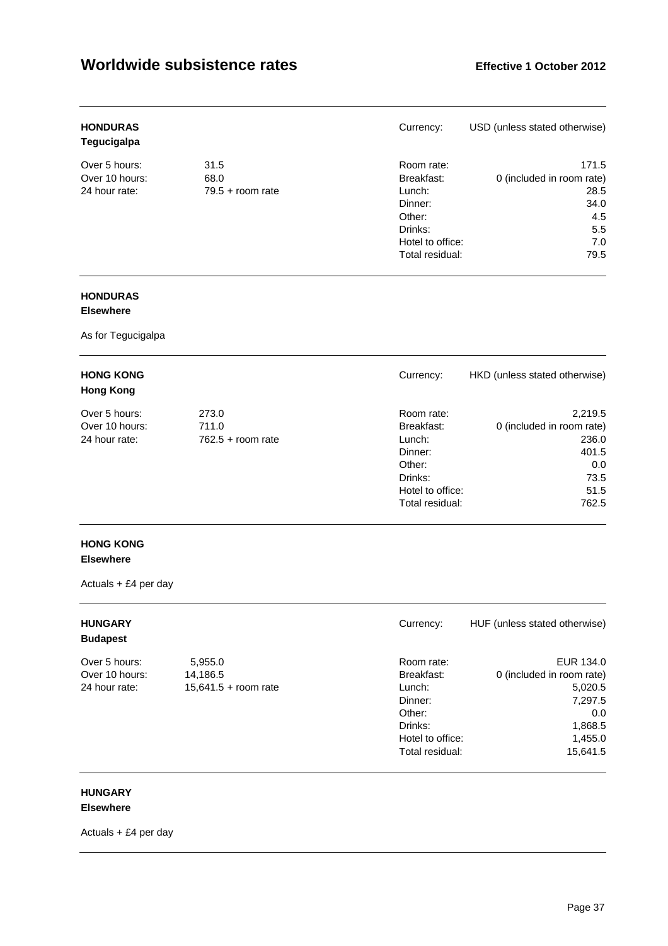| <b>HONDURAS</b><br>Tegucigalpa |                    | Currency:        | USD (unless stated otherwise) |
|--------------------------------|--------------------|------------------|-------------------------------|
| Over 5 hours:                  | 31.5               | Room rate:       | 171.5                         |
| Over 10 hours:                 | 68.0               | Breakfast:       | 0 (included in room rate)     |
| 24 hour rate:                  | $79.5 +$ room rate | Lunch:           | 28.5                          |
|                                |                    | Dinner:          | 34.0                          |
|                                |                    | Other:           | 4.5                           |
|                                |                    | Drinks:          | 5.5                           |
|                                |                    | Hotel to office: | 7.0                           |
|                                |                    | Total residual:  | 79.5                          |
|                                |                    |                  |                               |

# **HONDURAS**

## **Elsewhere**

As for Tegucigalpa

| <b>HONG KONG</b><br><b>Hong Kong</b> |                     | Currency:        | HKD (unless stated otherwise) |
|--------------------------------------|---------------------|------------------|-------------------------------|
| Over 5 hours:                        | 273.0               | Room rate:       | 2,219.5                       |
| Over 10 hours:                       | 711.0               | Breakfast:       | 0 (included in room rate)     |
| 24 hour rate:                        | $762.5 +$ room rate | Lunch:           | 236.0                         |
|                                      |                     | Dinner:          | 401.5                         |
|                                      |                     | Other:           | 0.0                           |
|                                      |                     | Drinks:          | 73.5                          |
|                                      |                     | Hotel to office: | 51.5                          |
|                                      |                     | Total residual:  | 762.5                         |

## **HONG KONG Elsewhere**

Actuals + £4 per day

| <b>HUNGARY</b><br><b>Budapest</b> |                        | Currency:        | HUF (unless stated otherwise) |
|-----------------------------------|------------------------|------------------|-------------------------------|
| Over 5 hours:                     | 5,955.0                | Room rate:       | EUR 134.0                     |
| Over 10 hours:                    | 14.186.5               | Breakfast:       | 0 (included in room rate)     |
| 24 hour rate:                     | $15,641.5 +$ room rate | Lunch:           | 5,020.5                       |
|                                   |                        | Dinner:          | 7,297.5                       |
|                                   |                        | Other:           | 0.0                           |
|                                   |                        | Drinks:          | 1,868.5                       |
|                                   |                        | Hotel to office: | 1,455.0                       |
|                                   |                        | Total residual:  | 15,641.5                      |

#### **HUNGARY Elsewhere**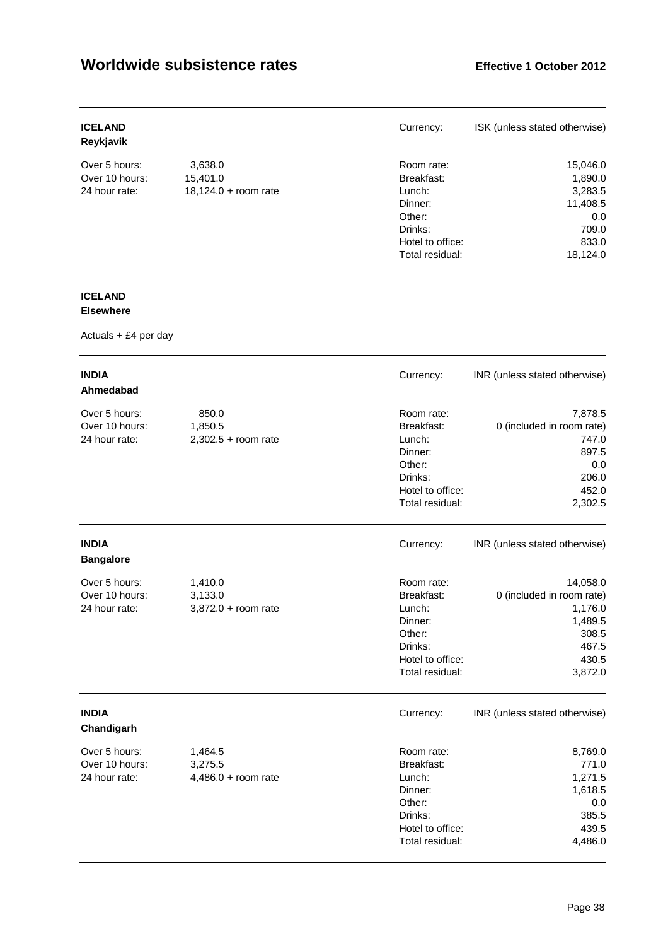| <b>ICELAND</b><br>Reykjavik |                      | Currency:        | ISK (unless stated otherwise) |
|-----------------------------|----------------------|------------------|-------------------------------|
| Over 5 hours:               | 3,638.0              | Room rate:       | 15,046.0                      |
| Over 10 hours:              | 15,401.0             | Breakfast:       | 1,890.0                       |
| 24 hour rate:               | 18,124.0 + room rate | Lunch:           | 3,283.5                       |
|                             |                      | Dinner:          | 11,408.5                      |
|                             |                      | Other:           | 0.0                           |
|                             |                      | Drinks:          | 709.0                         |
|                             |                      | Hotel to office: | 833.0                         |
|                             |                      | Total residual:  | 18.124.0                      |

# **ICELAND**

## **Elsewhere**

| <b>INDIA</b><br>Ahmedabad                        |                                             | Currency:                                                                                                 | INR (unless stated otherwise)                                                                     |
|--------------------------------------------------|---------------------------------------------|-----------------------------------------------------------------------------------------------------------|---------------------------------------------------------------------------------------------------|
| Over 5 hours:<br>Over 10 hours:<br>24 hour rate: | 850.0<br>1,850.5<br>$2,302.5 +$ room rate   | Room rate:<br>Breakfast:<br>Lunch:<br>Dinner:<br>Other:<br>Drinks:<br>Hotel to office:<br>Total residual: | 7,878.5<br>0 (included in room rate)<br>747.0<br>897.5<br>0.0<br>206.0<br>452.0<br>2,302.5        |
| <b>INDIA</b><br><b>Bangalore</b>                 |                                             | Currency:                                                                                                 | INR (unless stated otherwise)                                                                     |
| Over 5 hours:<br>Over 10 hours:<br>24 hour rate: | 1,410.0<br>3,133.0<br>$3,872.0 + room rate$ | Room rate:<br>Breakfast:<br>Lunch:<br>Dinner:<br>Other:<br>Drinks:<br>Hotel to office:<br>Total residual: | 14,058.0<br>0 (included in room rate)<br>1,176.0<br>1,489.5<br>308.5<br>467.5<br>430.5<br>3,872.0 |
| <b>INDIA</b><br>Chandigarh                       |                                             | Currency:                                                                                                 | INR (unless stated otherwise)                                                                     |
| Over 5 hours:<br>Over 10 hours:<br>24 hour rate: | 1,464.5<br>3,275.5<br>$4,486.0 +$ room rate | Room rate:<br>Breakfast:<br>Lunch:<br>Dinner:<br>Other:<br>Drinks:<br>Hotel to office:<br>Total residual: | 8,769.0<br>771.0<br>1,271.5<br>1,618.5<br>0.0<br>385.5<br>439.5<br>4,486.0                        |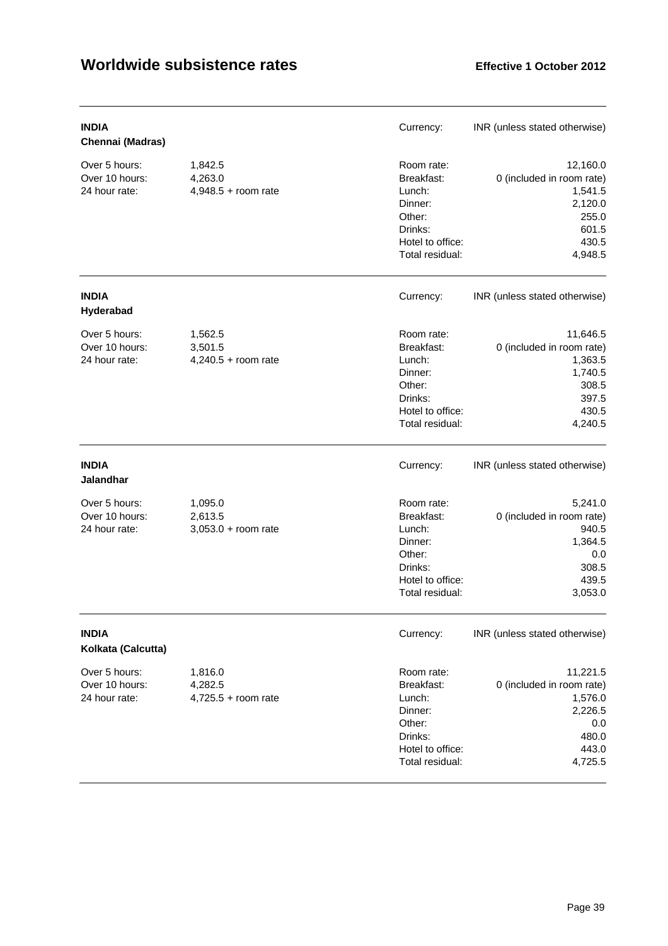| <b>INDIA</b><br>Chennai (Madras)                 |                                             | Currency:                                                                                                 | INR (unless stated otherwise)                                                                     |
|--------------------------------------------------|---------------------------------------------|-----------------------------------------------------------------------------------------------------------|---------------------------------------------------------------------------------------------------|
| Over 5 hours:<br>Over 10 hours:<br>24 hour rate: | 1,842.5<br>4,263.0<br>$4,948.5 +$ room rate | Room rate:<br>Breakfast:<br>Lunch:<br>Dinner:<br>Other:<br>Drinks:<br>Hotel to office:<br>Total residual: | 12,160.0<br>0 (included in room rate)<br>1,541.5<br>2,120.0<br>255.0<br>601.5<br>430.5<br>4,948.5 |
| <b>INDIA</b><br>Hyderabad                        |                                             | Currency:                                                                                                 | INR (unless stated otherwise)                                                                     |
| Over 5 hours:<br>Over 10 hours:<br>24 hour rate: | 1,562.5<br>3,501.5<br>$4,240.5 +$ room rate | Room rate:<br>Breakfast:<br>Lunch:<br>Dinner:<br>Other:<br>Drinks:<br>Hotel to office:<br>Total residual: | 11,646.5<br>0 (included in room rate)<br>1,363.5<br>1,740.5<br>308.5<br>397.5<br>430.5<br>4,240.5 |
| <b>INDIA</b><br><b>Jalandhar</b>                 |                                             | Currency:                                                                                                 | INR (unless stated otherwise)                                                                     |
| Over 5 hours:<br>Over 10 hours:<br>24 hour rate: | 1,095.0<br>2,613.5<br>$3,053.0 +$ room rate | Room rate:<br>Breakfast:<br>Lunch:<br>Dinner:<br>Other:<br>Drinks:<br>Hotel to office:<br>Total residual: | 5,241.0<br>0 (included in room rate)<br>940.5<br>1,364.5<br>0.0<br>308.5<br>439.5<br>3,053.0      |
| <b>INDIA</b><br>Kolkata (Calcutta)               |                                             | Currency:                                                                                                 | INR (unless stated otherwise)                                                                     |
| Over 5 hours:<br>Over 10 hours:<br>24 hour rate: | 1,816.0<br>4,282.5<br>$4,725.5 +$ room rate | Room rate:<br>Breakfast:<br>Lunch:<br>Dinner:<br>Other:<br>Drinks:<br>Hotel to office:<br>Total residual: | 11,221.5<br>0 (included in room rate)<br>1,576.0<br>2,226.5<br>0.0<br>480.0<br>443.0<br>4,725.5   |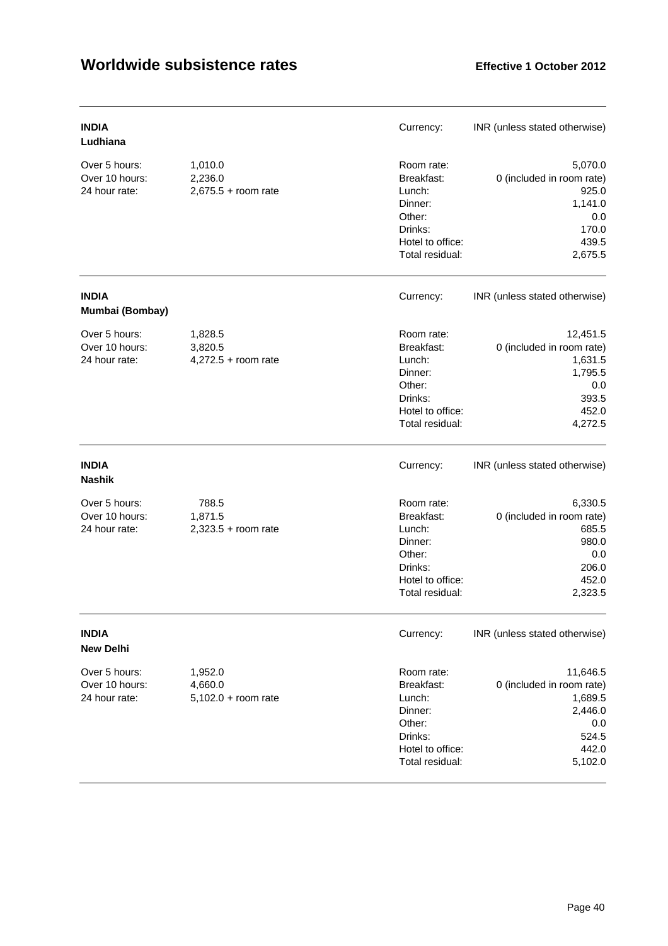| <b>INDIA</b><br>Ludhiana                         |                                             | Currency:                                                                                                 | INR (unless stated otherwise)                                                                   |
|--------------------------------------------------|---------------------------------------------|-----------------------------------------------------------------------------------------------------------|-------------------------------------------------------------------------------------------------|
| Over 5 hours:<br>Over 10 hours:<br>24 hour rate: | 1,010.0<br>2,236.0<br>$2,675.5 +$ room rate | Room rate:<br>Breakfast:<br>Lunch:<br>Dinner:<br>Other:<br>Drinks:<br>Hotel to office:<br>Total residual: | 5,070.0<br>0 (included in room rate)<br>925.0<br>1,141.0<br>0.0<br>170.0<br>439.5<br>2,675.5    |
| <b>INDIA</b><br>Mumbai (Bombay)                  |                                             | Currency:                                                                                                 | INR (unless stated otherwise)                                                                   |
| Over 5 hours:<br>Over 10 hours:<br>24 hour rate: | 1,828.5<br>3,820.5<br>4,272.5 + room rate   | Room rate:<br>Breakfast:<br>Lunch:<br>Dinner:<br>Other:<br>Drinks:<br>Hotel to office:<br>Total residual: | 12,451.5<br>0 (included in room rate)<br>1,631.5<br>1,795.5<br>0.0<br>393.5<br>452.0<br>4,272.5 |
| <b>INDIA</b><br><b>Nashik</b>                    |                                             | Currency:                                                                                                 | INR (unless stated otherwise)                                                                   |
| Over 5 hours:<br>Over 10 hours:<br>24 hour rate: | 788.5<br>1,871.5<br>$2,323.5 +$ room rate   | Room rate:<br>Breakfast:<br>Lunch:<br>Dinner:<br>Other:<br>Drinks:<br>Hotel to office:<br>Total residual: | 6,330.5<br>0 (included in room rate)<br>685.5<br>980.0<br>0.0<br>206.0<br>452.0<br>2,323.5      |
| <b>INDIA</b><br><b>New Delhi</b>                 |                                             | Currency:                                                                                                 | INR (unless stated otherwise)                                                                   |
| Over 5 hours:<br>Over 10 hours:<br>24 hour rate: | 1,952.0<br>4,660.0<br>$5,102.0 + room$ rate | Room rate:<br>Breakfast:<br>Lunch:<br>Dinner:<br>Other:<br>Drinks:<br>Hotel to office:<br>Total residual: | 11,646.5<br>0 (included in room rate)<br>1,689.5<br>2,446.0<br>0.0<br>524.5<br>442.0<br>5,102.0 |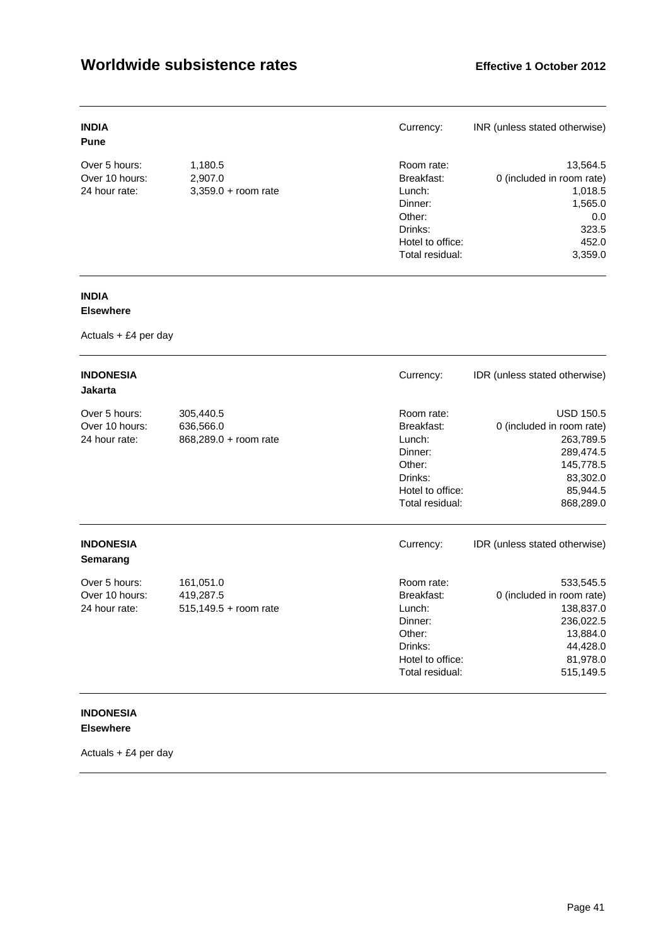| <b>INDIA</b><br><b>Pune</b> |                       | Currency:        | INR (unless stated otherwise) |
|-----------------------------|-----------------------|------------------|-------------------------------|
| Over 5 hours:               | 1,180.5               | Room rate:       | 13,564.5                      |
| Over 10 hours:              | 2.907.0               | Breakfast:       | 0 (included in room rate)     |
| 24 hour rate:               | $3,359.0 + room rate$ | Lunch:           | 1,018.5                       |
|                             |                       | Dinner:          | 1,565.0                       |
|                             |                       | Other:           | 0.0                           |
|                             |                       | Drinks:          | 323.5                         |
|                             |                       | Hotel to office: | 452.0                         |
|                             |                       | Total residual:  | 3,359.0                       |

# **INDIA**

## **Elsewhere**

Actuals + £4 per day

| <b>INDONESIA</b><br><b>Jakarta</b>               |                                                 | Currency:                                                                                                 | IDR (unless stated otherwise)                                                                                             |
|--------------------------------------------------|-------------------------------------------------|-----------------------------------------------------------------------------------------------------------|---------------------------------------------------------------------------------------------------------------------------|
| Over 5 hours:<br>Over 10 hours:<br>24 hour rate: | 305,440.5<br>636,566.0<br>868,289.0 + room rate | Room rate:<br>Breakfast:<br>Lunch:<br>Dinner:<br>Other:<br>Drinks:<br>Hotel to office:<br>Total residual: | <b>USD 150.5</b><br>0 (included in room rate)<br>263,789.5<br>289,474.5<br>145,778.5<br>83,302.0<br>85,944.5<br>868,289.0 |
| <b>INDONESIA</b><br>Semarang                     |                                                 | Currency:                                                                                                 | IDR (unless stated otherwise)                                                                                             |
| Over 5 hours:<br>Over 10 hours:<br>24 hour rate: | 161,051.0<br>419,287.5<br>515,149.5 + room rate | Room rate:<br>Breakfast:<br>Lunch:<br>Dinner:<br>Other:<br>Drinks:<br>Hotel to office:<br>Total residual: | 533,545.5<br>0 (included in room rate)<br>138,837.0<br>236,022.5<br>13,884.0<br>44,428.0<br>81,978.0<br>515,149.5         |

## **INDONESIA Elsewhere**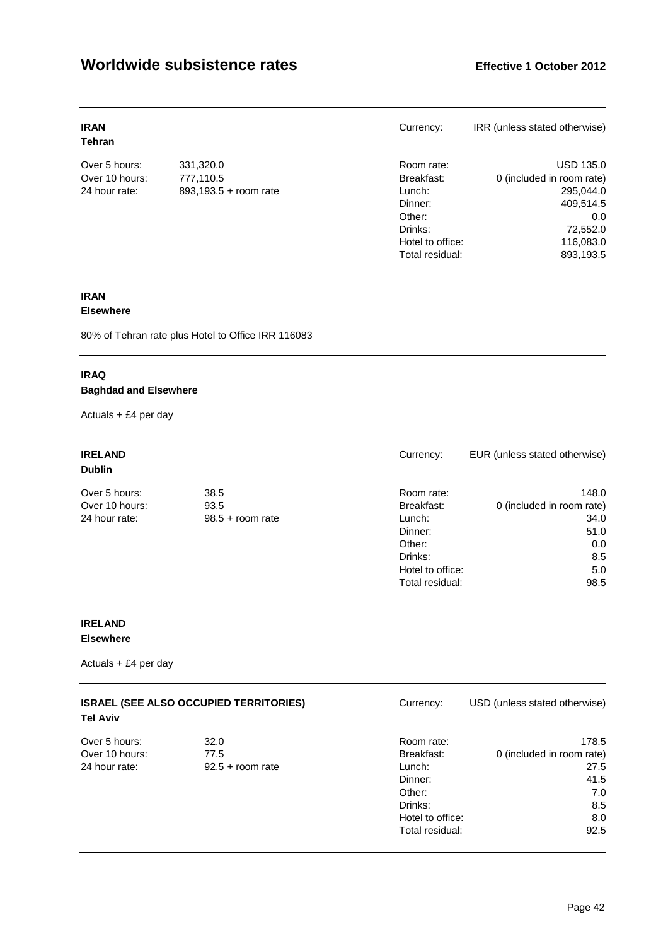| <b>IRAN</b><br>Tehran |                       | Currency:        | IRR (unless stated otherwise) |
|-----------------------|-----------------------|------------------|-------------------------------|
| Over 5 hours:         | 331,320.0             | Room rate:       | <b>USD 135.0</b>              |
| Over 10 hours:        | 777,110.5             | Breakfast:       | 0 (included in room rate)     |
| 24 hour rate:         | 893,193.5 + room rate | Lunch:           | 295,044.0                     |
|                       |                       | Dinner:          | 409,514.5                     |
|                       |                       | Other:           | 0.0                           |
|                       |                       | Drinks:          | 72,552.0                      |
|                       |                       | Hotel to office: | 116,083.0                     |
|                       |                       | Total residual:  | 893,193.5                     |

# **IRAN**

## **Elsewhere**

80% of Tehran rate plus Hotel to Office IRR 116083

## **IRAQ Baghdad and Elsewhere**

Actuals + £4 per day

| <b>IRELAND</b><br><b>Dublin</b> |                    | Currency:        | EUR (unless stated otherwise) |
|---------------------------------|--------------------|------------------|-------------------------------|
| Over 5 hours:                   | 38.5               | Room rate:       | 148.0                         |
| Over 10 hours:                  | 93.5               | Breakfast:       | 0 (included in room rate)     |
| 24 hour rate:                   | $98.5 +$ room rate | Lunch:           | 34.0                          |
|                                 |                    | Dinner:          | 51.0                          |
|                                 |                    | Other:           | 0.0                           |
|                                 |                    | Drinks:          | 8.5                           |
|                                 |                    | Hotel to office: | 5.0                           |
|                                 |                    | Total residual:  | 98.5                          |

## **IRELAND Elsewhere**

| <b>ISRAEL (SEE ALSO OCCUPIED TERRITORIES)</b><br><b>Tel Aviv</b> |                    | Currency:        | USD (unless stated otherwise) |
|------------------------------------------------------------------|--------------------|------------------|-------------------------------|
| Over 5 hours:                                                    | 32.0               | Room rate:       | 178.5                         |
| Over 10 hours:                                                   | 77.5               | Breakfast:       | 0 (included in room rate)     |
| 24 hour rate:                                                    | $92.5 +$ room rate | Lunch:           | 27.5                          |
|                                                                  |                    | Dinner:          | 41.5                          |
|                                                                  |                    | Other:           | 7.0                           |
|                                                                  |                    | Drinks:          | 8.5                           |
|                                                                  |                    | Hotel to office: | 8.0                           |
|                                                                  |                    | Total residual:  | 92.5                          |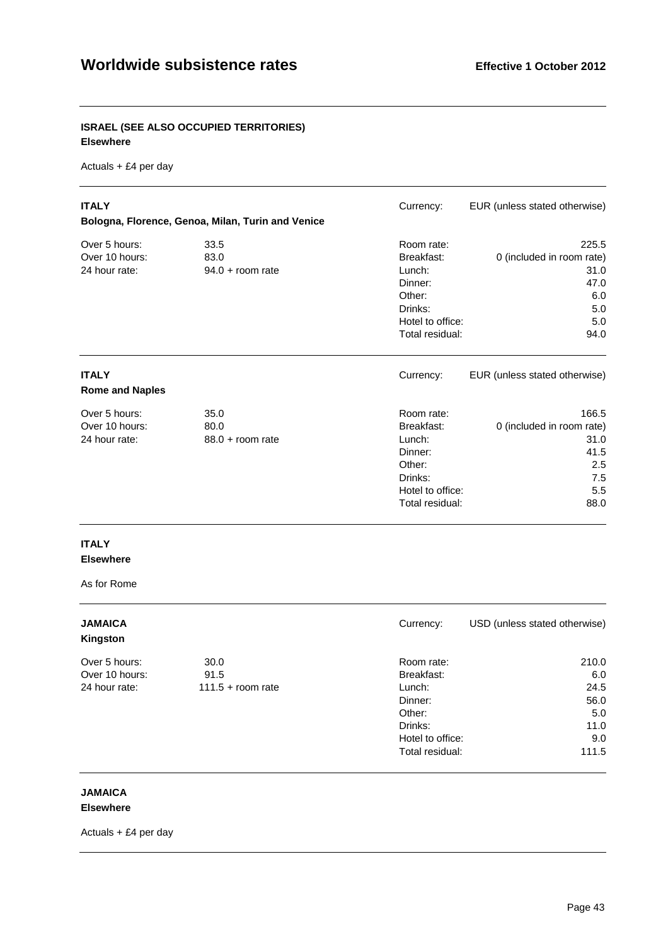## **ISRAEL (SEE ALSO OCCUPIED TERRITORIES) Elsewhere**

Actuals + £4 per day

| <b>ITALY</b>                                     | Bologna, Florence, Genoa, Milan, Turin and Venice | Currency:                                                                                                 | EUR (unless stated otherwise)                                                   |
|--------------------------------------------------|---------------------------------------------------|-----------------------------------------------------------------------------------------------------------|---------------------------------------------------------------------------------|
| Over 5 hours:<br>Over 10 hours:<br>24 hour rate: | 33.5<br>83.0<br>$94.0 + room rate$                | Room rate:<br>Breakfast:<br>Lunch:<br>Dinner:<br>Other:<br>Drinks:<br>Hotel to office:<br>Total residual: | 225.5<br>0 (included in room rate)<br>31.0<br>47.0<br>6.0<br>5.0<br>5.0<br>94.0 |
| <b>ITALY</b><br><b>Rome and Naples</b>           |                                                   | Currency:                                                                                                 | EUR (unless stated otherwise)                                                   |
| Over 5 hours:<br>Over 10 hours:<br>24 hour rate: | 35.0<br>80.0<br>$88.0 +$ room rate                | Room rate:<br>Breakfast:<br>Lunch:<br>Dinner:<br>Other:<br>Drinks:<br>Hotel to office:<br>Total residual: | 166.5<br>0 (included in room rate)<br>31.0<br>41.5<br>2.5<br>7.5<br>5.5<br>88.0 |

#### **ITALY Elsewhere**

As for Rome

| <b>JAMAICA</b><br>Kingston |                     | Currency:        | USD (unless stated otherwise) |
|----------------------------|---------------------|------------------|-------------------------------|
| Over 5 hours:              | 30.0                | Room rate:       | 210.0                         |
| Over 10 hours:             | 91.5                | Breakfast:       | 6.0                           |
| 24 hour rate:              | $111.5 +$ room rate | Lunch:           | 24.5                          |
|                            |                     | Dinner:          | 56.0                          |
|                            |                     | Other:           | 5.0                           |
|                            |                     | Drinks:          | 11.0                          |
|                            |                     | Hotel to office: | 9.0                           |
|                            |                     | Total residual:  | 111.5                         |

# **JAMAICA**

**Elsewhere**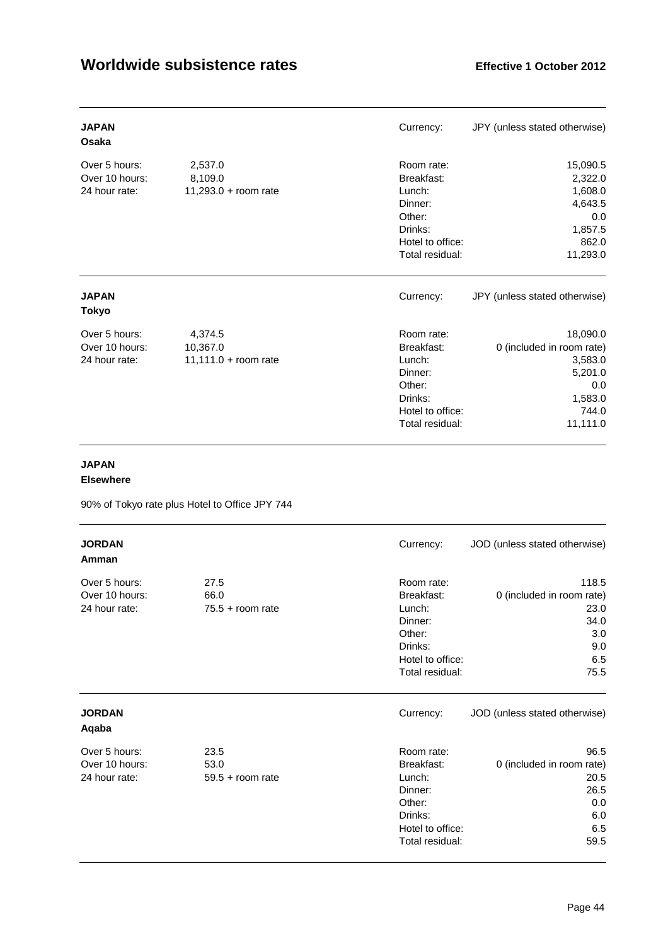| <b>JAPAN</b><br>Osaka                            |                                             | Currency:                                                                                                 | JPY (unless stated otherwise)                                                                      |
|--------------------------------------------------|---------------------------------------------|-----------------------------------------------------------------------------------------------------------|----------------------------------------------------------------------------------------------------|
| Over 5 hours:<br>Over 10 hours:<br>24 hour rate: | 2,537.0<br>8,109.0<br>11,293.0 + room rate  | Room rate:<br>Breakfast:<br>Lunch:<br>Dinner:<br>Other:<br>Drinks:<br>Hotel to office:<br>Total residual: | 15,090.5<br>2,322.0<br>1,608.0<br>4,643.5<br>0.0<br>1,857.5<br>862.0<br>11,293.0                   |
| <b>JAPAN</b><br><b>Tokyo</b>                     |                                             | Currency:                                                                                                 | JPY (unless stated otherwise)                                                                      |
| Over 5 hours:<br>Over 10 hours:<br>24 hour rate: | 4,374.5<br>10,367.0<br>11,111.0 + room rate | Room rate:<br>Breakfast:<br>Lunch:<br>Dinner:<br>Other:<br>Drinks:<br>Hotel to office:<br>Total residual: | 18,090.0<br>0 (included in room rate)<br>3,583.0<br>5,201.0<br>0.0<br>1,583.0<br>744.0<br>11,111.0 |

# **JAPAN**

#### **Elsewhere**

90% of Tokyo rate plus Hotel to Office JPY 744

| <b>JORDAN</b><br>Amman                           |                                    | Currency:                                                                                                 | JOD (unless stated otherwise)                                                   |
|--------------------------------------------------|------------------------------------|-----------------------------------------------------------------------------------------------------------|---------------------------------------------------------------------------------|
| Over 5 hours:<br>Over 10 hours:<br>24 hour rate: | 27.5<br>66.0<br>$75.5 +$ room rate | Room rate:<br>Breakfast:<br>Lunch:<br>Dinner:<br>Other:<br>Drinks:<br>Hotel to office:<br>Total residual: | 118.5<br>0 (included in room rate)<br>23.0<br>34.0<br>3.0<br>9.0<br>6.5<br>75.5 |
| <b>JORDAN</b><br>Aqaba                           |                                    | Currency:                                                                                                 | JOD (unless stated otherwise)                                                   |
| Over 5 hours:<br>Over 10 hours:<br>24 hour rate: | 23.5<br>53.0<br>$59.5 +$ room rate | Room rate:<br>Breakfast:<br>Lunch:<br>Dinner:<br>Other:<br>Drinks:<br>Hotel to office:<br>Total residual: | 96.5<br>0 (included in room rate)<br>20.5<br>26.5<br>0.0<br>6.0<br>6.5<br>59.5  |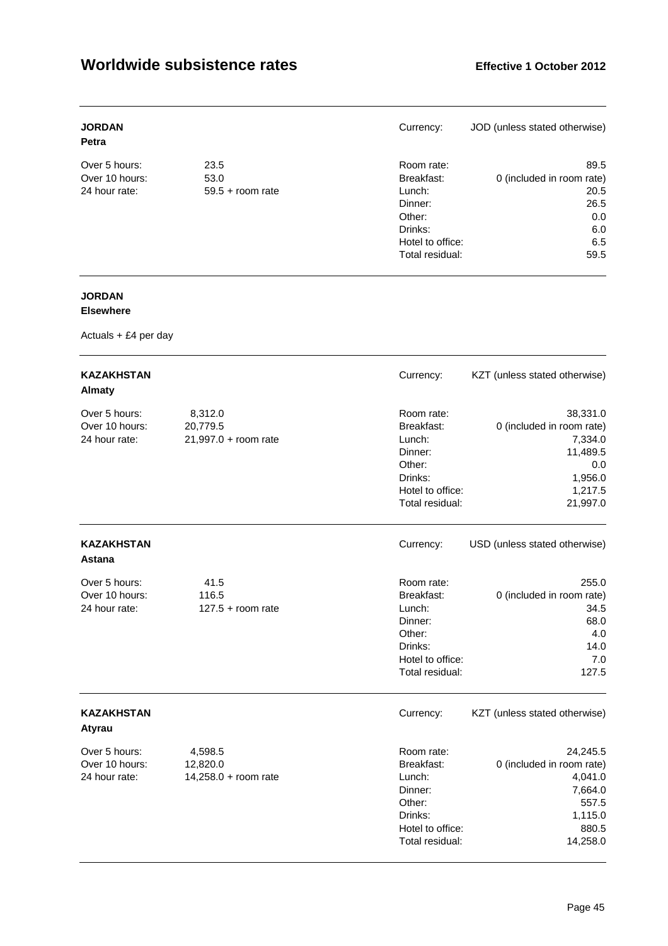| <b>JORDAN</b><br><b>Petra</b> |                    | Currency:        | JOD (unless stated otherwise) |
|-------------------------------|--------------------|------------------|-------------------------------|
| Over 5 hours:                 | 23.5               | Room rate:       | 89.5                          |
| Over 10 hours:                | 53.0               | Breakfast:       | 0 (included in room rate)     |
| 24 hour rate:                 | $59.5 +$ room rate | Lunch:           | 20.5                          |
|                               |                    | Dinner:          | 26.5                          |
|                               |                    | Other:           | 0.0                           |
|                               |                    | Drinks:          | 6.0                           |
|                               |                    | Hotel to office: | 6.5                           |
|                               |                    | Total residual:  | 59.5                          |

# **JORDAN**

## **Elsewhere**

| <b>KAZAKHSTAN</b><br><b>Almaty</b>               |                                               | Currency:                                                                                                 | KZT (unless stated otherwise)                                                                         |
|--------------------------------------------------|-----------------------------------------------|-----------------------------------------------------------------------------------------------------------|-------------------------------------------------------------------------------------------------------|
| Over 5 hours:<br>Over 10 hours:<br>24 hour rate: | 8,312.0<br>20,779.5<br>$21,997.0 + room rate$ | Room rate:<br>Breakfast:<br>Lunch:<br>Dinner:<br>Other:<br>Drinks:<br>Hotel to office:<br>Total residual: | 38,331.0<br>0 (included in room rate)<br>7,334.0<br>11,489.5<br>0.0<br>1,956.0<br>1,217.5<br>21,997.0 |
| <b>KAZAKHSTAN</b><br><b>Astana</b>               |                                               | Currency:                                                                                                 | USD (unless stated otherwise)                                                                         |
| Over 5 hours:<br>Over 10 hours:<br>24 hour rate: | 41.5<br>116.5<br>$127.5 +$ room rate          | Room rate:<br>Breakfast:<br>Lunch:<br>Dinner:<br>Other:<br>Drinks:<br>Hotel to office:<br>Total residual: | 255.0<br>0 (included in room rate)<br>34.5<br>68.0<br>4.0<br>14.0<br>7.0<br>127.5                     |
| <b>KAZAKHSTAN</b><br>Atyrau                      |                                               | Currency:                                                                                                 | KZT (unless stated otherwise)                                                                         |
| Over 5 hours:<br>Over 10 hours:<br>24 hour rate: | 4,598.5<br>12,820.0<br>14,258.0 + room rate   | Room rate:<br>Breakfast:<br>Lunch:<br>Dinner:<br>Other:<br>Drinks:<br>Hotel to office:<br>Total residual: | 24,245.5<br>0 (included in room rate)<br>4,041.0<br>7,664.0<br>557.5<br>1,115.0<br>880.5<br>14,258.0  |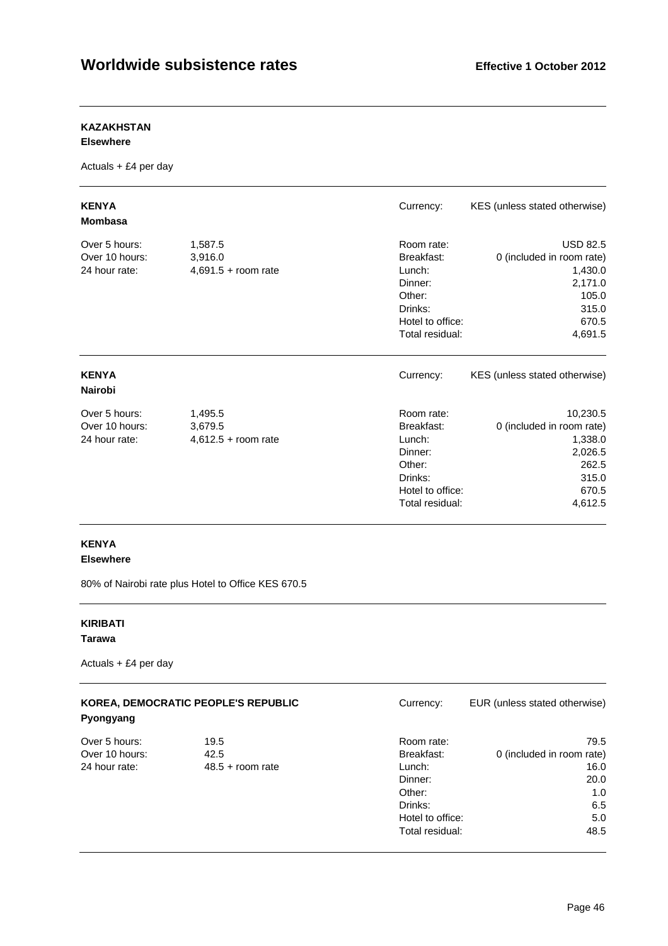## **KAZAKHSTAN**

#### **Elsewhere**

Actuals + £4 per day

| <b>KENYA</b><br><b>Mombasa</b>                   |                                             | Currency:                                                                                                 | KES (unless stated otherwise)                                                                            |
|--------------------------------------------------|---------------------------------------------|-----------------------------------------------------------------------------------------------------------|----------------------------------------------------------------------------------------------------------|
| Over 5 hours:<br>Over 10 hours:<br>24 hour rate: | 1,587.5<br>3,916.0<br>$4,691.5 +$ room rate | Room rate:<br>Breakfast:<br>Lunch:<br>Dinner:<br>Other:<br>Drinks:<br>Hotel to office:<br>Total residual: | <b>USD 82.5</b><br>0 (included in room rate)<br>1,430.0<br>2,171.0<br>105.0<br>315.0<br>670.5<br>4,691.5 |
| <b>KENYA</b><br><b>Nairobi</b>                   |                                             | Currency:                                                                                                 | KES (unless stated otherwise)                                                                            |
| Over 5 hours:<br>Over 10 hours:<br>24 hour rate: | 1,495.5<br>3,679.5<br>$4,612.5 +$ room rate | Room rate:<br>Breakfast:<br>Lunch:<br>Dinner:<br>Other:<br>Drinks:<br>Hotel to office:<br>Total residual: | 10,230.5<br>0 (included in room rate)<br>1,338.0<br>2,026.5<br>262.5<br>315.0<br>670.5<br>4,612.5        |

## **KENYA Elsewhere**

80% of Nairobi rate plus Hotel to Office KES 670.5

# **KIRIBATI**

## **Tarawa**

| Pyongyang      | KOREA, DEMOCRATIC PEOPLE'S REPUBLIC | Currency:        | EUR (unless stated otherwise) |
|----------------|-------------------------------------|------------------|-------------------------------|
| Over 5 hours:  | 19.5                                | Room rate:       | 79.5                          |
| Over 10 hours: | 42.5                                | Breakfast:       | 0 (included in room rate)     |
| 24 hour rate:  | $48.5 +$ room rate                  | Lunch:           | 16.0                          |
|                |                                     | Dinner:          | 20.0                          |
|                |                                     | Other:           | 1.0                           |
|                |                                     | Drinks:          | 6.5                           |
|                |                                     | Hotel to office: | 5.0                           |
|                |                                     | Total residual:  | 48.5                          |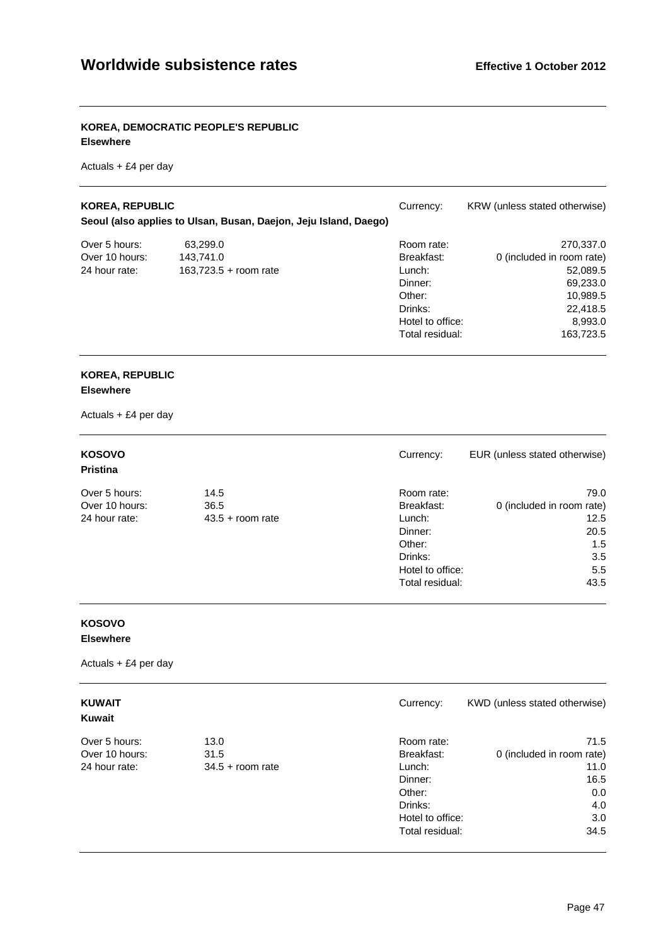## **KOREA, DEMOCRATIC PEOPLE'S REPUBLIC Elsewhere**

Actuals + £4 per day

| <b>KOREA, REPUBLIC</b> | Seoul (also applies to Ulsan, Busan, Daejon, Jeju Island, Daego) | Currency:        | KRW (unless stated otherwise) |
|------------------------|------------------------------------------------------------------|------------------|-------------------------------|
| Over 5 hours:          | 63,299.0                                                         | Room rate:       | 270,337.0                     |
| Over 10 hours:         | 143.741.0                                                        | Breakfast:       | 0 (included in room rate)     |
| 24 hour rate:          | $163,723.5 +$ room rate                                          | Lunch:           | 52,089.5                      |
|                        |                                                                  | Dinner:          | 69,233.0                      |
|                        |                                                                  | Other:           | 10,989.5                      |
|                        |                                                                  | Drinks:          | 22,418.5                      |
|                        |                                                                  | Hotel to office: | 8,993.0                       |
|                        |                                                                  | Total residual:  | 163,723.5                     |

#### **KOREA, REPUBLIC Elsewhere**

Actuals + £4 per day

| <b>KOSOVO</b><br><b>Pristina</b> |                    | Currency:        | EUR (unless stated otherwise) |
|----------------------------------|--------------------|------------------|-------------------------------|
| Over 5 hours:                    | 14.5               | Room rate:       | 79.0                          |
| Over 10 hours:                   | 36.5               | Breakfast:       | 0 (included in room rate)     |
| 24 hour rate:                    | $43.5 +$ room rate | Lunch:           | 12.5                          |
|                                  |                    | Dinner:          | 20.5                          |
|                                  |                    | Other:           | 1.5                           |
|                                  |                    | Drinks:          | 3.5                           |
|                                  |                    | Hotel to office: | 5.5                           |
|                                  |                    | Total residual:  | 43.5                          |

# **KOSOVO**

**Elsewhere** 

| <b>KUWAIT</b><br>Kuwait |                    | Currency:        | KWD (unless stated otherwise) |
|-------------------------|--------------------|------------------|-------------------------------|
| Over 5 hours:           | 13.0               | Room rate:       | 71.5                          |
| Over 10 hours:          | 31.5               | Breakfast:       | 0 (included in room rate)     |
| 24 hour rate:           | $34.5 +$ room rate | Lunch:           | 11.0                          |
|                         |                    | Dinner:          | 16.5                          |
|                         |                    | Other:           | 0.0                           |
|                         |                    | Drinks:          | 4.0                           |
|                         |                    | Hotel to office: | 3.0                           |
|                         |                    | Total residual:  | 34.5                          |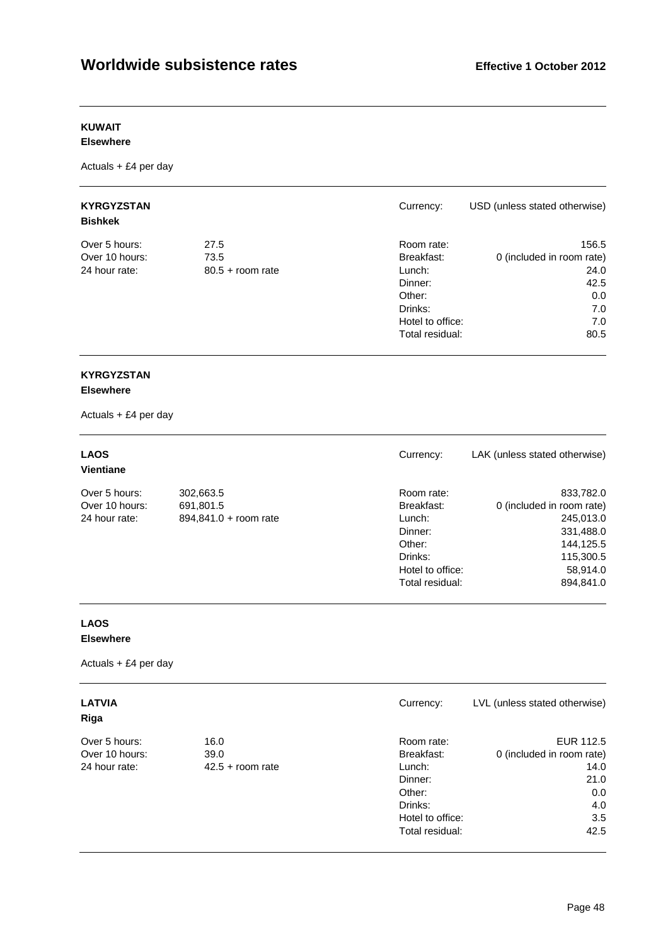# **KUWAIT**

## **Elsewhere**

Actuals + £4 per day

| <b>KYRGYZSTAN</b><br><b>Bishkek</b> |                    | Currency:        | USD (unless stated otherwise) |
|-------------------------------------|--------------------|------------------|-------------------------------|
| Over 5 hours:                       | 27.5               | Room rate:       | 156.5                         |
| Over 10 hours:                      | 73.5               | Breakfast:       | 0 (included in room rate)     |
| 24 hour rate:                       | $80.5 +$ room rate | Lunch:           | 24.0                          |
|                                     |                    | Dinner:          | 42.5                          |
|                                     |                    | Other:           | 0.0                           |
|                                     |                    | Drinks:          | 7.0                           |
|                                     |                    | Hotel to office: | 7.0                           |
|                                     |                    | Total residual:  | 80.5                          |

# **KYRGYZSTAN**

## **Elsewhere**

Actuals + £4 per day

| <b>LAOS</b><br><b>Vientiane</b> |                       | Currency:        | LAK (unless stated otherwise) |
|---------------------------------|-----------------------|------------------|-------------------------------|
| Over 5 hours:                   | 302,663.5             | Room rate:       | 833,782.0                     |
| Over 10 hours:                  | 691,801.5             | Breakfast:       | 0 (included in room rate)     |
| 24 hour rate:                   | 894,841.0 + room rate | Lunch:           | 245,013.0                     |
|                                 |                       | Dinner:          | 331,488.0                     |
|                                 |                       | Other:           | 144,125.5                     |
|                                 |                       | Drinks:          | 115,300.5                     |
|                                 |                       | Hotel to office: | 58,914.0                      |
|                                 |                       | Total residual:  | 894.841.0                     |

## **LAOS Elsewhere**

| <b>LATVIA</b><br>Riga |                    | Currency:        | LVL (unless stated otherwise) |
|-----------------------|--------------------|------------------|-------------------------------|
| Over 5 hours:         | 16.0               | Room rate:       | EUR 112.5                     |
| Over 10 hours:        | 39.0               | Breakfast:       | 0 (included in room rate)     |
| 24 hour rate:         | $42.5 +$ room rate | Lunch:           | 14.0                          |
|                       |                    | Dinner:          | 21.0                          |
|                       |                    | Other:           | 0.0                           |
|                       |                    | Drinks:          | 4.0                           |
|                       |                    | Hotel to office: | 3.5                           |
|                       |                    | Total residual:  | 42.5                          |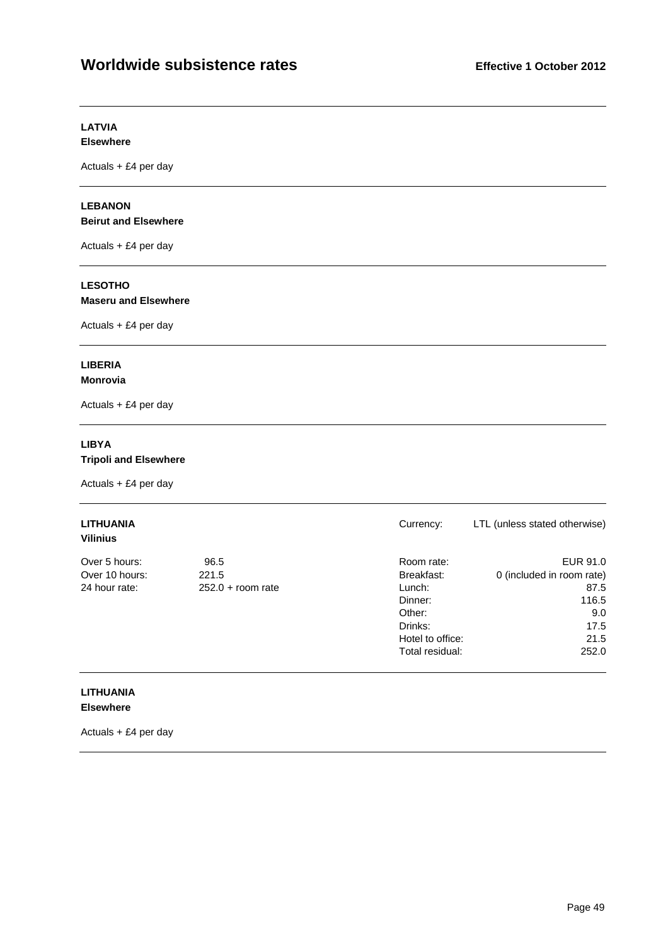#### **LATVIA Elsewhere**

Actuals + £4 per day

#### **LEBANON Beirut and Elsewhere**

Actuals + £4 per day

# **LESOTHO**

## **Maseru and Elsewhere**

Actuals + £4 per day

#### **LIBERIA Monrovia**

Actuals + £4 per day

## **LIBYA**

**Tripoli and Elsewhere** 

Actuals + £4 per day

# **LITHUANIA** Currency: LTL (unless stated otherwise)

**Vilinius** 

| Vilinius       |                     |                  |                           |
|----------------|---------------------|------------------|---------------------------|
| Over 5 hours:  | 96.5                | Room rate:       | EUR 91.0                  |
| Over 10 hours: | 221.5               | Breakfast:       | 0 (included in room rate) |
| 24 hour rate:  | $252.0 + room rate$ | Lunch:           | 87.5                      |
|                |                     | Dinner:          | 116.5                     |
|                |                     | Other:           | 9.0                       |
|                |                     | Drinks:          | 17.5                      |
|                |                     | Hotel to office: | 21.5                      |
|                |                     | Total residual:  | 252.0                     |

#### **LITHUANIA Elsewhere**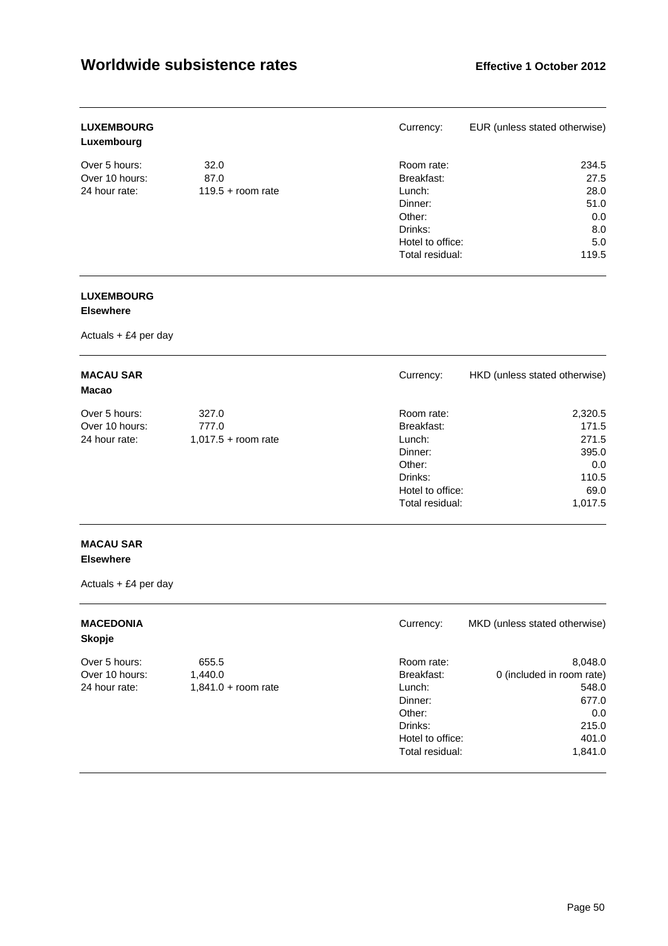| <b>LUXEMBOURG</b><br>Luxembourg |                     | Currency:        | EUR (unless stated otherwise) |
|---------------------------------|---------------------|------------------|-------------------------------|
| Over 5 hours:                   | 32.0                | Room rate:       | 234.5                         |
| Over 10 hours:                  | 87.0                | Breakfast:       | 27.5                          |
| 24 hour rate:                   | $119.5 +$ room rate | Lunch:           | 28.0                          |
|                                 |                     | Dinner:          | 51.0                          |
|                                 |                     | Other:           | 0.0                           |
|                                 |                     | Drinks:          | 8.0                           |
|                                 |                     | Hotel to office: | 5.0                           |
|                                 |                     | Total residual:  | 119.5                         |

# **LUXEMBOURG**

## **Elsewhere**

Actuals + £4 per day

| <b>MACAU SAR</b><br>Macao |                       | Currency:        | HKD (unless stated otherwise) |
|---------------------------|-----------------------|------------------|-------------------------------|
| Over 5 hours:             | 327.0                 | Room rate:       | 2,320.5                       |
| Over 10 hours:            | 777.0                 | Breakfast:       | 171.5                         |
| 24 hour rate:             | $1,017.5 +$ room rate | Lunch:           | 271.5                         |
|                           |                       | Dinner:          | 395.0                         |
|                           |                       | Other:           | 0.0                           |
|                           |                       | Drinks:          | 110.5                         |
|                           |                       | Hotel to office: | 69.0                          |
|                           |                       | Total residual:  | 1,017.5                       |

## **MACAU SAR Elsewhere**

| <b>MACEDONIA</b><br><b>Skopje</b> |                       | Currency:        | MKD (unless stated otherwise) |
|-----------------------------------|-----------------------|------------------|-------------------------------|
| Over 5 hours:                     | 655.5                 | Room rate:       | 8,048.0                       |
| Over 10 hours:                    | 1,440.0               | Breakfast:       | 0 (included in room rate)     |
| 24 hour rate:                     | $1,841.0 + room rate$ | Lunch:           | 548.0                         |
|                                   |                       | Dinner:          | 677.0                         |
|                                   |                       | Other:           | 0.0                           |
|                                   |                       | Drinks:          | 215.0                         |
|                                   |                       | Hotel to office: | 401.0                         |
|                                   |                       | Total residual:  | 1,841.0                       |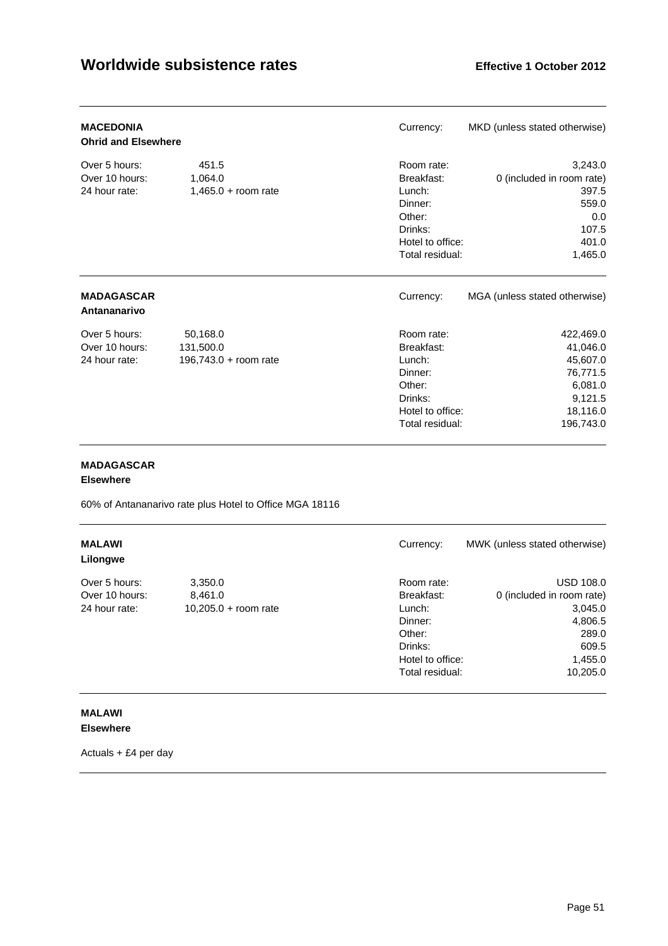| <b>MACEDONIA</b><br><b>Ohrid and Elsewhere</b>   |                                                | Currency:                                                                                                 | MKD (unless stated otherwise)                                                                |
|--------------------------------------------------|------------------------------------------------|-----------------------------------------------------------------------------------------------------------|----------------------------------------------------------------------------------------------|
| Over 5 hours:<br>Over 10 hours:<br>24 hour rate: | 451.5<br>1,064.0<br>$1,465.0 + room rate$      | Room rate:<br>Breakfast:<br>Lunch:<br>Dinner:<br>Other:<br>Drinks:<br>Hotel to office:<br>Total residual: | 3,243.0<br>0 (included in room rate)<br>397.5<br>559.0<br>0.0<br>107.5<br>401.0<br>1,465.0   |
| <b>MADAGASCAR</b><br>Antananarivo                |                                                | Currency:                                                                                                 | MGA (unless stated otherwise)                                                                |
| Over 5 hours:<br>Over 10 hours:<br>24 hour rate: | 50,168.0<br>131,500.0<br>196,743.0 + room rate | Room rate:<br>Breakfast:<br>Lunch:<br>Dinner:<br>Other:<br>Drinks:<br>Hotel to office:<br>Total residual: | 422,469.0<br>41,046.0<br>45,607.0<br>76,771.5<br>6,081.0<br>9,121.5<br>18,116.0<br>196,743.0 |

## **MADAGASCAR**

**Elsewhere** 

60% of Antananarivo rate plus Hotel to Office MGA 18116

| <b>MALAWI</b><br>Lilongwe |                      | Currency:        | MWK (unless stated otherwise) |
|---------------------------|----------------------|------------------|-------------------------------|
| Over 5 hours:             | 3,350.0              | Room rate:       | <b>USD 108.0</b>              |
| Over 10 hours:            | 8.461.0              | Breakfast:       | 0 (included in room rate)     |
| 24 hour rate:             | 10,205.0 + room rate | Lunch:           | 3,045.0                       |
|                           |                      | Dinner:          | 4,806.5                       |
|                           |                      | Other:           | 289.0                         |
|                           |                      | Drinks:          | 609.5                         |
|                           |                      | Hotel to office: | 1,455.0                       |
|                           |                      | Total residual:  | 10,205.0                      |

## **MALAWI Elsewhere**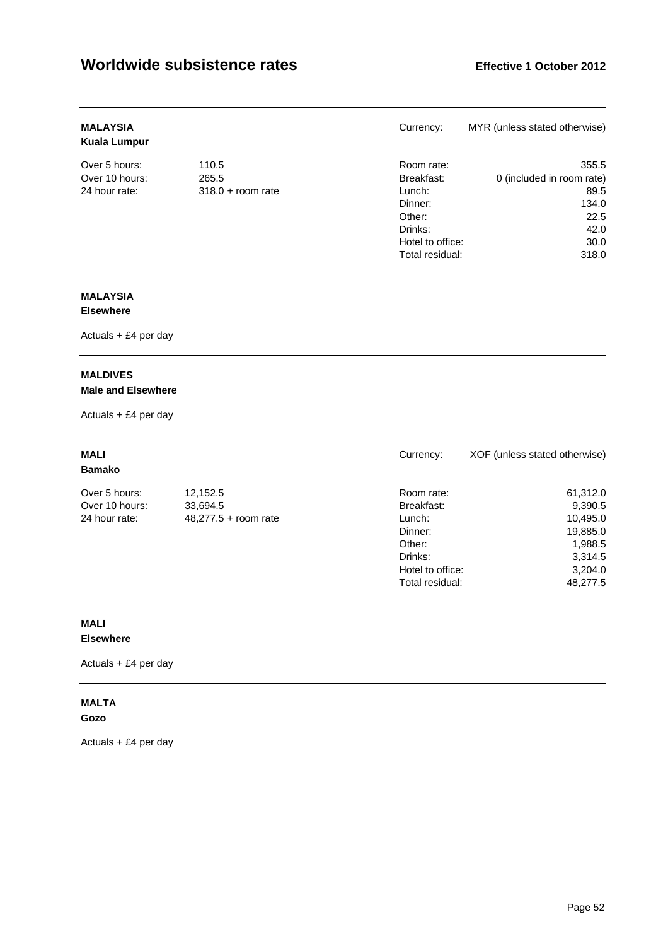| <b>MALAYSIA</b><br><b>Kuala Lumpur</b> |                     | Currency:        | MYR (unless stated otherwise) |
|----------------------------------------|---------------------|------------------|-------------------------------|
| Over 5 hours:                          | 110.5               | Room rate:       | 355.5                         |
| Over 10 hours:                         | 265.5               | Breakfast:       | 0 (included in room rate)     |
| 24 hour rate:                          | $318.0 +$ room rate | Lunch:           | 89.5                          |
|                                        |                     | Dinner:          | 134.0                         |
|                                        |                     | Other:           | 22.5                          |
|                                        |                     | Drinks:          | 42.0                          |
|                                        |                     | Hotel to office: | 30.0                          |
|                                        |                     | Total residual:  | 318.0                         |

# **MALAYSIA**

## **Elsewhere**

Actuals + £4 per day

## **MALDIVES Male and Elsewhere**

Actuals + £4 per day

| <b>MALI</b><br><b>Bamako</b> |                        | Currency:        | XOF (unless stated otherwise) |
|------------------------------|------------------------|------------------|-------------------------------|
| Over 5 hours:                | 12,152.5               | Room rate:       | 61,312.0                      |
| Over 10 hours:               | 33,694.5               | Breakfast:       | 9,390.5                       |
| 24 hour rate:                | $48,277.5 +$ room rate | Lunch:           | 10,495.0                      |
|                              |                        | Dinner:          | 19,885.0                      |
|                              |                        | Other:           | 1,988.5                       |
|                              |                        | Drinks:          | 3,314.5                       |
|                              |                        | Hotel to office: | 3,204.0                       |
|                              |                        | Total residual:  | 48.277.5                      |

## **MALI Elsewhere**

Actuals + £4 per day

#### **MALTA Gozo**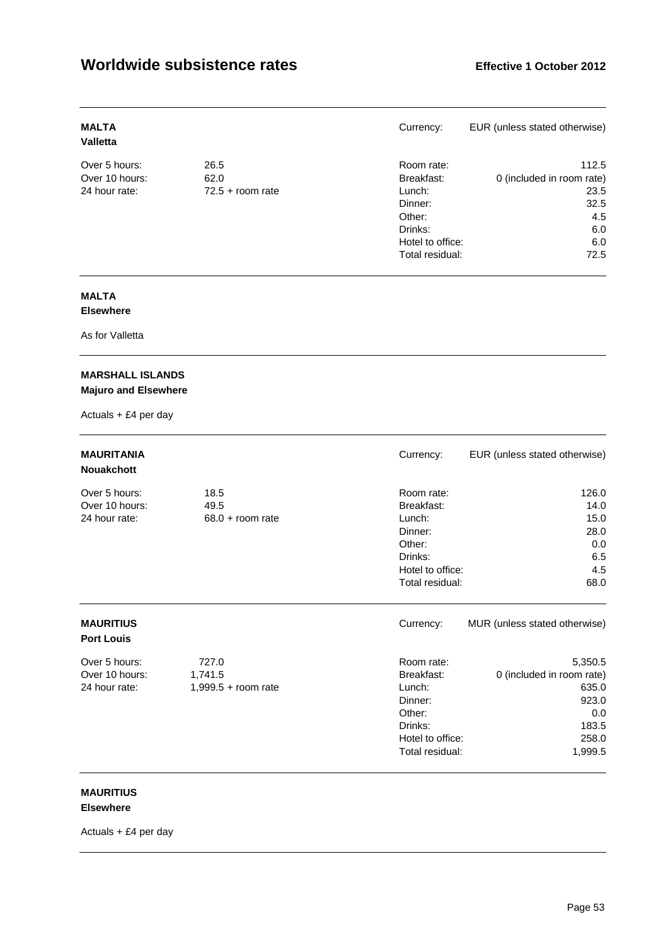| <b>MALTA</b><br><b>Valletta</b> |                    | Currency:        | EUR (unless stated otherwise) |
|---------------------------------|--------------------|------------------|-------------------------------|
| Over 5 hours:                   | 26.5               | Room rate:       | 112.5                         |
| Over 10 hours:                  | 62.0               | Breakfast:       | 0 (included in room rate)     |
| 24 hour rate:                   | $72.5 +$ room rate | Lunch:           | 23.5                          |
|                                 |                    | Dinner:          | 32.5                          |
|                                 |                    | Other:           | 4.5                           |
|                                 |                    | Drinks:          | 6.0                           |
|                                 |                    | Hotel to office: | 6.0                           |
|                                 |                    | Total residual:  | 72.5                          |

#### **MALTA Elsewhere**

As for Valletta

## **MARSHALL ISLANDS Majuro and Elsewhere**

Actuals + £4 per day

| <b>MAURITANIA</b><br><b>Nouakchott</b>           |                                           | Currency:                                                                                                 | EUR (unless stated otherwise)                                                              |
|--------------------------------------------------|-------------------------------------------|-----------------------------------------------------------------------------------------------------------|--------------------------------------------------------------------------------------------|
| Over 5 hours:<br>Over 10 hours:<br>24 hour rate: | 18.5<br>49.5<br>$68.0 + room$ rate        | Room rate:<br>Breakfast:<br>Lunch:<br>Dinner:<br>Other:<br>Drinks:<br>Hotel to office:<br>Total residual: | 126.0<br>14.0<br>15.0<br>28.0<br>0.0<br>6.5<br>4.5<br>68.0                                 |
| <b>MAURITIUS</b><br><b>Port Louis</b>            |                                           | Currency:                                                                                                 | MUR (unless stated otherwise)                                                              |
| Over 5 hours:<br>Over 10 hours:<br>24 hour rate: | 727.0<br>1,741.5<br>$1,999.5 +$ room rate | Room rate:<br>Breakfast:<br>Lunch:<br>Dinner:<br>Other:<br>Drinks:<br>Hotel to office:<br>Total residual: | 5,350.5<br>0 (included in room rate)<br>635.0<br>923.0<br>0.0<br>183.5<br>258.0<br>1,999.5 |

#### **MAURITIUS Elsewhere**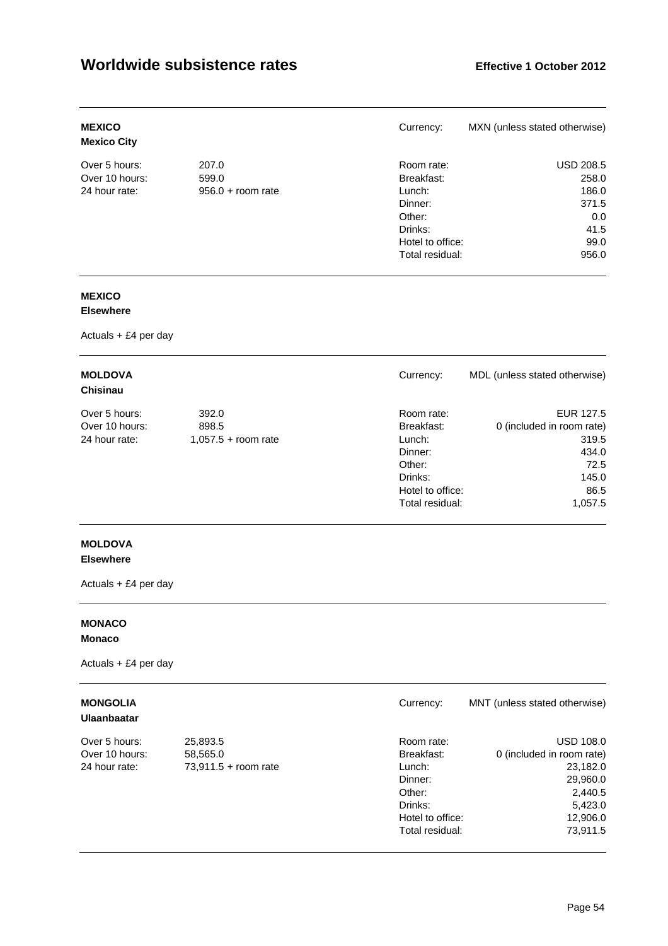| <b>MEXICO</b><br><b>Mexico City</b> |                     | Currency:        | MXN (unless stated otherwise) |
|-------------------------------------|---------------------|------------------|-------------------------------|
| Over 5 hours:                       | 207.0               | Room rate:       | <b>USD 208.5</b>              |
| Over 10 hours:                      | 599.0               | Breakfast:       | 258.0                         |
| 24 hour rate:                       | $956.0 + room rate$ | Lunch:           | 186.0                         |
|                                     |                     | Dinner:          | 371.5                         |
|                                     |                     | Other:           | 0.0                           |
|                                     |                     | Drinks:          | 41.5                          |
|                                     |                     | Hotel to office: | 99.0                          |
|                                     |                     | Total residual:  | 956.0                         |

# **MEXICO**

## **Elsewhere**

Actuals + £4 per day

| <b>MOLDOVA</b><br><b>Chisinau</b> |                       | Currency:        | MDL (unless stated otherwise) |
|-----------------------------------|-----------------------|------------------|-------------------------------|
| Over 5 hours:                     | 392.0                 | Room rate:       | EUR 127.5                     |
| Over 10 hours:                    | 898.5                 | Breakfast:       | 0 (included in room rate)     |
| 24 hour rate:                     | $1,057.5 +$ room rate | Lunch:           | 319.5                         |
|                                   |                       | Dinner:          | 434.0                         |
|                                   |                       | Other:           | 72.5                          |
|                                   |                       | Drinks:          | 145.0                         |
|                                   |                       | Hotel to office: | 86.5                          |
|                                   |                       | Total residual:  | 1,057.5                       |

# **MOLDOVA**

## **Elsewhere**

Actuals + £4 per day

## **MONACO Monaco**

Actuals + £4 per day

# **Ulaanbaatar**

| <b>MONGOLIA</b><br><b>Ulaanbaatar</b> |                        | Currency:        | MNT (unless stated otherwise) |
|---------------------------------------|------------------------|------------------|-------------------------------|
| Over 5 hours:                         | 25,893.5               | Room rate:       | <b>USD 108.0</b>              |
| Over 10 hours:                        | 58,565.0               | Breakfast:       | 0 (included in room rate)     |
| 24 hour rate:                         | $73,911.5 + room rate$ | Lunch:           | 23,182.0                      |
|                                       |                        | Dinner:          | 29,960.0                      |
|                                       |                        | Other:           | 2,440.5                       |
|                                       |                        | Drinks:          | 5,423.0                       |
|                                       |                        | Hotel to office: | 12,906.0                      |
|                                       |                        | Total residual:  | 73.911.5                      |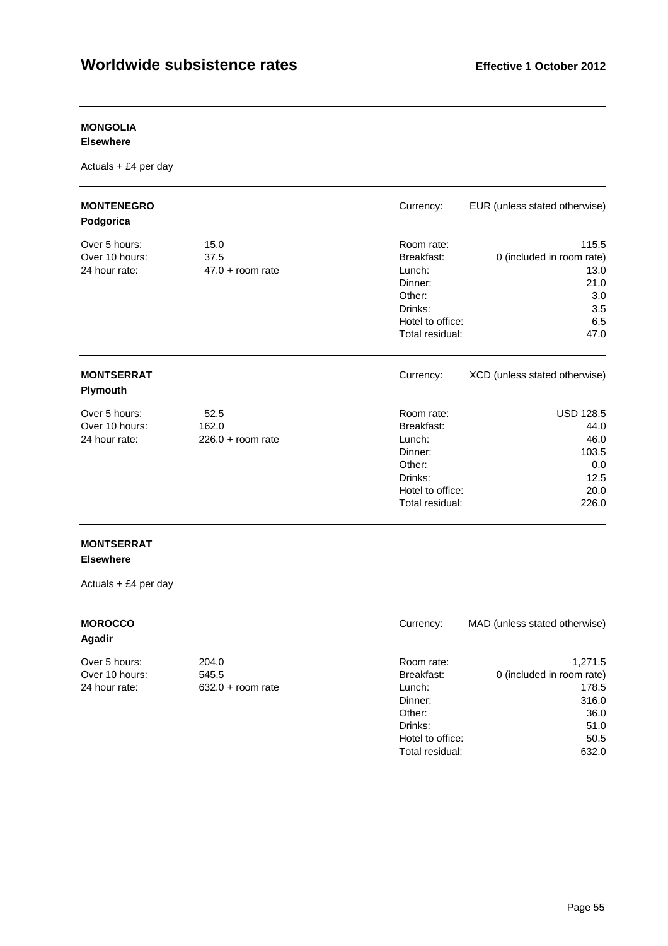# **MONGOLIA**

**Elsewhere** 

Actuals + £4 per day

| <b>MONTENEGRO</b><br>Podgorica                   |                                      | Currency:                                                                                                 | EUR (unless stated otherwise)                                                   |
|--------------------------------------------------|--------------------------------------|-----------------------------------------------------------------------------------------------------------|---------------------------------------------------------------------------------|
| Over 5 hours:<br>Over 10 hours:<br>24 hour rate: | 15.0<br>37.5<br>$47.0 + room rate$   | Room rate:<br>Breakfast:<br>Lunch:<br>Dinner:<br>Other:<br>Drinks:<br>Hotel to office:<br>Total residual: | 115.5<br>0 (included in room rate)<br>13.0<br>21.0<br>3.0<br>3.5<br>6.5<br>47.0 |
| <b>MONTSERRAT</b><br><b>Plymouth</b>             |                                      | Currency:                                                                                                 | XCD (unless stated otherwise)                                                   |
| Over 5 hours:<br>Over 10 hours:<br>24 hour rate: | 52.5<br>162.0<br>$226.0 + room rate$ | Room rate:<br>Breakfast:<br>Lunch:<br>Dinner:<br>Other:<br>Drinks:<br>Hotel to office:<br>Total residual: | <b>USD 128.5</b><br>44.0<br>46.0<br>103.5<br>0.0<br>12.5<br>20.0<br>226.0       |

## **MONTSERRAT Elsewhere**

| <b>MOROCCO</b><br>Agadir |                     | Currency:        | MAD (unless stated otherwise) |
|--------------------------|---------------------|------------------|-------------------------------|
| Over 5 hours:            | 204.0               | Room rate:       | 1,271.5                       |
| Over 10 hours:           | 545.5               | Breakfast:       | 0 (included in room rate)     |
| 24 hour rate:            | $632.0 + room rate$ | Lunch:           | 178.5                         |
|                          |                     | Dinner:          | 316.0                         |
|                          |                     | Other:           | 36.0                          |
|                          |                     | Drinks:          | 51.0                          |
|                          |                     | Hotel to office: | 50.5                          |
|                          |                     | Total residual:  | 632.0                         |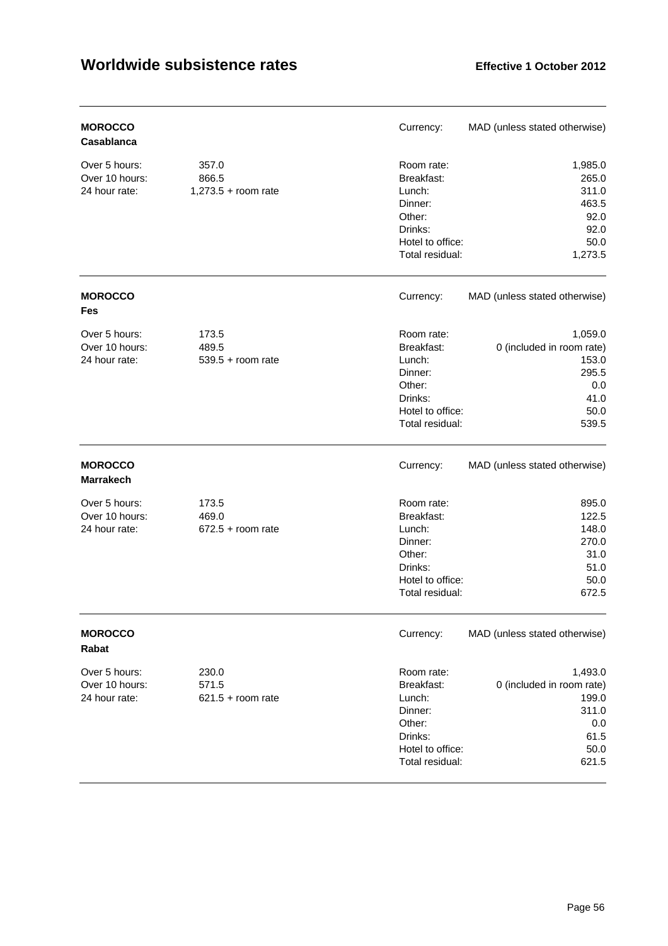| <b>MOROCCO</b><br>Casablanca                     |                                         | Currency:                                                                                                 | MAD (unless stated otherwise)                                                          |
|--------------------------------------------------|-----------------------------------------|-----------------------------------------------------------------------------------------------------------|----------------------------------------------------------------------------------------|
| Over 5 hours:<br>Over 10 hours:<br>24 hour rate: | 357.0<br>866.5<br>$1,273.5 +$ room rate | Room rate:<br>Breakfast:<br>Lunch:<br>Dinner:<br>Other:<br>Drinks:<br>Hotel to office:<br>Total residual: | 1,985.0<br>265.0<br>311.0<br>463.5<br>92.0<br>92.0<br>50.0<br>1,273.5                  |
| <b>MOROCCO</b><br><b>Fes</b>                     |                                         | Currency:                                                                                                 | MAD (unless stated otherwise)                                                          |
| Over 5 hours:<br>Over 10 hours:<br>24 hour rate: | 173.5<br>489.5<br>$539.5 + room$ rate   | Room rate:<br>Breakfast:<br>Lunch:<br>Dinner:<br>Other:<br>Drinks:<br>Hotel to office:<br>Total residual: | 1,059.0<br>0 (included in room rate)<br>153.0<br>295.5<br>0.0<br>41.0<br>50.0<br>539.5 |
| <b>MOROCCO</b><br><b>Marrakech</b>               |                                         | Currency:                                                                                                 | MAD (unless stated otherwise)                                                          |
| Over 5 hours:<br>Over 10 hours:<br>24 hour rate: | 173.5<br>469.0<br>$672.5 + room rate$   | Room rate:<br>Breakfast:<br>Lunch:<br>Dinner:<br>Other:<br>Drinks:<br>Hotel to office:<br>Total residual: | 895.0<br>122.5<br>148.0<br>270.0<br>31.0<br>51.0<br>50.0<br>672.5                      |
| <b>MOROCCO</b><br>Rabat                          |                                         | Currency:                                                                                                 | MAD (unless stated otherwise)                                                          |
| Over 5 hours:<br>Over 10 hours:<br>24 hour rate: | 230.0<br>571.5<br>$621.5 + room rate$   | Room rate:<br>Breakfast:<br>Lunch:<br>Dinner:<br>Other:<br>Drinks:<br>Hotel to office:<br>Total residual: | 1,493.0<br>0 (included in room rate)<br>199.0<br>311.0<br>0.0<br>61.5<br>50.0<br>621.5 |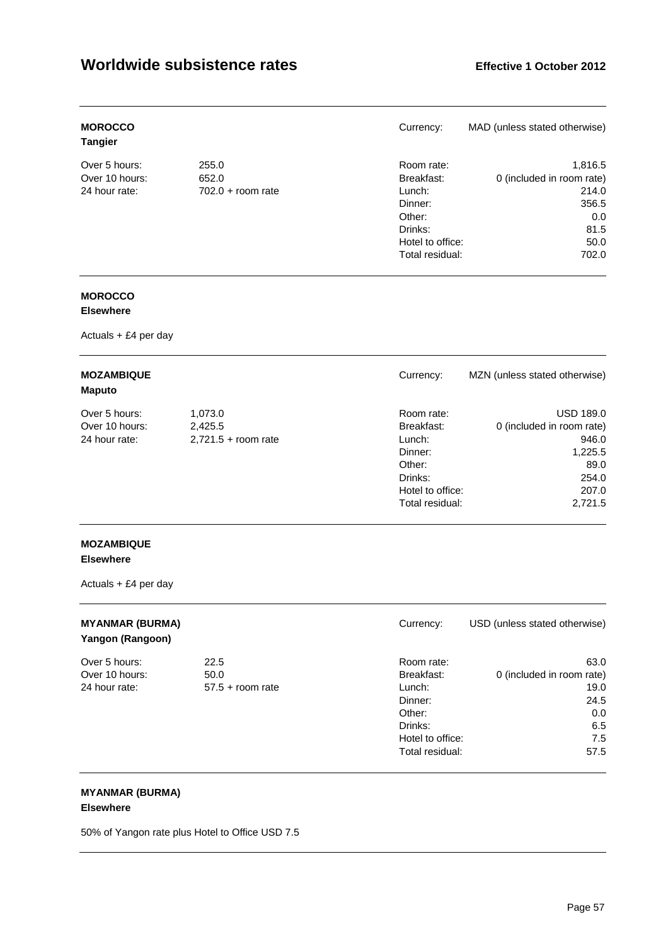| <b>MOROCCO</b><br><b>Tangier</b> |                     | Currency:        | MAD (unless stated otherwise) |
|----------------------------------|---------------------|------------------|-------------------------------|
| Over 5 hours:                    | 255.0               | Room rate:       | 1,816.5                       |
| Over 10 hours:                   | 652.0               | Breakfast:       | 0 (included in room rate)     |
| 24 hour rate:                    | $702.0 + room rate$ | Lunch:           | 214.0                         |
|                                  |                     | Dinner:          | 356.5                         |
|                                  |                     | Other:           | 0.0                           |
|                                  |                     | Drinks:          | 81.5                          |
|                                  |                     | Hotel to office: | 50.0                          |
|                                  |                     | Total residual:  | 702.0                         |

# **MOROCCO**

## **Elsewhere**

Actuals + £4 per day

| <b>MOZAMBIQUE</b><br><b>Maputo</b> |                       | Currency:        | MZN (unless stated otherwise) |
|------------------------------------|-----------------------|------------------|-------------------------------|
| Over 5 hours:                      | 1,073.0               | Room rate:       | <b>USD 189.0</b>              |
| Over 10 hours:                     | 2,425.5               | Breakfast:       | 0 (included in room rate)     |
| 24 hour rate:                      | $2,721.5 + room rate$ | Lunch:           | 946.0                         |
|                                    |                       | Dinner:          | 1,225.5                       |
|                                    |                       | Other:           | 89.0                          |
|                                    |                       | Drinks:          | 254.0                         |
|                                    |                       | Hotel to office: | 207.0                         |
|                                    |                       | Total residual:  | 2,721.5                       |

## **MOZAMBIQUE Elsewhere**

Actuals + £4 per day

| <b>MYANMAR (BURMA)</b><br>Yangon (Rangoon) |                    | Currency:        | USD (unless stated otherwise) |
|--------------------------------------------|--------------------|------------------|-------------------------------|
| Over 5 hours:                              | 22.5               | Room rate:       | 63.0                          |
| Over 10 hours:                             | 50.0               | Breakfast:       | 0 (included in room rate)     |
| 24 hour rate:                              | $57.5 +$ room rate | Lunch:           | 19.0                          |
|                                            |                    | Dinner:          | 24.5                          |
|                                            |                    | Other:           | 0.0                           |
|                                            |                    | Drinks:          | 6.5                           |
|                                            |                    | Hotel to office: | 7.5                           |
|                                            |                    | Total residual:  | 57.5                          |

# **MYANMAR (BURMA)**

## **Elsewhere**

50% of Yangon rate plus Hotel to Office USD 7.5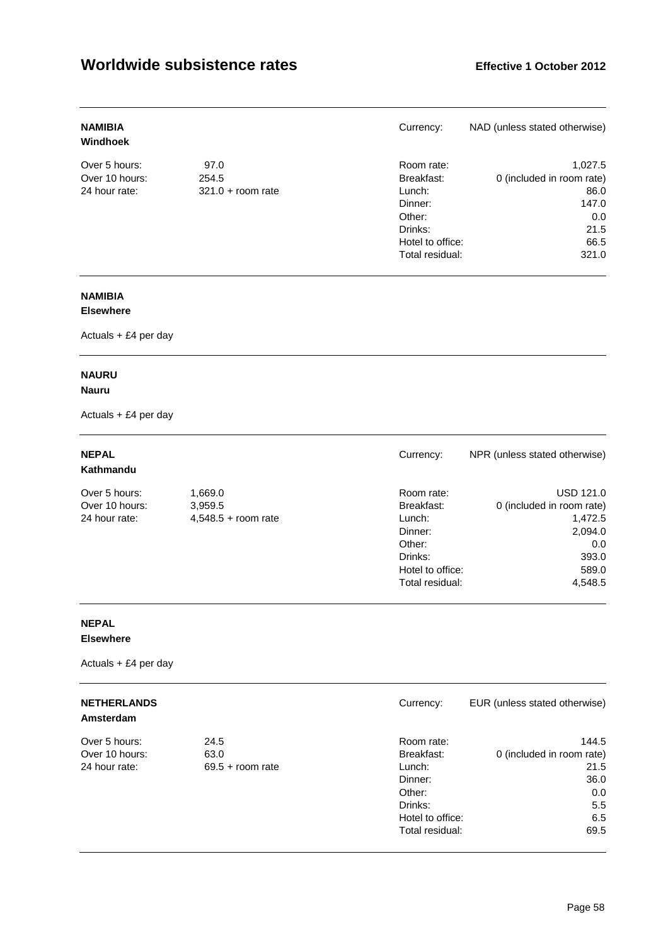| <b>NAMIBIA</b><br>Windhoek |                     | Currency:        | NAD (unless stated otherwise) |
|----------------------------|---------------------|------------------|-------------------------------|
| Over 5 hours:              | 97.0                | Room rate:       | 1.027.5                       |
| Over 10 hours:             | 254.5               | Breakfast:       | 0 (included in room rate)     |
| 24 hour rate:              | $321.0 + room rate$ | Lunch:           | 86.0                          |
|                            |                     | Dinner:          | 147.0                         |
|                            |                     | Other:           | 0.0                           |
|                            |                     | Drinks:          | 21.5                          |
|                            |                     | Hotel to office: | 66.5                          |
|                            |                     | Total residual:  | 321.0                         |

# **NAMIBIA**

## **Elsewhere**

Actuals + £4 per day

# **NAURU**

## **Nauru**

Actuals + £4 per day

| <b>NEPAL</b><br>Kathmandu |                       | Currency:        | NPR (unless stated otherwise) |
|---------------------------|-----------------------|------------------|-------------------------------|
| Over 5 hours:             | 1,669.0               | Room rate:       | <b>USD 121.0</b>              |
| Over 10 hours:            | 3,959.5               | Breakfast:       | 0 (included in room rate)     |
| 24 hour rate:             | $4,548.5 +$ room rate | Lunch:           | 1.472.5                       |
|                           |                       | Dinner:          | 2,094.0                       |
|                           |                       | Other:           | 0.0                           |
|                           |                       | Drinks:          | 393.0                         |
|                           |                       | Hotel to office: | 589.0                         |
|                           |                       | Total residual:  | 4.548.5                       |

# **NEPAL**

## **Elsewhere**

| <b>NETHERLANDS</b><br>Amsterdam |                    | Currency:        | EUR (unless stated otherwise) |
|---------------------------------|--------------------|------------------|-------------------------------|
| Over 5 hours:                   | 24.5               | Room rate:       | 144.5                         |
| Over 10 hours:                  | 63.0               | Breakfast:       | 0 (included in room rate)     |
| 24 hour rate:                   | $69.5 +$ room rate | Lunch:           | 21.5                          |
|                                 |                    | Dinner:          | 36.0                          |
|                                 |                    | Other:           | 0.0                           |
|                                 |                    | Drinks:          | 5.5                           |
|                                 |                    | Hotel to office: | 6.5                           |
|                                 |                    | Total residual:  | 69.5                          |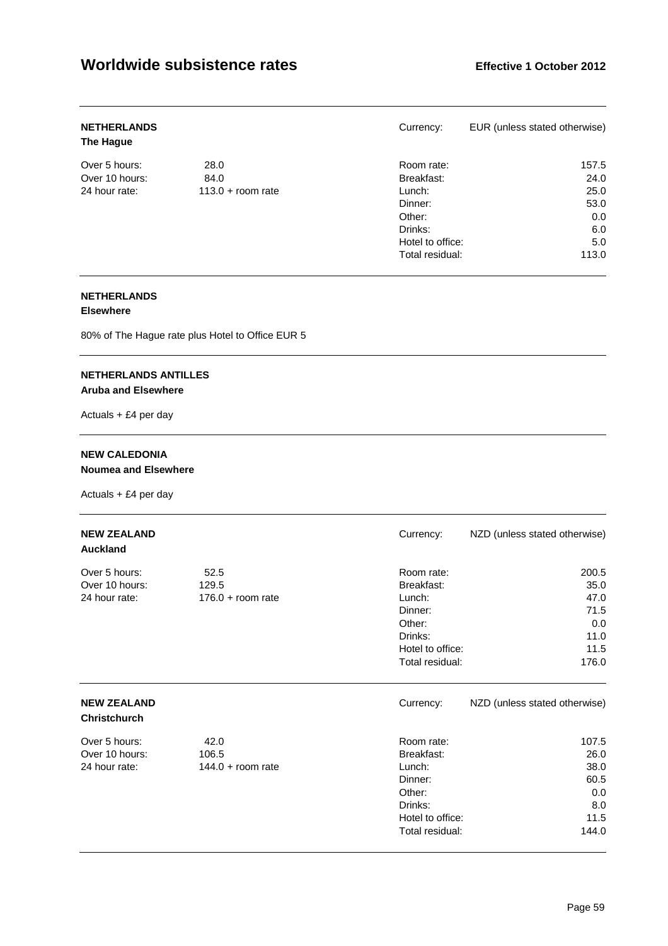| <b>NETHERLANDS</b><br>The Hague |                     | Currency:        | EUR (unless stated otherwise) |
|---------------------------------|---------------------|------------------|-------------------------------|
| Over 5 hours:                   | 28.0                | Room rate:       | 157.5                         |
| Over 10 hours:                  | 84.0                | Breakfast:       | 24.0                          |
| 24 hour rate:                   | $113.0 +$ room rate | Lunch:           | 25.0                          |
|                                 |                     | Dinner:          | 53.0                          |
|                                 |                     | Other:           | 0.0                           |
|                                 |                     | Drinks:          | 6.0                           |
|                                 |                     | Hotel to office: | 5.0                           |
|                                 |                     | Total residual:  | 113.0                         |

## **NETHERLANDS**

## **Elsewhere**

80% of The Hague rate plus Hotel to Office EUR 5

## **NETHERLANDS ANTILLES Aruba and Elsewhere**

Actuals + £4 per day

## **NEW CALEDONIA Noumea and Elsewhere**

| <b>NEW ZEALAND</b><br><b>Auckland</b>            |                                      | Currency:                                                                                                 | NZD (unless stated otherwise)                                 |
|--------------------------------------------------|--------------------------------------|-----------------------------------------------------------------------------------------------------------|---------------------------------------------------------------|
| Over 5 hours:<br>Over 10 hours:<br>24 hour rate: | 52.5<br>129.5<br>$176.0 + room rate$ | Room rate:<br>Breakfast:<br>Lunch:<br>Dinner:<br>Other:<br>Drinks:<br>Hotel to office:<br>Total residual: | 200.5<br>35.0<br>47.0<br>71.5<br>0.0<br>11.0<br>11.5<br>176.0 |
| <b>NEW ZEALAND</b><br><b>Christchurch</b>        |                                      | Currency:                                                                                                 | NZD (unless stated otherwise)                                 |
| Over 5 hours:<br>Over 10 hours:<br>24 hour rate: | 42.0<br>106.5<br>$144.0 + room rate$ | Room rate:<br>Breakfast:<br>Lunch:<br>Dinner:<br>Other:<br>Drinks:<br>Hotel to office:<br>Total residual: | 107.5<br>26.0<br>38.0<br>60.5<br>0.0<br>8.0<br>11.5<br>144.0  |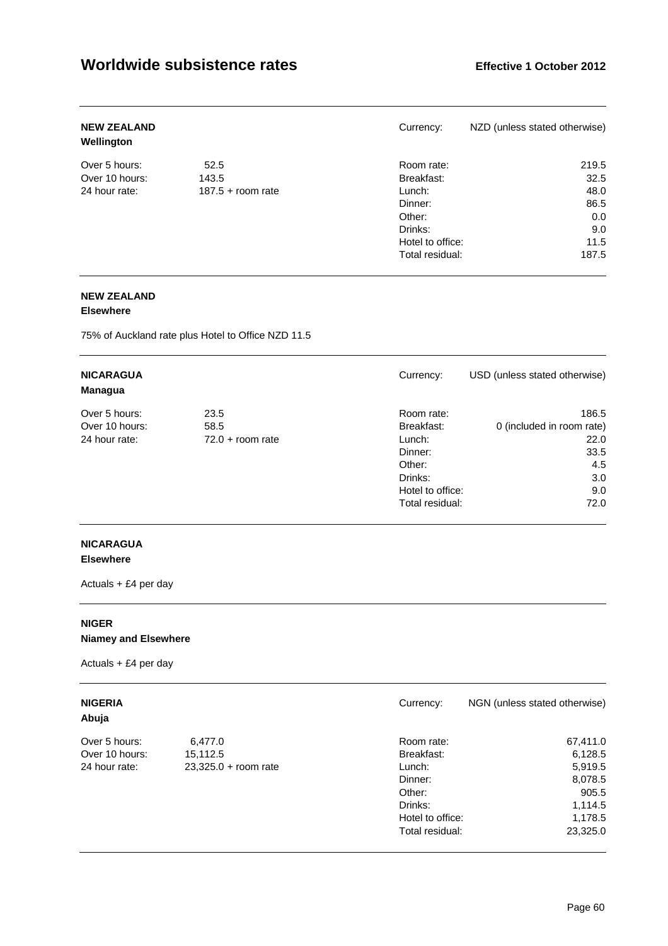| <b>NEW ZEALAND</b><br>Wellington |                     | Currency:        | NZD (unless stated otherwise) |
|----------------------------------|---------------------|------------------|-------------------------------|
| Over 5 hours:                    | 52.5                | Room rate:       | 219.5                         |
| Over 10 hours:                   | 143.5               | Breakfast:       | 32.5                          |
| 24 hour rate:                    | $187.5 +$ room rate | Lunch:           | 48.0                          |
|                                  |                     | Dinner:          | 86.5                          |
|                                  |                     | Other:           | 0.0                           |
|                                  |                     | Drinks:          | 9.0                           |
|                                  |                     | Hotel to office: | 11.5                          |
|                                  |                     | Total residual:  | 187.5                         |

## **NEW ZEALAND**

#### **Elsewhere**

75% of Auckland rate plus Hotel to Office NZD 11.5

| <b>NICARAGUA</b><br>Managua |                    | Currency:        | USD (unless stated otherwise) |
|-----------------------------|--------------------|------------------|-------------------------------|
| Over 5 hours:               | 23.5               | Room rate:       | 186.5                         |
| Over 10 hours:              | 58.5               | Breakfast:       | 0 (included in room rate)     |
| 24 hour rate:               | $72.0 + room rate$ | Lunch:           | 22.0                          |
|                             |                    | Dinner:          | 33.5                          |
|                             |                    | Other:           | 4.5                           |
|                             |                    | Drinks:          | 3.0                           |
|                             |                    | Hotel to office: | 9.0                           |
|                             |                    | Total residual:  | 72.0                          |

## **NICARAGUA Elsewhere**

Actuals + £4 per day

## **NIGER Niamey and Elsewhere**

# Actuals + £4 per day

## **Abuja**

| Over 5 hours:  |
|----------------|
| Over 10 hours: |
| 24 hour rate:  |

| <b>NIGERIA</b><br>Abuja |                        | Currency:        | NGN (unless stated otherwise) |
|-------------------------|------------------------|------------------|-------------------------------|
| Over 5 hours:           | 6,477.0                | Room rate:       | 67,411.0                      |
| Over 10 hours:          | 15.112.5               | Breakfast:       | 6,128.5                       |
| 24 hour rate:           | $23,325.0 + room rate$ | Lunch:           | 5,919.5                       |
|                         |                        | Dinner:          | 8,078.5                       |
|                         |                        | Other:           | 905.5                         |
|                         |                        | Drinks:          | 1,114.5                       |
|                         |                        | Hotel to office: | 1,178.5                       |
|                         |                        | Total residual:  | 23.325.0                      |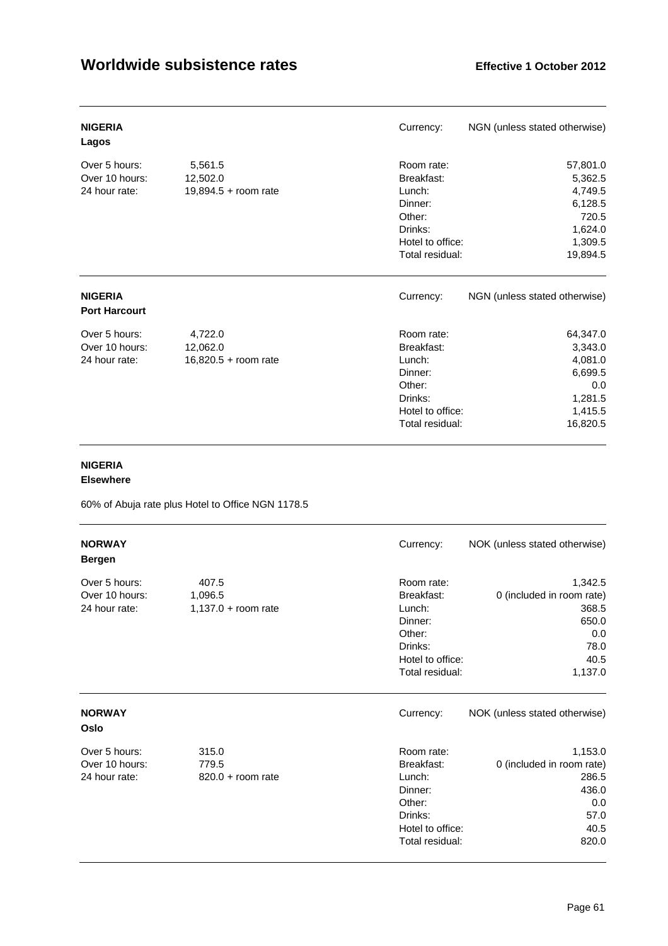| <b>NIGERIA</b><br>Lagos                          |                                               | Currency:                                                                                                 | NGN (unless stated otherwise)                                                        |
|--------------------------------------------------|-----------------------------------------------|-----------------------------------------------------------------------------------------------------------|--------------------------------------------------------------------------------------|
| Over 5 hours:<br>Over 10 hours:<br>24 hour rate: | 5,561.5<br>12,502.0<br>19,894.5 + room rate   | Room rate:<br>Breakfast:<br>Lunch:<br>Dinner:<br>Other:<br>Drinks:<br>Hotel to office:<br>Total residual: | 57,801.0<br>5,362.5<br>4,749.5<br>6,128.5<br>720.5<br>1,624.0<br>1,309.5<br>19,894.5 |
| <b>NIGERIA</b><br><b>Port Harcourt</b>           |                                               | Currency:                                                                                                 | NGN (unless stated otherwise)                                                        |
| Over 5 hours:<br>Over 10 hours:<br>24 hour rate: | 4,722.0<br>12,062.0<br>$16,820.5 + room rate$ | Room rate:<br>Breakfast:<br>Lunch:<br>Dinner:<br>Other:<br>Drinks:<br>Hotel to office:<br>Total residual: | 64,347.0<br>3,343.0<br>4,081.0<br>6,699.5<br>0.0<br>1,281.5<br>1,415.5<br>16,820.5   |

## **NIGERIA**

**Elsewhere** 

60% of Abuja rate plus Hotel to Office NGN 1178.5

| <b>NORWAY</b><br><b>Bergen</b>                   |                                           | Currency:                                                                                                 | NOK (unless stated otherwise)                                                            |
|--------------------------------------------------|-------------------------------------------|-----------------------------------------------------------------------------------------------------------|------------------------------------------------------------------------------------------|
| Over 5 hours:<br>Over 10 hours:<br>24 hour rate: | 407.5<br>1,096.5<br>$1,137.0 + room rate$ | Room rate:<br>Breakfast:<br>Lunch:<br>Dinner:<br>Other:<br>Drinks:<br>Hotel to office:<br>Total residual: | 1,342.5<br>0 (included in room rate)<br>368.5<br>650.0<br>0.0<br>78.0<br>40.5<br>1,137.0 |
| <b>NORWAY</b><br>Oslo                            |                                           | Currency:                                                                                                 | NOK (unless stated otherwise)                                                            |
| Over 5 hours:<br>Over 10 hours:<br>24 hour rate: | 315.0<br>779.5<br>$820.0 + room$ rate     | Room rate:<br>Breakfast:<br>Lunch:<br>Dinner:<br>Other:<br>Drinks:<br>Hotel to office:<br>Total residual: | 1,153.0<br>0 (included in room rate)<br>286.5<br>436.0<br>0.0<br>57.0<br>40.5<br>820.0   |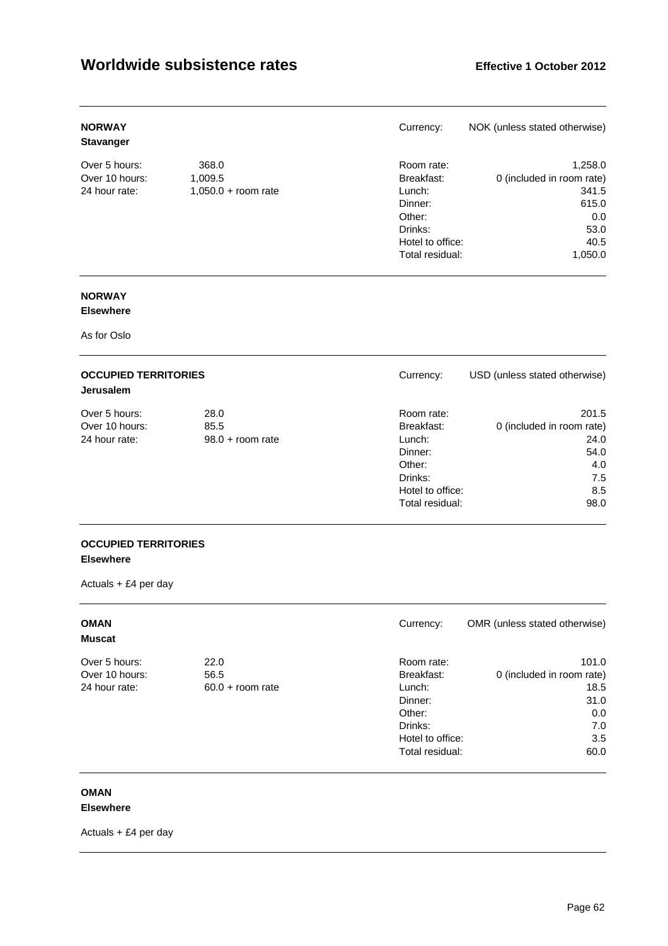| <b>NORWAY</b><br><b>Stavanger</b> |                       | Currency:        | NOK (unless stated otherwise) |
|-----------------------------------|-----------------------|------------------|-------------------------------|
| Over 5 hours:                     | 368.0                 | Room rate:       | 1,258.0                       |
| Over 10 hours:                    | 1,009.5               | Breakfast:       | 0 (included in room rate)     |
| 24 hour rate:                     | $1,050.0 + room rate$ | Lunch:           | 341.5                         |
|                                   |                       | Dinner:          | 615.0                         |
|                                   |                       | Other:           | 0.0                           |
|                                   |                       | Drinks:          | 53.0                          |
|                                   |                       | Hotel to office: | 40.5                          |
|                                   |                       | Total residual:  | 1,050.0                       |

# **NORWAY**

## **Elsewhere**

As for Oslo

| <b>OCCUPIED TERRITORIES</b><br><b>Jerusalem</b> |                    | Currency:        | USD (unless stated otherwise) |
|-------------------------------------------------|--------------------|------------------|-------------------------------|
| Over 5 hours:                                   | 28.0               | Room rate:       | 201.5                         |
| Over 10 hours:                                  | 85.5               | Breakfast:       | 0 (included in room rate)     |
| 24 hour rate:                                   | $98.0 +$ room rate | Lunch:           | 24.0                          |
|                                                 |                    | Dinner:          | 54.0                          |
|                                                 |                    | Other:           | 4.0                           |
|                                                 |                    | Drinks:          | 7.5                           |
|                                                 |                    | Hotel to office: | 8.5                           |
|                                                 |                    | Total residual:  | 98.0                          |

## **OCCUPIED TERRITORIES Elsewhere**

Actuals + £4 per day

| <b>OMAN</b><br><b>Muscat</b> |                    | Currency:        | OMR (unless stated otherwise) |
|------------------------------|--------------------|------------------|-------------------------------|
| Over 5 hours:                | 22.0               | Room rate:       | 101.0                         |
| Over 10 hours:               | 56.5               | Breakfast:       | 0 (included in room rate)     |
| 24 hour rate:                | $60.0 + room$ rate | Lunch:           | 18.5                          |
|                              |                    | Dinner:          | 31.0                          |
|                              |                    | Other:           | 0.0                           |
|                              |                    | Drinks:          | 7.0                           |
|                              |                    | Hotel to office: | 3.5                           |
|                              |                    | Total residual:  | 60.0                          |

## **OMAN**

## **Elsewhere**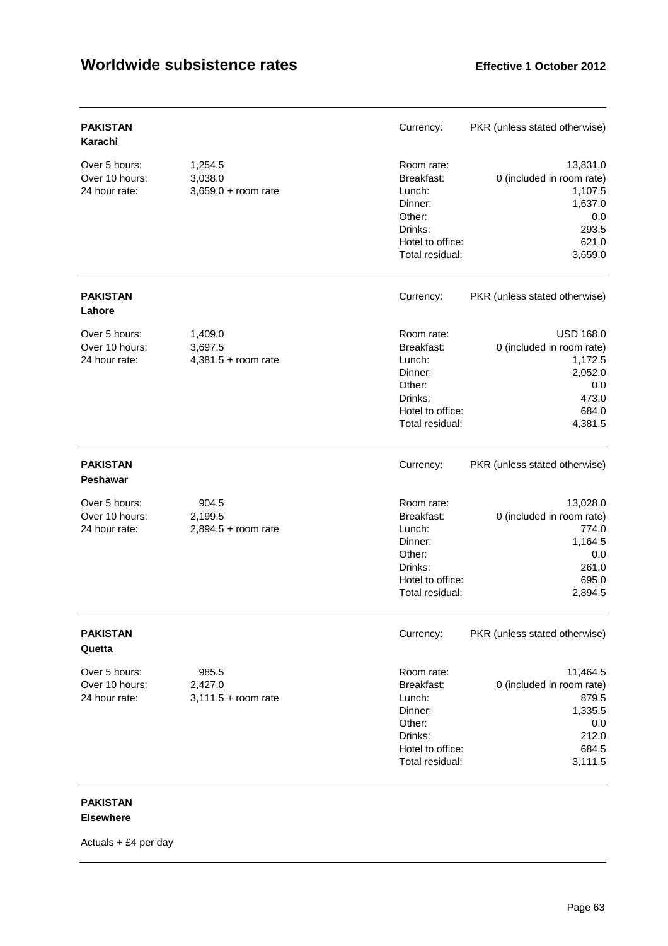| <b>PAKISTAN</b><br>Karachi                       |                                             | Currency:                                                                                                 | PKR (unless stated otherwise)                                                                           |
|--------------------------------------------------|---------------------------------------------|-----------------------------------------------------------------------------------------------------------|---------------------------------------------------------------------------------------------------------|
| Over 5 hours:<br>Over 10 hours:<br>24 hour rate: | 1,254.5<br>3,038.0<br>$3,659.0 + room rate$ | Room rate:<br>Breakfast:<br>Lunch:<br>Dinner:<br>Other:<br>Drinks:<br>Hotel to office:<br>Total residual: | 13,831.0<br>0 (included in room rate)<br>1,107.5<br>1,637.0<br>0.0<br>293.5<br>621.0<br>3,659.0         |
| PAKISTAN<br>Lahore                               |                                             | Currency:                                                                                                 | PKR (unless stated otherwise)                                                                           |
| Over 5 hours:<br>Over 10 hours:<br>24 hour rate: | 1,409.0<br>3,697.5<br>$4,381.5 +$ room rate | Room rate:<br>Breakfast:<br>Lunch:<br>Dinner:<br>Other:<br>Drinks:<br>Hotel to office:<br>Total residual: | <b>USD 168.0</b><br>0 (included in room rate)<br>1,172.5<br>2,052.0<br>0.0<br>473.0<br>684.0<br>4,381.5 |
| <b>PAKISTAN</b><br><b>Peshawar</b>               |                                             | Currency:                                                                                                 | PKR (unless stated otherwise)                                                                           |
| Over 5 hours:<br>Over 10 hours:<br>24 hour rate: | 904.5<br>2,199.5<br>$2,894.5 +$ room rate   | Room rate:<br>Breakfast:<br>Lunch:<br>Dinner:<br>Other:<br>Drinks:<br>Hotel to office:<br>Total residual: | 13,028.0<br>0 (included in room rate)<br>774.0<br>1,164.5<br>0.0<br>261.0<br>695.0<br>2,894.5           |
| <b>PAKISTAN</b><br>Quetta                        |                                             | Currency:                                                                                                 | PKR (unless stated otherwise)                                                                           |
| Over 5 hours:<br>Over 10 hours:<br>24 hour rate: | 985.5<br>2,427.0<br>$3,111.5 + room$ rate   | Room rate:<br>Breakfast:<br>Lunch:<br>Dinner:<br>Other:<br>Drinks:<br>Hotel to office:<br>Total residual: | 11,464.5<br>0 (included in room rate)<br>879.5<br>1,335.5<br>0.0<br>212.0<br>684.5<br>3,111.5           |

## **PAKISTAN Elsewhere**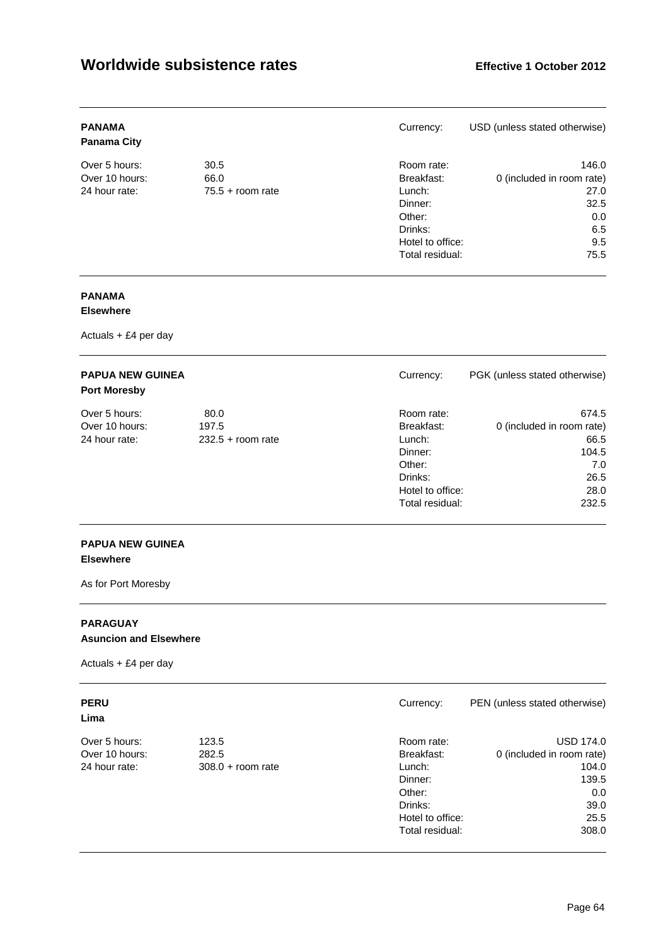| <b>PANAMA</b><br><b>Panama City</b> |                    | Currency:        | USD (unless stated otherwise) |
|-------------------------------------|--------------------|------------------|-------------------------------|
| Over 5 hours:                       | 30.5               | Room rate:       | 146.0                         |
| Over 10 hours:                      | 66.0               | Breakfast:       | 0 (included in room rate)     |
| 24 hour rate:                       | $75.5 +$ room rate | Lunch:           | 27.0                          |
|                                     |                    | Dinner:          | 32.5                          |
|                                     |                    | Other:           | 0.0                           |
|                                     |                    | Drinks:          | 6.5                           |
|                                     |                    | Hotel to office: | 9.5                           |
|                                     |                    | Total residual:  | 75.5                          |

# **PANAMA**

## **Elsewhere**

Actuals + £4 per day

| <b>PAPUA NEW GUINEA</b><br><b>Port Moresby</b> |                     | Currency:        | PGK (unless stated otherwise) |
|------------------------------------------------|---------------------|------------------|-------------------------------|
| Over 5 hours:                                  | 80.0                | Room rate:       | 674.5                         |
| Over 10 hours:                                 | 197.5               | Breakfast:       | 0 (included in room rate)     |
| 24 hour rate:                                  | $232.5 +$ room rate | Lunch:           | 66.5                          |
|                                                |                     | Dinner:          | 104.5                         |
|                                                |                     | Other:           | 7.0                           |
|                                                |                     | Drinks:          | 26.5                          |
|                                                |                     | Hotel to office: | 28.0                          |
|                                                |                     | Total residual:  | 232.5                         |

## **PAPUA NEW GUINEA Elsewhere**

As for Port Moresby

# **PARAGUAY**

**Asuncion and Elsewhere** 

Actuals + £4 per day

## **Lima**

| Over 5 hours:  |
|----------------|
| Over 10 hours: |
| 24 hour rate:  |

| <b>PERU</b>    |                     | Currency:        | PEN (unless stated otherwise) |
|----------------|---------------------|------------------|-------------------------------|
| Lima           |                     |                  |                               |
| Over 5 hours:  | 123.5               | Room rate:       | <b>USD 174.0</b>              |
| Over 10 hours: | 282.5               | Breakfast:       | 0 (included in room rate)     |
| 24 hour rate:  | $308.0 +$ room rate | Lunch:           | 104.0                         |
|                |                     | Dinner:          | 139.5                         |
|                |                     | Other:           | 0.0                           |
|                |                     | Drinks:          | 39.0                          |
|                |                     | Hotel to office: | 25.5                          |
|                |                     | Total residual:  | 308.0                         |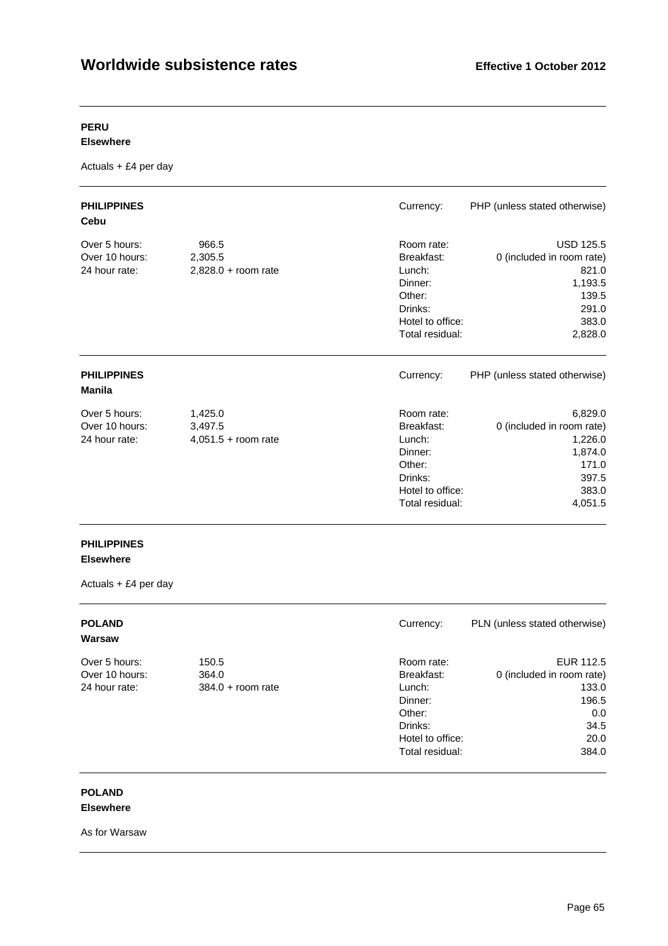## **PERU**

#### **Elsewhere**

Actuals + £4 per day

| <b>PHILIPPINES</b><br>Cebu                       |                                             | Currency:                                                                                                 | PHP (unless stated otherwise)                                                                           |
|--------------------------------------------------|---------------------------------------------|-----------------------------------------------------------------------------------------------------------|---------------------------------------------------------------------------------------------------------|
| Over 5 hours:<br>Over 10 hours:<br>24 hour rate: | 966.5<br>2,305.5<br>$2,828.0 +$ room rate   | Room rate:<br>Breakfast:<br>Lunch:<br>Dinner:<br>Other:<br>Drinks:<br>Hotel to office:<br>Total residual: | <b>USD 125.5</b><br>0 (included in room rate)<br>821.0<br>1,193.5<br>139.5<br>291.0<br>383.0<br>2,828.0 |
| <b>PHILIPPINES</b><br>Manila                     |                                             | Currency:                                                                                                 | PHP (unless stated otherwise)                                                                           |
| Over 5 hours:<br>Over 10 hours:<br>24 hour rate: | 1,425.0<br>3,497.5<br>$4,051.5 +$ room rate | Room rate:<br>Breakfast:<br>Lunch:<br>Dinner:<br>Other:<br>Drinks:<br>Hotel to office:<br>Total residual: | 6,829.0<br>0 (included in room rate)<br>1,226.0<br>1,874.0<br>171.0<br>397.5<br>383.0<br>4,051.5        |

# **PHILIPPINES**

# **Elsewhere**

Actuals + £4 per day

| <b>POLAND</b><br>Warsaw |                     | Currency:        | PLN (unless stated otherwise) |
|-------------------------|---------------------|------------------|-------------------------------|
| Over 5 hours:           | 150.5               | Room rate:       | EUR 112.5                     |
| Over 10 hours:          | 364.0               | Breakfast:       | 0 (included in room rate)     |
| 24 hour rate:           | $384.0 +$ room rate | Lunch:           | 133.0                         |
|                         |                     | Dinner:          | 196.5                         |
|                         |                     | Other:           | 0.0                           |
|                         |                     | Drinks:          | 34.5                          |
|                         |                     | Hotel to office: | 20.0                          |
|                         |                     | Total residual:  | 384.0                         |

#### **POLAND Elsewhere**

As for Warsaw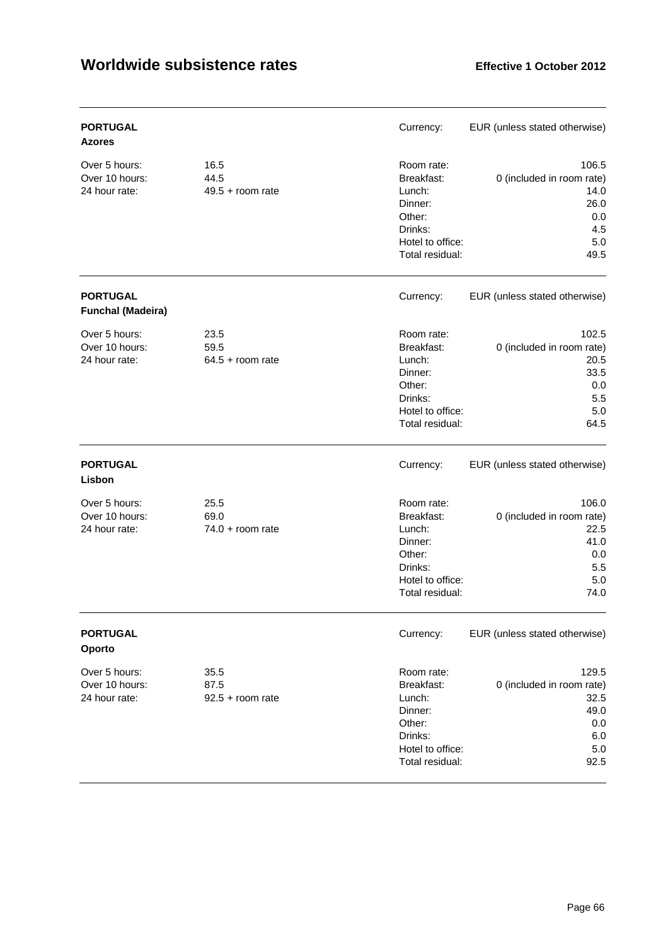| <b>PORTUGAL</b><br><b>Azores</b>                 |                                    | Currency:                                                                                                 | EUR (unless stated otherwise)                                                     |
|--------------------------------------------------|------------------------------------|-----------------------------------------------------------------------------------------------------------|-----------------------------------------------------------------------------------|
| Over 5 hours:<br>Over 10 hours:<br>24 hour rate: | 16.5<br>44.5<br>$49.5 +$ room rate | Room rate:<br>Breakfast:<br>Lunch:<br>Dinner:<br>Other:<br>Drinks:<br>Hotel to office:<br>Total residual: | 106.5<br>0 (included in room rate)<br>14.0<br>26.0<br>0.0<br>4.5<br>$5.0$<br>49.5 |
| <b>PORTUGAL</b><br><b>Funchal (Madeira)</b>      |                                    | Currency:                                                                                                 | EUR (unless stated otherwise)                                                     |
| Over 5 hours:<br>Over 10 hours:<br>24 hour rate: | 23.5<br>59.5<br>$64.5 +$ room rate | Room rate:<br>Breakfast:<br>Lunch:<br>Dinner:<br>Other:<br>Drinks:<br>Hotel to office:<br>Total residual: | 102.5<br>0 (included in room rate)<br>20.5<br>33.5<br>0.0<br>5.5<br>5.0<br>64.5   |
| <b>PORTUGAL</b><br>Lisbon                        |                                    | Currency:                                                                                                 | EUR (unless stated otherwise)                                                     |
| Over 5 hours:<br>Over 10 hours:<br>24 hour rate: | 25.5<br>69.0<br>$74.0 + room rate$ | Room rate:<br>Breakfast:<br>Lunch:<br>Dinner:<br>Other:<br>Drinks:<br>Hotel to office:<br>Total residual: | 106.0<br>0 (included in room rate)<br>22.5<br>41.0<br>0.0<br>5.5<br>5.0<br>74.0   |
| <b>PORTUGAL</b><br>Oporto                        |                                    | Currency:                                                                                                 | EUR (unless stated otherwise)                                                     |
| Over 5 hours:<br>Over 10 hours:<br>24 hour rate: | 35.5<br>87.5<br>$92.5 + room$ rate | Room rate:<br>Breakfast:<br>Lunch:<br>Dinner:<br>Other:<br>Drinks:<br>Hotel to office:<br>Total residual: | 129.5<br>0 (included in room rate)<br>32.5<br>49.0<br>0.0<br>6.0<br>5.0<br>92.5   |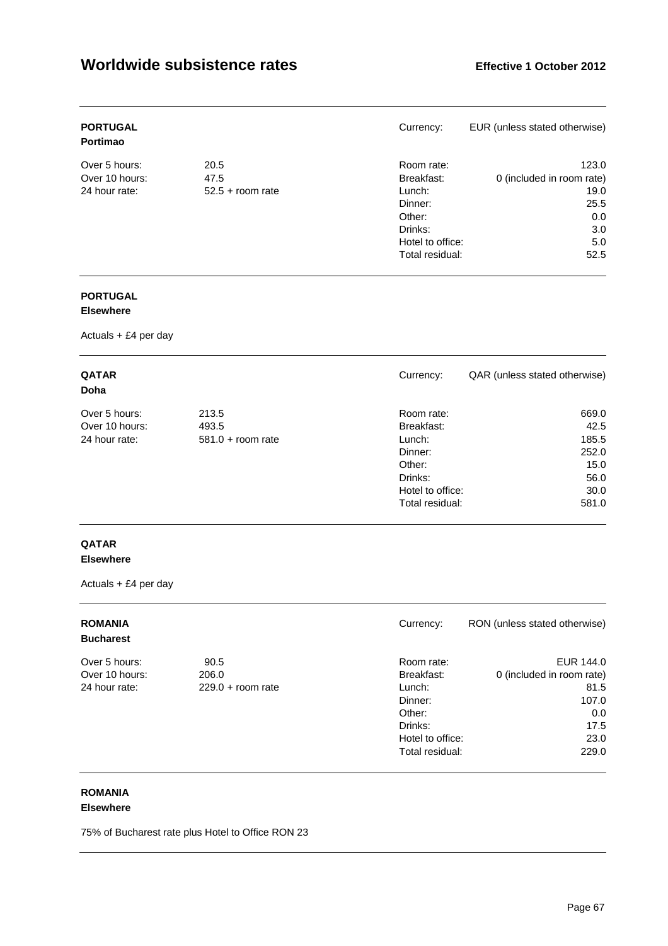| <b>PORTUGAL</b><br><b>Portimao</b> |                    | Currency:        | EUR (unless stated otherwise) |
|------------------------------------|--------------------|------------------|-------------------------------|
| Over 5 hours:                      | 20.5               | Room rate:       | 123.0                         |
| Over 10 hours:                     | 47.5               | Breakfast:       | 0 (included in room rate)     |
| 24 hour rate:                      | $52.5 +$ room rate | Lunch:           | 19.0                          |
|                                    |                    | Dinner:          | 25.5                          |
|                                    |                    | Other:           | 0.0                           |
|                                    |                    | Drinks:          | 3.0                           |
|                                    |                    | Hotel to office: | 5.0                           |
|                                    |                    | Total residual:  | 52.5                          |

# **PORTUGAL**

## **Elsewhere**

Actuals + £4 per day

| <b>QATAR</b><br>Doha |                     | Currency:        | QAR (unless stated otherwise) |
|----------------------|---------------------|------------------|-------------------------------|
| Over 5 hours:        | 213.5               | Room rate:       | 669.0                         |
| Over 10 hours:       | 493.5               | Breakfast:       | 42.5                          |
| 24 hour rate:        | $581.0 +$ room rate | Lunch:           | 185.5                         |
|                      |                     | Dinner:          | 252.0                         |
|                      |                     | Other:           | 15.0                          |
|                      |                     | Drinks:          | 56.0                          |
|                      |                     | Hotel to office: | 30.0                          |
|                      |                     | Total residual:  | 581.0                         |

## **QATAR Elsewhere**

Actuals + £4 per day

| <b>ROMANIA</b><br><b>Bucharest</b> |                     | Currency:        | RON (unless stated otherwise) |
|------------------------------------|---------------------|------------------|-------------------------------|
| Over 5 hours:                      | 90.5                | Room rate:       | EUR 144.0                     |
| Over 10 hours:                     | 206.0               | Breakfast:       | 0 (included in room rate)     |
| 24 hour rate:                      | $229.0 + room rate$ | Lunch:           | 81.5                          |
|                                    |                     | Dinner:          | 107.0                         |
|                                    |                     | Other:           | 0.0                           |
|                                    |                     | Drinks:          | 17.5                          |
|                                    |                     | Hotel to office: | 23.0                          |
|                                    |                     | Total residual:  | 229.0                         |

# **ROMANIA**

## **Elsewhere**

75% of Bucharest rate plus Hotel to Office RON 23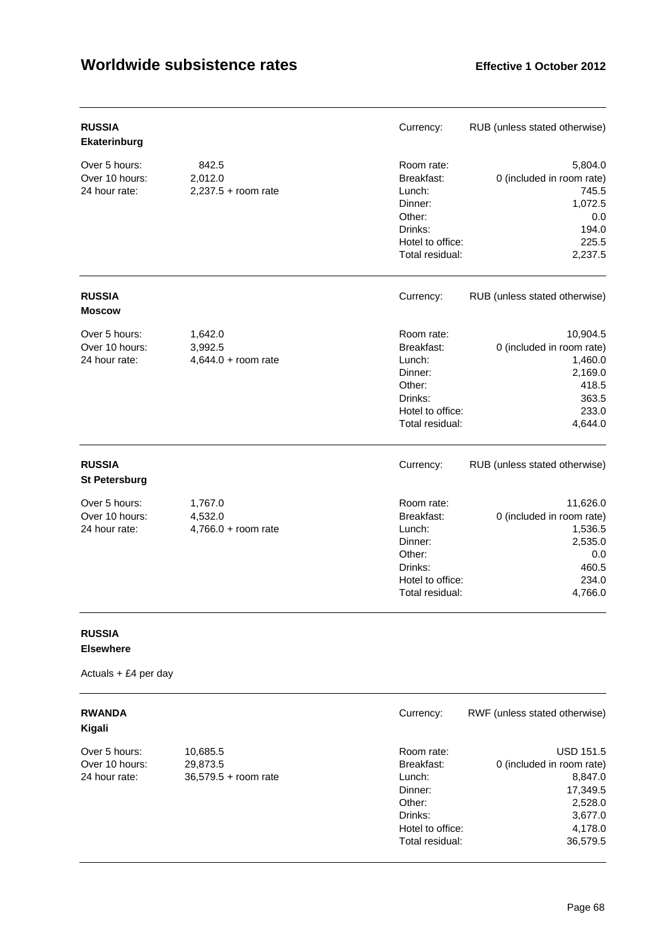| <b>RUSSIA</b><br>Ekaterinburg                    |                                             | Currency:                                                                                                 | RUB (unless stated otherwise)                                                                     |
|--------------------------------------------------|---------------------------------------------|-----------------------------------------------------------------------------------------------------------|---------------------------------------------------------------------------------------------------|
| Over 5 hours:<br>Over 10 hours:<br>24 hour rate: | 842.5<br>2,012.0<br>$2,237.5 +$ room rate   | Room rate:<br>Breakfast:<br>Lunch:<br>Dinner:<br>Other:<br>Drinks:<br>Hotel to office:<br>Total residual: | 5,804.0<br>0 (included in room rate)<br>745.5<br>1,072.5<br>0.0<br>194.0<br>225.5<br>2,237.5      |
| <b>RUSSIA</b><br><b>Moscow</b>                   |                                             | Currency:                                                                                                 | RUB (unless stated otherwise)                                                                     |
| Over 5 hours:<br>Over 10 hours:<br>24 hour rate: | 1,642.0<br>3,992.5<br>$4,644.0 + room$ rate | Room rate:<br>Breakfast:<br>Lunch:<br>Dinner:<br>Other:<br>Drinks:<br>Hotel to office:<br>Total residual: | 10,904.5<br>0 (included in room rate)<br>1,460.0<br>2,169.0<br>418.5<br>363.5<br>233.0<br>4,644.0 |
| <b>RUSSIA</b><br><b>St Petersburg</b>            |                                             | Currency:                                                                                                 | RUB (unless stated otherwise)                                                                     |
| Over 5 hours:<br>Over 10 hours:<br>24 hour rate: | 1,767.0<br>4,532.0<br>$4,766.0 +$ room rate | Room rate:<br>Breakfast:<br>Lunch:<br>Dinner:<br>Other:<br>Drinks:<br>Hotel to office:<br>Total residual: | 11,626.0<br>0 (included in room rate)<br>1,536.5<br>2,535.0<br>0.0<br>460.5<br>234.0<br>4,766.0   |

# **RUSSIA**

# **Elsewhere**

| <b>RWANDA</b><br>Kigali |                        | Currency:        | RWF (unless stated otherwise) |
|-------------------------|------------------------|------------------|-------------------------------|
| Over 5 hours:           | 10,685.5               | Room rate:       | <b>USD 151.5</b>              |
| Over 10 hours:          | 29,873.5               | Breakfast:       | 0 (included in room rate)     |
| 24 hour rate:           | $36,579.5 +$ room rate | Lunch:           | 8,847.0                       |
|                         |                        | Dinner:          | 17,349.5                      |
|                         |                        | Other:           | 2,528.0                       |
|                         |                        | Drinks:          | 3,677.0                       |
|                         |                        | Hotel to office: | 4,178.0                       |
|                         |                        | Total residual:  | 36.579.5                      |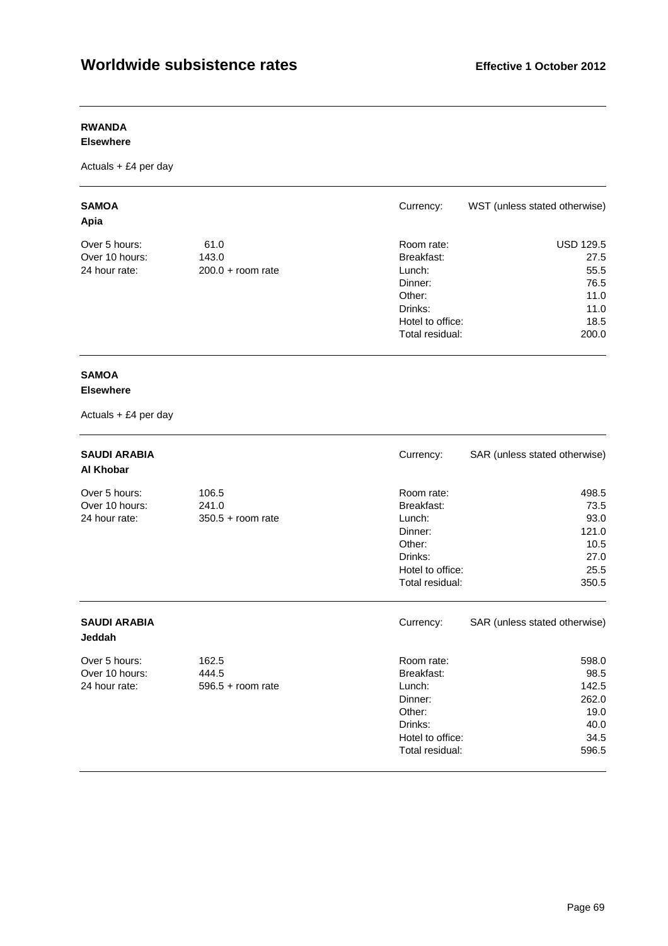# **RWANDA**

## **Elsewhere**

Actuals + £4 per day

| <b>SAMOA</b><br>Apia |                     | Currency:        | WST (unless stated otherwise) |
|----------------------|---------------------|------------------|-------------------------------|
| Over 5 hours:        | 61.0                | Room rate:       | <b>USD 129.5</b>              |
| Over 10 hours:       | 143.0               | Breakfast:       | 27.5                          |
| 24 hour rate:        | $200.0 +$ room rate | Lunch:           | 55.5                          |
|                      |                     | Dinner:          | 76.5                          |
|                      |                     | Other:           | 11.0                          |
|                      |                     | Drinks:          | 11.0                          |
|                      |                     | Hotel to office: | 18.5                          |
|                      |                     | Total residual:  | 200.0                         |

# **SAMOA**

## **Elsewhere**

| <b>SAUDI ARABIA</b><br>Al Khobar                 |                                       | Currency:                                                                                                 | SAR (unless stated otherwise)                                    |
|--------------------------------------------------|---------------------------------------|-----------------------------------------------------------------------------------------------------------|------------------------------------------------------------------|
| Over 5 hours:<br>Over 10 hours:<br>24 hour rate: | 106.5<br>241.0<br>$350.5 + room rate$ | Room rate:<br>Breakfast:<br>Lunch:<br>Dinner:<br>Other:<br>Drinks:<br>Hotel to office:<br>Total residual: | 498.5<br>73.5<br>93.0<br>121.0<br>10.5<br>27.0<br>25.5<br>350.5  |
| <b>SAUDI ARABIA</b><br><b>Jeddah</b>             |                                       | Currency:                                                                                                 | SAR (unless stated otherwise)                                    |
| Over 5 hours:<br>Over 10 hours:<br>24 hour rate: | 162.5<br>444.5<br>$596.5 +$ room rate | Room rate:<br>Breakfast:<br>Lunch:<br>Dinner:<br>Other:<br>Drinks:<br>Hotel to office:<br>Total residual: | 598.0<br>98.5<br>142.5<br>262.0<br>19.0<br>40.0<br>34.5<br>596.5 |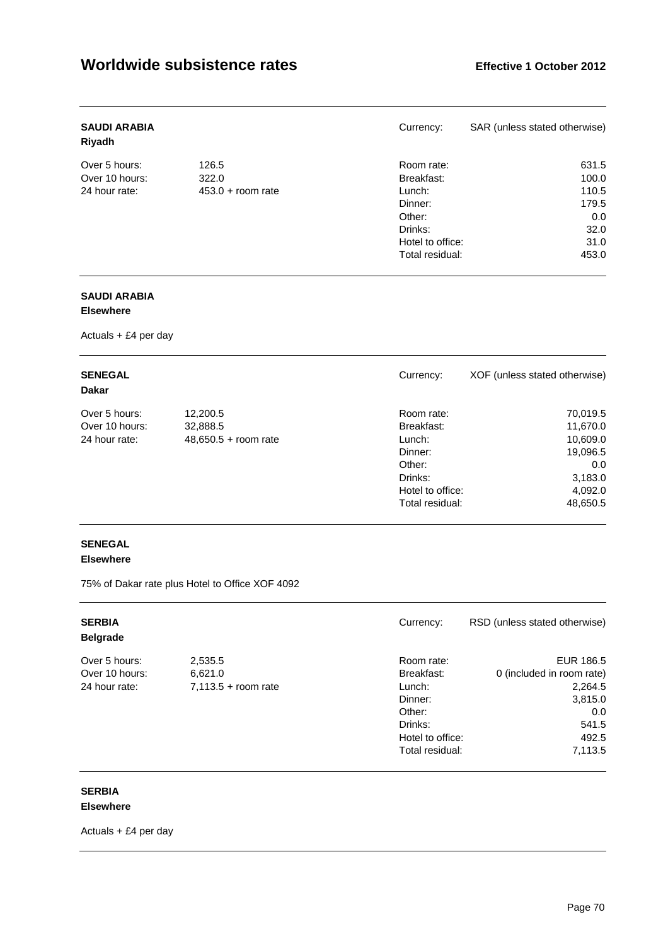| <b>SAUDI ARABIA</b><br>Riyadh |                     | Currency:        | SAR (unless stated otherwise) |
|-------------------------------|---------------------|------------------|-------------------------------|
| Over 5 hours:                 | 126.5               | Room rate:       | 631.5                         |
| Over 10 hours:                | 322.0               | Breakfast:       | 100.0                         |
| 24 hour rate:                 | $453.0 +$ room rate | Lunch:           | 110.5                         |
|                               |                     | Dinner:          | 179.5                         |
|                               |                     | Other:           | 0.0                           |
|                               |                     | Drinks:          | 32.0                          |
|                               |                     | Hotel to office: | 31.0                          |
|                               |                     | Total residual:  | 453.0                         |

# **SAUDI ARABIA**

## **Elsewhere**

Actuals + £4 per day

| <b>SENEGAL</b><br><b>Dakar</b> |                        | Currency:        | XOF (unless stated otherwise) |
|--------------------------------|------------------------|------------------|-------------------------------|
| Over 5 hours:                  | 12,200.5               | Room rate:       | 70,019.5                      |
| Over 10 hours:                 | 32,888.5               | Breakfast:       | 11,670.0                      |
| 24 hour rate:                  | $48,650.5 + room rate$ | Lunch:           | 10,609.0                      |
|                                |                        | Dinner:          | 19,096.5                      |
|                                |                        | Other:           | 0.0                           |
|                                |                        | Drinks:          | 3,183.0                       |
|                                |                        | Hotel to office: | 4,092.0                       |
|                                |                        | Total residual:  | 48,650.5                      |

# **SENEGAL**

## **Elsewhere**

75% of Dakar rate plus Hotel to Office XOF 4092

| <b>SERBIA</b><br><b>Belgrade</b> |                       | Currency:        | RSD (unless stated otherwise) |
|----------------------------------|-----------------------|------------------|-------------------------------|
| Over 5 hours:                    | 2,535.5               | Room rate:       | EUR 186.5                     |
| Over 10 hours:                   | 6,621.0               | Breakfast:       | 0 (included in room rate)     |
| 24 hour rate:                    | $7,113.5 +$ room rate | Lunch:           | 2,264.5                       |
|                                  |                       | Dinner:          | 3,815.0                       |
|                                  |                       | Other:           | 0.0                           |
|                                  |                       | Drinks:          | 541.5                         |
|                                  |                       | Hotel to office: | 492.5                         |
|                                  |                       | Total residual:  | 7,113.5                       |

#### **SERBIA Elsewhere**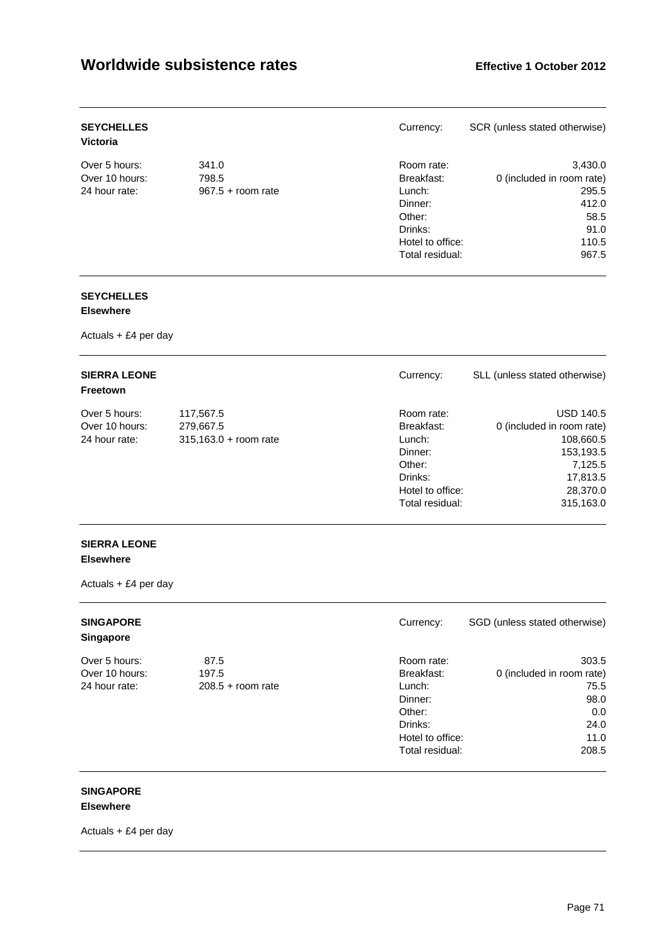| <b>SEYCHELLES</b><br><b>Victoria</b> |                     | Currency:        | SCR (unless stated otherwise) |
|--------------------------------------|---------------------|------------------|-------------------------------|
| Over 5 hours:                        | 341.0               | Room rate:       | 3,430.0                       |
| Over 10 hours:                       | 798.5               | Breakfast:       | 0 (included in room rate)     |
| 24 hour rate:                        | $967.5 +$ room rate | Lunch:           | 295.5                         |
|                                      |                     | Dinner:          | 412.0                         |
|                                      |                     | Other:           | 58.5                          |
|                                      |                     | Drinks:          | 91.0                          |
|                                      |                     | Hotel to office: | 110.5                         |
|                                      |                     | Total residual:  | 967.5                         |

#### **SEYCHELLES Elsewhere**

Actuals + £4 per day

| <b>SIERRA LEONE</b><br>Freetown |                         | Currency:        | SLL (unless stated otherwise) |
|---------------------------------|-------------------------|------------------|-------------------------------|
| Over 5 hours:                   | 117,567.5               | Room rate:       | <b>USD 140.5</b>              |
| Over 10 hours:                  | 279,667.5               | Breakfast:       | 0 (included in room rate)     |
| 24 hour rate:                   | $315,163.0 + room rate$ | Lunch:           | 108,660.5                     |
|                                 |                         | Dinner:          | 153,193.5                     |
|                                 |                         | Other:           | 7,125.5                       |
|                                 |                         | Drinks:          | 17,813.5                      |
|                                 |                         | Hotel to office: | 28,370.0                      |
|                                 |                         | Total residual:  | 315,163.0                     |

## **SIERRA LEONE Elsewhere**

Actuals + £4 per day

| <b>SINGAPORE</b><br><b>Singapore</b> |                     | Currency:        | SGD (unless stated otherwise) |
|--------------------------------------|---------------------|------------------|-------------------------------|
| Over 5 hours:                        | 87.5                | Room rate:       | 303.5                         |
| Over 10 hours:                       | 197.5               | Breakfast:       | 0 (included in room rate)     |
| 24 hour rate:                        | $208.5 +$ room rate | Lunch:           | 75.5                          |
|                                      |                     | Dinner:          | 98.0                          |
|                                      |                     | Other:           | 0.0                           |
|                                      |                     | Drinks:          | 24.0                          |
|                                      |                     | Hotel to office: | 11.0                          |
|                                      |                     | Total residual:  | 208.5                         |

#### **SINGAPORE Elsewhere**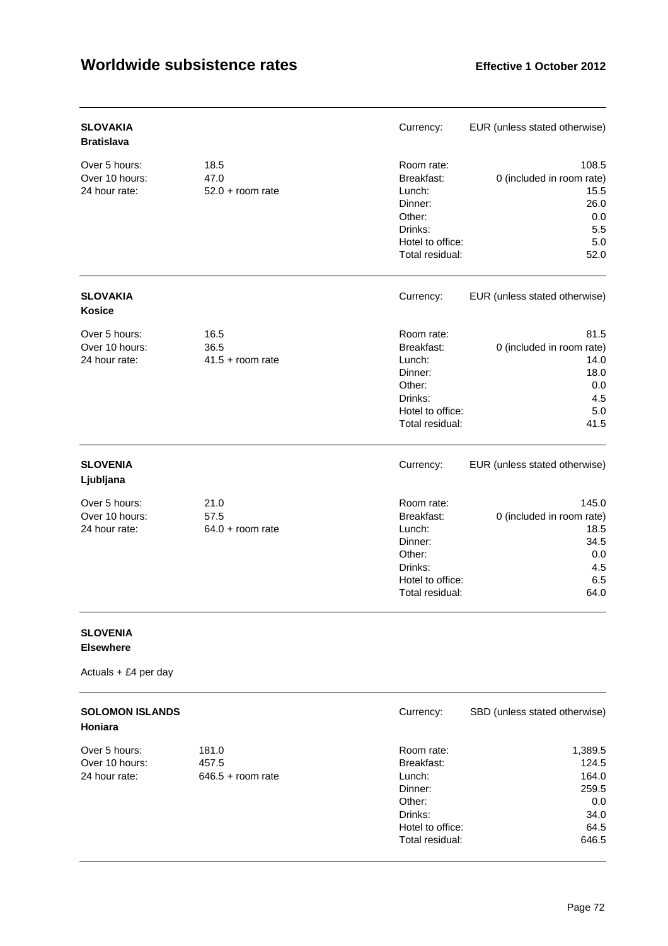| <b>SLOVAKIA</b><br><b>Bratislava</b>             |                                    | Currency:                                                                                                 | EUR (unless stated otherwise)                                                   |
|--------------------------------------------------|------------------------------------|-----------------------------------------------------------------------------------------------------------|---------------------------------------------------------------------------------|
| Over 5 hours:<br>Over 10 hours:<br>24 hour rate: | 18.5<br>47.0<br>$52.0 + room rate$ | Room rate:<br>Breakfast:<br>Lunch:<br>Dinner:<br>Other:<br>Drinks:<br>Hotel to office:<br>Total residual: | 108.5<br>0 (included in room rate)<br>15.5<br>26.0<br>0.0<br>5.5<br>5.0<br>52.0 |
| <b>SLOVAKIA</b><br><b>Kosice</b>                 |                                    | Currency:                                                                                                 | EUR (unless stated otherwise)                                                   |
| Over 5 hours:<br>Over 10 hours:<br>24 hour rate: | 16.5<br>36.5<br>$41.5 + room$ rate | Room rate:<br>Breakfast:<br>Lunch:<br>Dinner:<br>Other:<br>Drinks:<br>Hotel to office:<br>Total residual: | 81.5<br>0 (included in room rate)<br>14.0<br>18.0<br>0.0<br>4.5<br>5.0<br>41.5  |
| <b>SLOVENIA</b><br>Ljubljana                     |                                    | Currency:                                                                                                 | EUR (unless stated otherwise)                                                   |
| Over 5 hours:<br>Over 10 hours:<br>24 hour rate: | 21.0<br>57.5<br>$64.0 + room rate$ | Room rate:<br>Breakfast:<br>Lunch:<br>Dinner:<br>Other:<br>Drinks:<br>Hotel to office:<br>Total residual: | 145.0<br>0 (included in room rate)<br>18.5<br>34.5<br>0.0<br>4.5<br>6.5<br>64.0 |

# **SLOVENIA**

# **Elsewhere**

| <b>SOLOMON ISLANDS</b><br>Honiara                |                                       | Currency:                                                                                                 | SBD (unless stated otherwise)                                      |
|--------------------------------------------------|---------------------------------------|-----------------------------------------------------------------------------------------------------------|--------------------------------------------------------------------|
| Over 5 hours:<br>Over 10 hours:<br>24 hour rate: | 181.0<br>457.5<br>$646.5 +$ room rate | Room rate:<br>Breakfast:<br>Lunch:<br>Dinner:<br>Other:<br>Drinks:<br>Hotel to office:<br>Total residual: | 1,389.5<br>124.5<br>164.0<br>259.5<br>0.0<br>34.0<br>64.5<br>646.5 |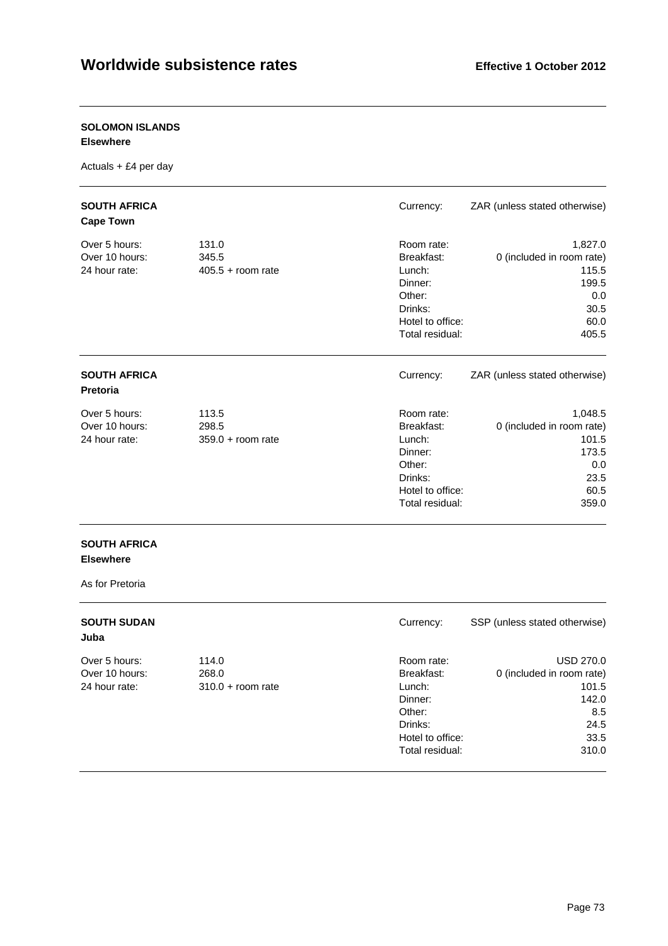### **SOLOMON ISLANDS**

#### **Elsewhere**

Actuals + £4 per day

| <b>SOUTH AFRICA</b><br><b>Cape Town</b>          |                                       | Currency:                                                                                                 | ZAR (unless stated otherwise)                                                          |
|--------------------------------------------------|---------------------------------------|-----------------------------------------------------------------------------------------------------------|----------------------------------------------------------------------------------------|
| Over 5 hours:<br>Over 10 hours:<br>24 hour rate: | 131.0<br>345.5<br>$405.5 +$ room rate | Room rate:<br>Breakfast:<br>Lunch:<br>Dinner:<br>Other:<br>Drinks:<br>Hotel to office:<br>Total residual: | 1,827.0<br>0 (included in room rate)<br>115.5<br>199.5<br>0.0<br>30.5<br>60.0<br>405.5 |
| <b>SOUTH AFRICA</b><br><b>Pretoria</b>           |                                       | Currency:                                                                                                 | ZAR (unless stated otherwise)                                                          |
| Over 5 hours:<br>Over 10 hours:<br>24 hour rate: | 113.5<br>298.5<br>$359.0 + room rate$ | Room rate:<br>Breakfast:<br>Lunch:<br>Dinner:<br>Other:<br>Drinks:<br>Hotel to office:<br>Total residual: | 1,048.5<br>0 (included in room rate)<br>101.5<br>173.5<br>0.0<br>23.5<br>60.5<br>359.0 |

#### **SOUTH AFRICA Elsewhere**

As for Pretoria

| <b>SOUTH SUDAN</b><br>Juba |                     | Currency:        | SSP (unless stated otherwise) |
|----------------------------|---------------------|------------------|-------------------------------|
| Over 5 hours:              | 114.0               | Room rate:       | <b>USD 270.0</b>              |
| Over 10 hours:             | 268.0               | Breakfast:       | 0 (included in room rate)     |
| 24 hour rate:              | $310.0 +$ room rate | Lunch:           | 101.5                         |
|                            |                     | Dinner:          | 142.0                         |
|                            |                     | Other:           | 8.5                           |
|                            |                     | Drinks:          | 24.5                          |
|                            |                     | Hotel to office: | 33.5                          |
|                            |                     | Total residual:  | 310.0                         |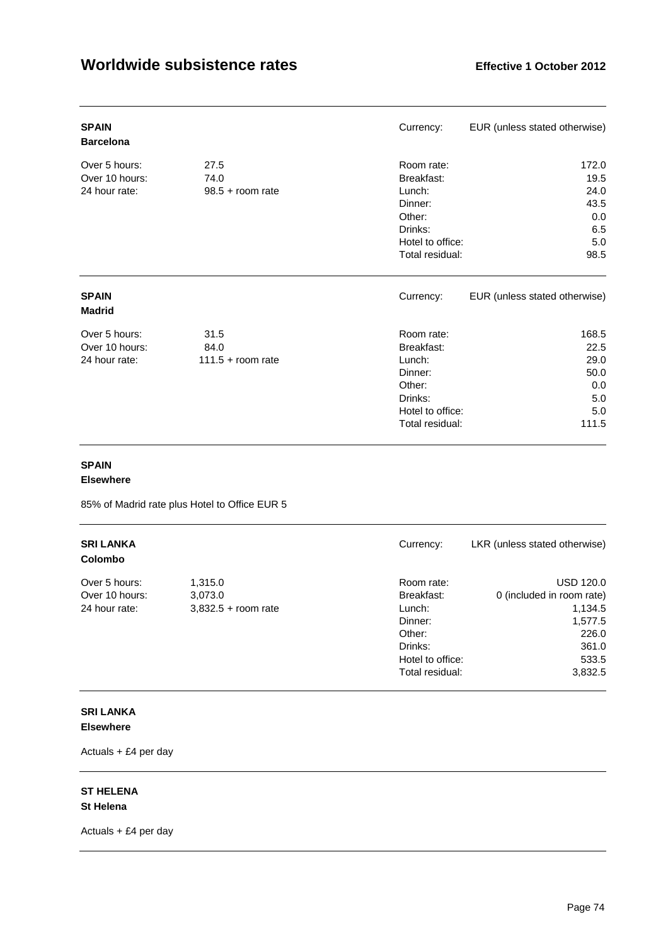| <b>SPAIN</b><br><b>Barcelona</b>                 |                                     | Currency:                                                                                                 | EUR (unless stated otherwise)                               |
|--------------------------------------------------|-------------------------------------|-----------------------------------------------------------------------------------------------------------|-------------------------------------------------------------|
| Over 5 hours:<br>Over 10 hours:<br>24 hour rate: | 27.5<br>74.0<br>$98.5 +$ room rate  | Room rate:<br>Breakfast:<br>Lunch:<br>Dinner:<br>Other:<br>Drinks:<br>Hotel to office:<br>Total residual: | 172.0<br>19.5<br>24.0<br>43.5<br>0.0<br>6.5<br>5.0<br>98.5  |
| <b>SPAIN</b><br><b>Madrid</b>                    |                                     | Currency:                                                                                                 | EUR (unless stated otherwise)                               |
| Over 5 hours:<br>Over 10 hours:<br>24 hour rate: | 31.5<br>84.0<br>$111.5 + room rate$ | Room rate:<br>Breakfast:<br>Lunch:<br>Dinner:<br>Other:<br>Drinks:<br>Hotel to office:<br>Total residual: | 168.5<br>22.5<br>29.0<br>50.0<br>0.0<br>5.0<br>5.0<br>111.5 |

#### **SPAIN**

#### **Elsewhere**

85% of Madrid rate plus Hotel to Office EUR 5

| <b>SRI LANKA</b><br><b>Colombo</b> |                       | Currency:        | LKR (unless stated otherwise) |
|------------------------------------|-----------------------|------------------|-------------------------------|
| Over 5 hours:                      | 1,315.0               | Room rate:       | <b>USD 120.0</b>              |
| Over 10 hours:                     | 3,073.0               | Breakfast:       | 0 (included in room rate)     |
| 24 hour rate:                      | $3,832.5 +$ room rate | Lunch:           | 1,134.5                       |
|                                    |                       | Dinner:          | 1,577.5                       |
|                                    |                       | Other:           | 226.0                         |
|                                    |                       | Drinks:          | 361.0                         |
|                                    |                       | Hotel to office: | 533.5                         |
|                                    |                       | Total residual:  | 3,832.5                       |

#### **SRI LANKA Elsewhere**

Actuals + £4 per day

#### **ST HELENA St Helena**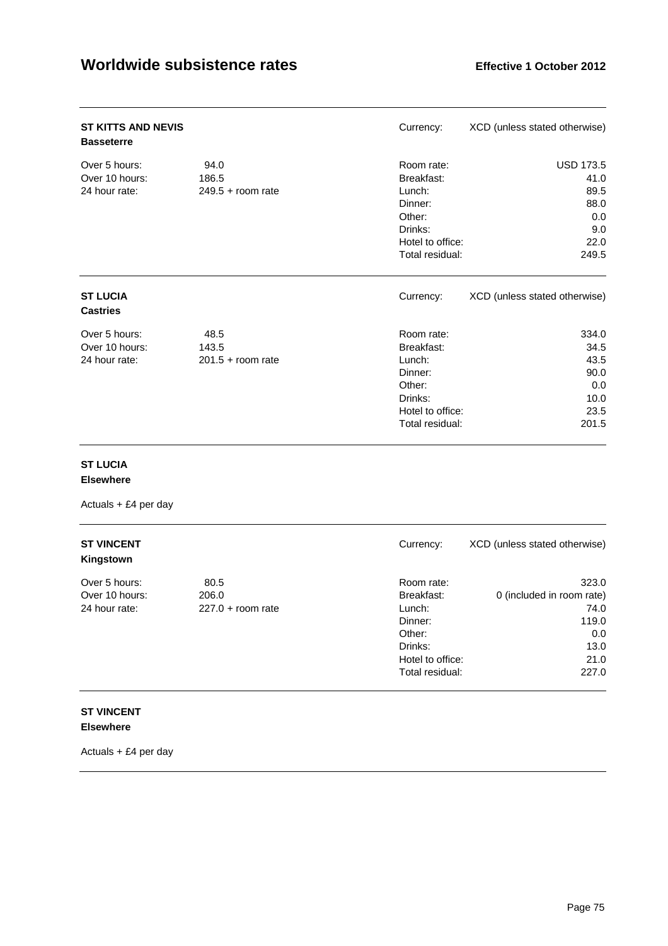| <b>ST KITTS AND NEVIS</b><br><b>Basseterre</b>   |                                      | Currency:                                                                                                 | XCD (unless stated otherwise)                                           |
|--------------------------------------------------|--------------------------------------|-----------------------------------------------------------------------------------------------------------|-------------------------------------------------------------------------|
| Over 5 hours:<br>Over 10 hours:<br>24 hour rate: | 94.0<br>186.5<br>$249.5 +$ room rate | Room rate:<br>Breakfast:<br>Lunch:<br>Dinner:<br>Other:<br>Drinks:<br>Hotel to office:<br>Total residual: | <b>USD 173.5</b><br>41.0<br>89.5<br>88.0<br>0.0<br>9.0<br>22.0<br>249.5 |
| <b>ST LUCIA</b><br><b>Castries</b>               |                                      | Currency:                                                                                                 | XCD (unless stated otherwise)                                           |
| Over 5 hours:<br>Over 10 hours:<br>24 hour rate: | 48.5<br>143.5<br>$201.5 +$ room rate | Room rate:<br>Breakfast:<br>Lunch:<br>Dinner:<br>Other:<br>Drinks:<br>Hotel to office:<br>Total residual: | 334.0<br>34.5<br>43.5<br>90.0<br>0.0<br>10.0<br>23.5<br>201.5           |

#### **ST LUCIA**

#### **Elsewhere**

Actuals + £4 per day

| <b>ST VINCENT</b><br>Kingstown |                     | Currency:        | XCD (unless stated otherwise) |
|--------------------------------|---------------------|------------------|-------------------------------|
| Over 5 hours:                  | 80.5                | Room rate:       | 323.0                         |
| Over 10 hours:                 | 206.0               | Breakfast:       | 0 (included in room rate)     |
| 24 hour rate:                  | $227.0 + room rate$ | Lunch:           | 74.0                          |
|                                |                     | Dinner:          | 119.0                         |
|                                |                     | Other:           | 0.0                           |
|                                |                     | Drinks:          | 13.0                          |
|                                |                     | Hotel to office: | 21.0                          |
|                                |                     | Total residual:  | 227.0                         |
|                                |                     |                  |                               |

#### **ST VINCENT Elsewhere**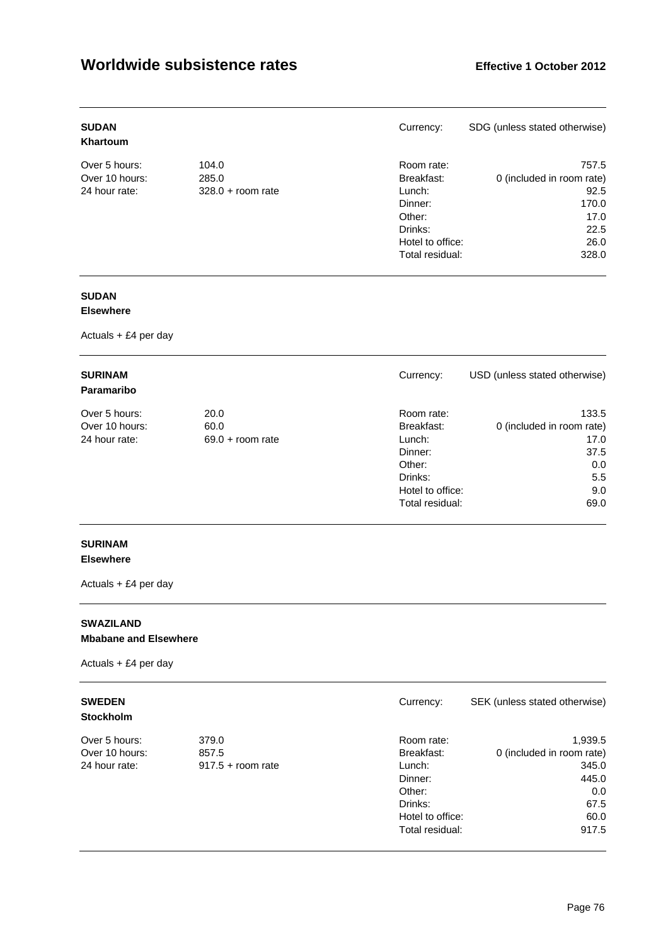| <b>SUDAN</b><br>Khartoum |                     | Currency:        | SDG (unless stated otherwise) |
|--------------------------|---------------------|------------------|-------------------------------|
| Over 5 hours:            | 104.0               | Room rate:       | 757.5                         |
| Over 10 hours:           | 285.0               | Breakfast:       | 0 (included in room rate)     |
| 24 hour rate:            | $328.0 + room rate$ | Lunch:           | 92.5                          |
|                          |                     | Dinner:          | 170.0                         |
|                          |                     | Other:           | 17.0                          |
|                          |                     | Drinks:          | 22.5                          |
|                          |                     | Hotel to office: | 26.0                          |
|                          |                     | Total residual:  | 328.0                         |

### **SUDAN**

#### **Elsewhere**

Actuals + £4 per day

| <b>SURINAM</b><br>Paramaribo |                    | Currency:        | USD (unless stated otherwise) |
|------------------------------|--------------------|------------------|-------------------------------|
| Over 5 hours:                | 20.0               | Room rate:       | 133.5                         |
| Over 10 hours:               | 60.0               | Breakfast:       | 0 (included in room rate)     |
| 24 hour rate:                | $69.0 + room$ rate | Lunch:           | 17.0                          |
|                              |                    | Dinner:          | 37.5                          |
|                              |                    | Other:           | 0.0                           |
|                              |                    | Drinks:          | 5.5                           |
|                              |                    | Hotel to office: | 9.0                           |
|                              |                    | Total residual:  | 69.0                          |

### **SURINAM**

#### **Elsewhere**

Actuals + £4 per day

#### **SWAZILAND Mbabane and Elsewhere**

Actuals + £4 per day

#### **SWEDEN** Currency: SEK (unless stated otherwise)

#### **Stockholm**

| Over 5 hours:  |
|----------------|
| Over 10 hours: |
| 24 hour rate:  |

| Over 5 hours:  | 379.0               | Room rate:       | 1,939.5                   |
|----------------|---------------------|------------------|---------------------------|
| Over 10 hours: | 857.5               | Breakfast:       | 0 (included in room rate) |
| 24 hour rate:  | $917.5 +$ room rate | Lunch:           | 345.0                     |
|                |                     | Dinner:          | 445.0                     |
|                |                     | Other:           | 0.0                       |
|                |                     | Drinks:          | 67.5                      |
|                |                     | Hotel to office: | 60.0                      |
|                |                     | Total residual:  | 917.5                     |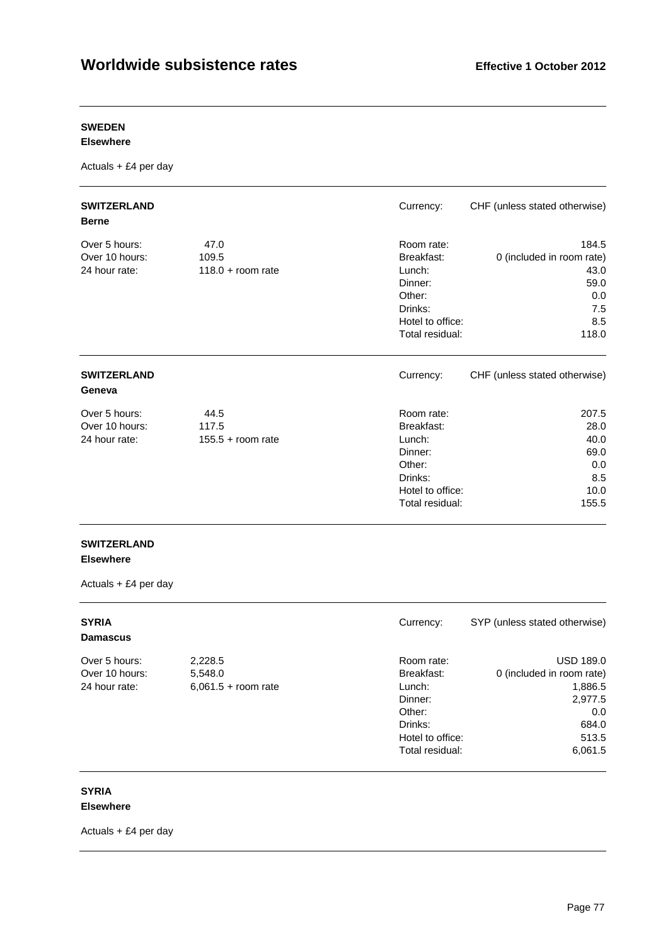#### **SWEDEN**

#### **Elsewhere**

Actuals + £4 per day

| <b>SWITZERLAND</b><br><b>Berne</b>               |                                      | Currency:                                                                                                 | CHF (unless stated otherwise)                                                    |
|--------------------------------------------------|--------------------------------------|-----------------------------------------------------------------------------------------------------------|----------------------------------------------------------------------------------|
| Over 5 hours:<br>Over 10 hours:<br>24 hour rate: | 47.0<br>109.5<br>$118.0 + room rate$ | Room rate:<br>Breakfast:<br>Lunch:<br>Dinner:<br>Other:<br>Drinks:<br>Hotel to office:<br>Total residual: | 184.5<br>0 (included in room rate)<br>43.0<br>59.0<br>0.0<br>7.5<br>8.5<br>118.0 |
| <b>SWITZERLAND</b><br>Geneva                     |                                      | Currency:                                                                                                 | CHF (unless stated otherwise)                                                    |
| Over 5 hours:<br>Over 10 hours:<br>24 hour rate: | 44.5<br>117.5<br>$155.5 + room rate$ | Room rate:<br>Breakfast:<br>Lunch:<br>Dinner:<br>Other:<br>Drinks:<br>Hotel to office:<br>Total residual: | 207.5<br>28.0<br>40.0<br>69.0<br>0.0<br>8.5<br>10.0<br>155.5                     |

# **SWITZERLAND**

**Elsewhere** 

Actuals + £4 per day

| <b>SYRIA</b><br><b>Damascus</b> |                       | Currency:        | SYP (unless stated otherwise) |
|---------------------------------|-----------------------|------------------|-------------------------------|
| Over 5 hours:                   | 2,228.5               | Room rate:       | <b>USD 189.0</b>              |
| Over 10 hours:                  | 5,548.0               | Breakfast:       | 0 (included in room rate)     |
| 24 hour rate:                   | $6,061.5 + room rate$ | Lunch:           | 1,886.5                       |
|                                 |                       | Dinner:          | 2,977.5                       |
|                                 |                       | Other:           | 0.0                           |
|                                 |                       | Drinks:          | 684.0                         |
|                                 |                       | Hotel to office: | 513.5                         |
|                                 |                       | Total residual:  | 6,061.5                       |

#### **SYRIA Elsewhere**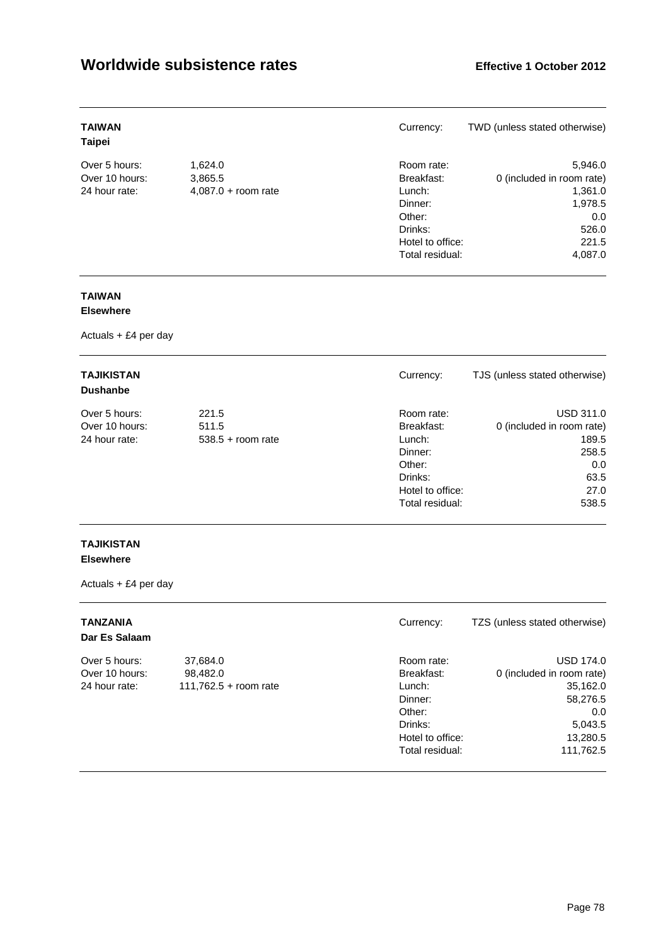| <b>TAIWAN</b><br><b>Taipei</b> |                       | Currency:        | TWD (unless stated otherwise) |
|--------------------------------|-----------------------|------------------|-------------------------------|
| Over 5 hours:                  | 1,624.0               | Room rate:       | 5,946.0                       |
| Over 10 hours:                 | 3,865.5               | Breakfast:       | 0 (included in room rate)     |
| 24 hour rate:                  | $4,087.0 +$ room rate | Lunch:           | 1,361.0                       |
|                                |                       | Dinner:          | 1,978.5                       |
|                                |                       | Other:           | 0.0                           |
|                                |                       | Drinks:          | 526.0                         |
|                                |                       | Hotel to office: | 221.5                         |
|                                |                       | Total residual:  | 4,087.0                       |

### **TAIWAN**

#### **Elsewhere**

Actuals + £4 per day

| <b>TAJIKISTAN</b><br><b>Dushanbe</b> |                     | Currency:        | TJS (unless stated otherwise) |
|--------------------------------------|---------------------|------------------|-------------------------------|
| Over 5 hours:                        | 221.5               | Room rate:       | <b>USD 311.0</b>              |
| Over 10 hours:                       | 511.5               | Breakfast:       | 0 (included in room rate)     |
| 24 hour rate:                        | $538.5 +$ room rate | Lunch:           | 189.5                         |
|                                      |                     | Dinner:          | 258.5                         |
|                                      |                     | Other:           | 0.0                           |
|                                      |                     | Drinks:          | 63.5                          |
|                                      |                     | Hotel to office: | 27.0                          |
|                                      |                     | Total residual:  | 538.5                         |

#### **TAJIKISTAN Elsewhere**

| <b>TANZANIA</b><br>Dar Es Salaam |                       | Currency:        | TZS (unless stated otherwise) |
|----------------------------------|-----------------------|------------------|-------------------------------|
| Over 5 hours:                    | 37,684.0              | Room rate:       | <b>USD 174.0</b>              |
| Over 10 hours:                   | 98.482.0              | Breakfast:       | 0 (included in room rate)     |
| 24 hour rate:                    | 111,762.5 + room rate | Lunch:           | 35,162.0                      |
|                                  |                       | Dinner:          | 58,276.5                      |
|                                  |                       | Other:           | 0.0                           |
|                                  |                       | Drinks:          | 5,043.5                       |
|                                  |                       | Hotel to office: | 13,280.5                      |
|                                  |                       | Total residual:  | 111,762.5                     |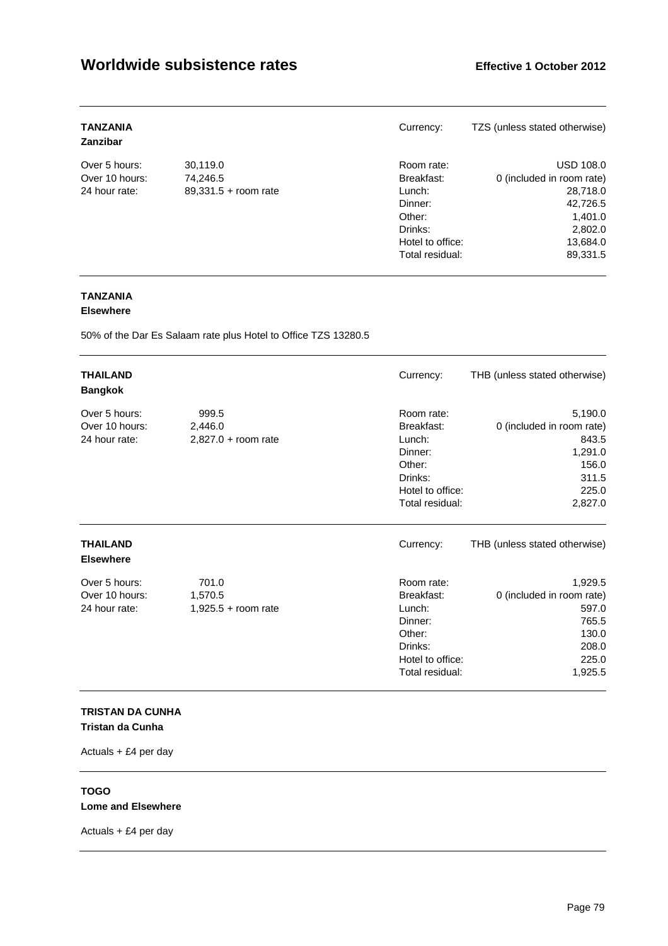| <b>TANZANIA</b><br>Zanzibar |                        | Currency:        | TZS (unless stated otherwise) |
|-----------------------------|------------------------|------------------|-------------------------------|
| Over 5 hours:               | 30,119.0               | Room rate:       | <b>USD 108.0</b>              |
| Over 10 hours:              | 74,246.5               | Breakfast:       | 0 (included in room rate)     |
| 24 hour rate:               | $89,331.5 + room rate$ | Lunch:           | 28,718.0                      |
|                             |                        | Dinner:          | 42,726.5                      |
|                             |                        | Other:           | 1,401.0                       |
|                             |                        | Drinks:          | 2,802.0                       |
|                             |                        | Hotel to office: | 13,684.0                      |
|                             |                        | Total residual:  | 89,331.5                      |

### **TANZANIA**

#### **Elsewhere**

50% of the Dar Es Salaam rate plus Hotel to Office TZS 13280.5

| <b>THAILAND</b><br><b>Bangkok</b>                |                                           | Currency:                                                                                                 | THB (unless stated otherwise)                                                                  |
|--------------------------------------------------|-------------------------------------------|-----------------------------------------------------------------------------------------------------------|------------------------------------------------------------------------------------------------|
| Over 5 hours:<br>Over 10 hours:<br>24 hour rate: | 999.5<br>2,446.0<br>$2,827.0 + room rate$ | Room rate:<br>Breakfast:<br>Lunch:<br>Dinner:<br>Other:<br>Drinks:<br>Hotel to office:<br>Total residual: | 5,190.0<br>0 (included in room rate)<br>843.5<br>1,291.0<br>156.0<br>311.5<br>225.0<br>2,827.0 |
| <b>THAILAND</b><br><b>Elsewhere</b>              |                                           | Currency:                                                                                                 | THB (unless stated otherwise)                                                                  |
| Over 5 hours:<br>Over 10 hours:<br>24 hour rate: | 701.0<br>1,570.5<br>$1,925.5 +$ room rate | Room rate:<br>Breakfast:<br>Lunch:<br>Dinner:<br>Other:<br>Drinks:<br>Hotel to office:<br>Total residual: | 1,929.5<br>0 (included in room rate)<br>597.0<br>765.5<br>130.0<br>208.0<br>225.0<br>1,925.5   |

#### **TRISTAN DA CUNHA Tristan da Cunha**

Actuals + £4 per day

#### **TOGO Lome and Elsewhere**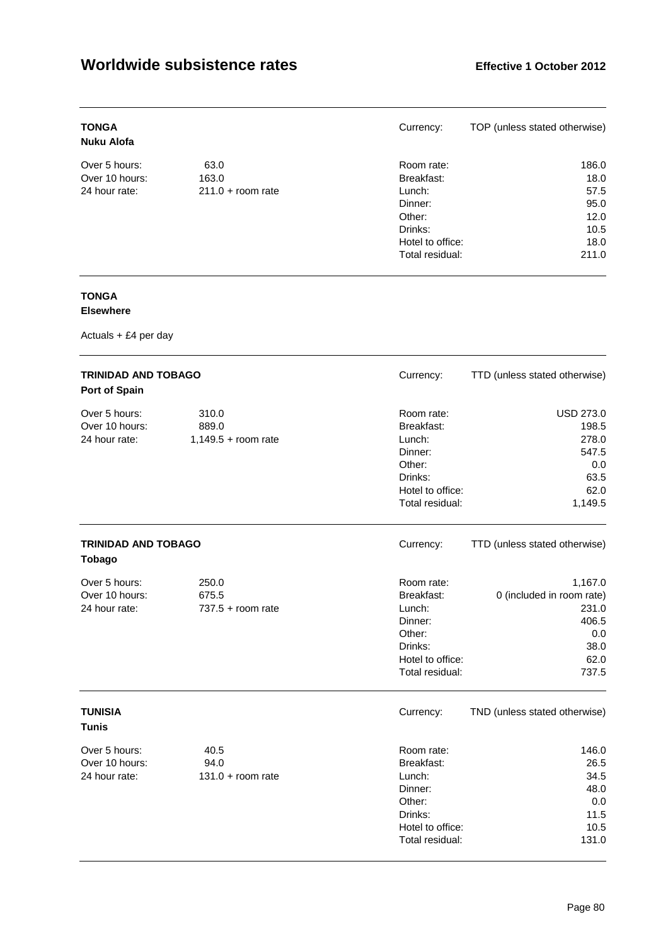| <b>TONGA</b><br>Nuku Alofa |                     | Currency:        | TOP (unless stated otherwise) |
|----------------------------|---------------------|------------------|-------------------------------|
| Over 5 hours:              | 63.0                | Room rate:       | 186.0                         |
| Over 10 hours:             | 163.0               | Breakfast:       | 18.0                          |
| 24 hour rate:              | $211.0 + room rate$ | Lunch:           | 57.5                          |
|                            |                     | Dinner:          | 95.0                          |
|                            |                     | Other:           | 12.0                          |
|                            |                     | Drinks:          | 10.5                          |
|                            |                     | Hotel to office: | 18.0                          |
|                            |                     | Total residual:  | 211.0                         |

### **TONGA**

#### **Elsewhere**

| <b>TRINIDAD AND TOBAGO</b><br>Port of Spain      |                                         | Currency:                                                                                                 | TTD (unless stated otherwise)                                                          |
|--------------------------------------------------|-----------------------------------------|-----------------------------------------------------------------------------------------------------------|----------------------------------------------------------------------------------------|
| Over 5 hours:<br>Over 10 hours:<br>24 hour rate: | 310.0<br>889.0<br>$1,149.5 +$ room rate | Room rate:<br>Breakfast:<br>Lunch:<br>Dinner:<br>Other:<br>Drinks:<br>Hotel to office:<br>Total residual: | <b>USD 273.0</b><br>198.5<br>278.0<br>547.5<br>0.0<br>63.5<br>62.0<br>1,149.5          |
| <b>TRINIDAD AND TOBAGO</b><br><b>Tobago</b>      |                                         | Currency:                                                                                                 | TTD (unless stated otherwise)                                                          |
| Over 5 hours:<br>Over 10 hours:<br>24 hour rate: | 250.0<br>675.5<br>$737.5 +$ room rate   | Room rate:<br>Breakfast:<br>Lunch:<br>Dinner:<br>Other:<br>Drinks:<br>Hotel to office:<br>Total residual: | 1,167.0<br>0 (included in room rate)<br>231.0<br>406.5<br>0.0<br>38.0<br>62.0<br>737.5 |
| <b>TUNISIA</b><br><b>Tunis</b>                   |                                         | Currency:                                                                                                 | TND (unless stated otherwise)                                                          |
| Over 5 hours:<br>Over 10 hours:<br>24 hour rate: | 40.5<br>94.0<br>$131.0 + room rate$     | Room rate:<br>Breakfast:<br>Lunch:<br>Dinner:<br>Other:<br>Drinks:<br>Hotel to office:<br>Total residual: | 146.0<br>26.5<br>34.5<br>48.0<br>0.0<br>11.5<br>10.5<br>131.0                          |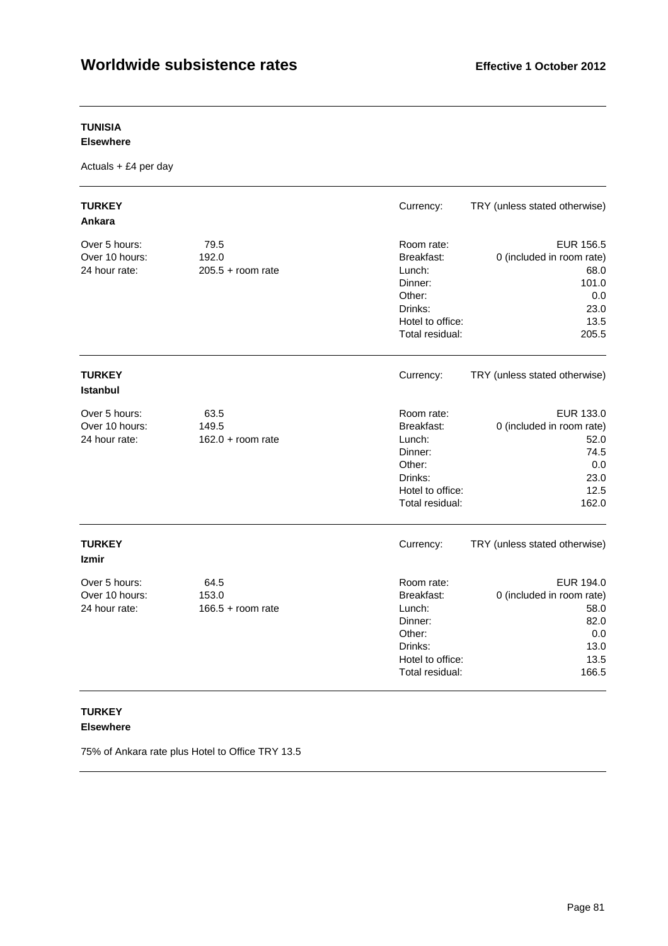### **TUNISIA**

#### **Elsewhere**

Actuals + £4 per day

| <b>TURKEY</b><br>Ankara                          |                                      | Currency:                                                                                                 | TRY (unless stated otherwise)                                                                  |
|--------------------------------------------------|--------------------------------------|-----------------------------------------------------------------------------------------------------------|------------------------------------------------------------------------------------------------|
| Over 5 hours:<br>Over 10 hours:<br>24 hour rate: | 79.5<br>192.0<br>$205.5 + room$ rate | Room rate:<br>Breakfast:<br>Lunch:<br>Dinner:<br>Other:<br>Drinks:<br>Hotel to office:<br>Total residual: | <b>EUR 156.5</b><br>0 (included in room rate)<br>68.0<br>101.0<br>0.0<br>23.0<br>13.5<br>205.5 |
| <b>TURKEY</b><br>Istanbul                        |                                      | Currency:                                                                                                 | TRY (unless stated otherwise)                                                                  |
| Over 5 hours:<br>Over 10 hours:<br>24 hour rate: | 63.5<br>149.5<br>$162.0 + room rate$ | Room rate:<br>Breakfast:<br>Lunch:<br>Dinner:<br>Other:<br>Drinks:<br>Hotel to office:<br>Total residual: | EUR 133.0<br>0 (included in room rate)<br>52.0<br>74.5<br>0.0<br>23.0<br>12.5<br>162.0         |
| <b>TURKEY</b><br>Izmir                           |                                      | Currency:                                                                                                 | TRY (unless stated otherwise)                                                                  |
| Over 5 hours:<br>Over 10 hours:<br>24 hour rate: | 64.5<br>153.0<br>$166.5 + room rate$ | Room rate:<br>Breakfast:<br>Lunch:<br>Dinner:<br>Other:<br>Drinks:<br>Hotel to office:<br>Total residual: | EUR 194.0<br>0 (included in room rate)<br>58.0<br>82.0<br>0.0<br>13.0<br>13.5<br>166.5         |

#### **TURKEY Elsewhere**

75% of Ankara rate plus Hotel to Office TRY 13.5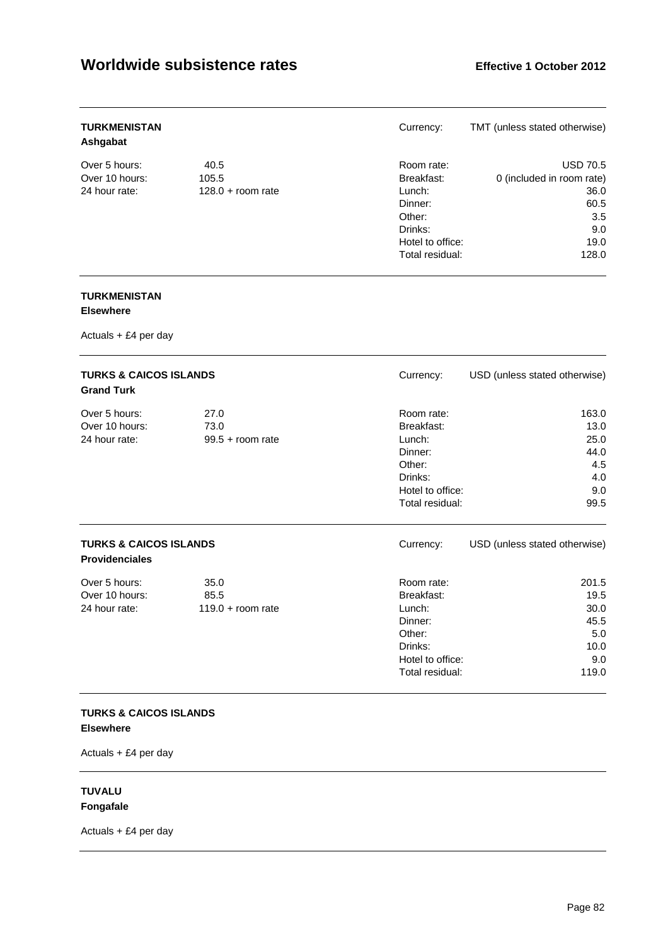| <b>TURKMENISTAN</b><br>Ashgabat |                     | Currency:        | TMT (unless stated otherwise) |
|---------------------------------|---------------------|------------------|-------------------------------|
| Over 5 hours:                   | 40.5                | Room rate:       | <b>USD 70.5</b>               |
| Over 10 hours:                  | 105.5               | Breakfast:       | 0 (included in room rate)     |
| 24 hour rate:                   | $128.0 +$ room rate | Lunch:           | 36.0                          |
|                                 |                     | Dinner:          | 60.5                          |
|                                 |                     | Other:           | 3.5                           |
|                                 |                     | Drinks:          | 9.0                           |
|                                 |                     | Hotel to office: | 19.0                          |
|                                 |                     | Total residual:  | 128.0                         |

#### **TURKMENISTAN Elsewhere**

Actuals + £4 per day

| <b>TURKS &amp; CAICOS ISLANDS</b><br><b>Grand Turk</b>     |                                     | Currency:                                                                                                 | USD (unless stated otherwise)                                |
|------------------------------------------------------------|-------------------------------------|-----------------------------------------------------------------------------------------------------------|--------------------------------------------------------------|
| Over 5 hours:<br>Over 10 hours:<br>24 hour rate:           | 27.0<br>73.0<br>$99.5 + room$ rate  | Room rate:<br>Breakfast:<br>Lunch:<br>Dinner:<br>Other:<br>Drinks:<br>Hotel to office:<br>Total residual: | 163.0<br>13.0<br>25.0<br>44.0<br>4.5<br>4.0<br>9.0<br>99.5   |
| <b>TURKS &amp; CAICOS ISLANDS</b><br><b>Providenciales</b> |                                     | Currency:                                                                                                 | USD (unless stated otherwise)                                |
| Over 5 hours:<br>Over 10 hours:<br>24 hour rate:           | 35.0<br>85.5<br>$119.0 + room rate$ | Room rate:<br>Breakfast:<br>Lunch:<br>Dinner:<br>Other:<br>Drinks:<br>Hotel to office:<br>Total residual: | 201.5<br>19.5<br>30.0<br>45.5<br>5.0<br>10.0<br>9.0<br>119.0 |

#### **TURKS & CAICOS ISLANDS Elsewhere**

Actuals + £4 per day

#### **TUVALU Fongafale**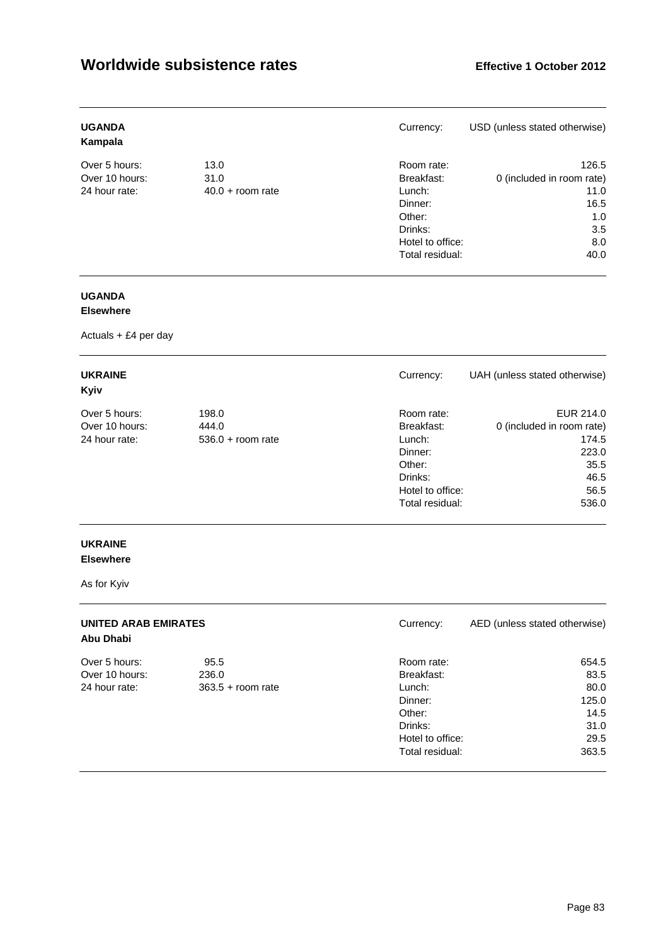| <b>UGANDA</b><br>Kampala |                    | Currency:        | USD (unless stated otherwise) |
|--------------------------|--------------------|------------------|-------------------------------|
| Over 5 hours:            | 13.0               | Room rate:       | 126.5                         |
| Over 10 hours:           | 31.0               | Breakfast:       | 0 (included in room rate)     |
| 24 hour rate:            | $40.0 +$ room rate | Lunch:           | 11.0                          |
|                          |                    | Dinner:          | 16.5                          |
|                          |                    | Other:           | 1.0                           |
|                          |                    | Drinks:          | 3.5                           |
|                          |                    | Hotel to office: | 8.0                           |
|                          |                    | Total residual:  | 40.0                          |

### **UGANDA**

#### **Elsewhere**

Actuals + £4 per day

| <b>UKRAINE</b><br>Kyiv |                     | Currency:        | UAH (unless stated otherwise) |
|------------------------|---------------------|------------------|-------------------------------|
| Over 5 hours:          | 198.0               | Room rate:       | EUR 214.0                     |
| Over 10 hours:         | 444.0               | Breakfast:       | 0 (included in room rate)     |
| 24 hour rate:          | $536.0 +$ room rate | Lunch:           | 174.5                         |
|                        |                     | Dinner:          | 223.0                         |
|                        |                     | Other:           | 35.5                          |
|                        |                     | Drinks:          | 46.5                          |
|                        |                     | Hotel to office: | 56.5                          |
|                        |                     | Total residual:  | 536.0                         |

## **UKRAINE**

### **Elsewhere**

As for Kyiv

| <b>UNITED ARAB EMIRATES</b><br>Abu Dhabi |                     | Currency:        | AED (unless stated otherwise) |
|------------------------------------------|---------------------|------------------|-------------------------------|
| Over 5 hours:                            | 95.5                | Room rate:       | 654.5                         |
| Over 10 hours:                           | 236.0               | Breakfast:       | 83.5                          |
| 24 hour rate:                            | $363.5 +$ room rate | Lunch:           | 80.0                          |
|                                          |                     | Dinner:          | 125.0                         |
|                                          |                     | Other:           | 14.5                          |
|                                          |                     | Drinks:          | 31.0                          |
|                                          |                     | Hotel to office: | 29.5                          |
|                                          |                     | Total residual:  | 363.5                         |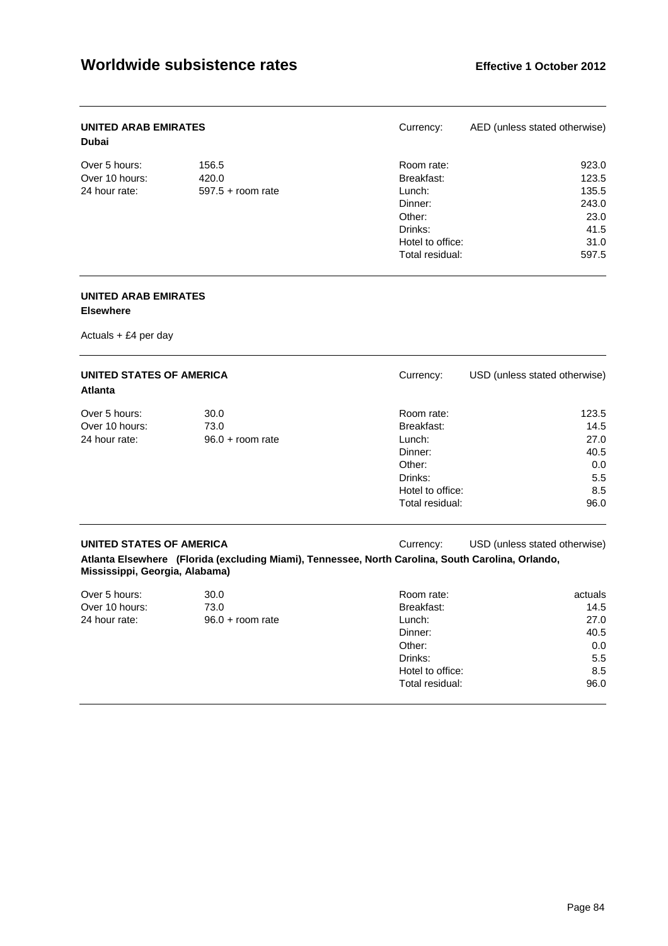| <b>UNITED ARAB EMIRATES</b><br><b>Dubai</b> |                     | Currency:        | AED (unless stated otherwise) |
|---------------------------------------------|---------------------|------------------|-------------------------------|
| Over 5 hours:                               | 156.5               | Room rate:       | 923.0                         |
| Over 10 hours:                              | 420.0               | Breakfast:       | 123.5                         |
| 24 hour rate:                               | $597.5 +$ room rate | Lunch:           | 135.5                         |
|                                             |                     | Dinner:          | 243.0                         |
|                                             |                     | Other:           | 23.0                          |
|                                             |                     | Drinks:          | 41.5                          |
|                                             |                     | Hotel to office: | 31.0                          |
|                                             |                     | Total residual:  | 597.5                         |

#### **UNITED ARAB EMIRATES**

#### **Elsewhere**

Actuals + £4 per day

| <b>UNITED STATES OF AMERICA</b><br><b>Atlanta</b> |                    | Currency:        | USD (unless stated otherwise) |
|---------------------------------------------------|--------------------|------------------|-------------------------------|
| Over 5 hours:                                     | 30.0               | Room rate:       | 123.5                         |
| Over 10 hours:                                    | 73.0               | Breakfast:       | 14.5                          |
| 24 hour rate:                                     | $96.0 + room$ rate | Lunch:           | 27.0                          |
|                                                   |                    | Dinner:          | 40.5                          |
|                                                   |                    | Other:           | 0.0                           |
|                                                   |                    | Drinks:          | 5.5                           |
|                                                   |                    | Hotel to office: | 8.5                           |
|                                                   |                    | Total residual:  | 96.0                          |

**UNITED STATES OF AMERICA** Currency: USD (unless stated otherwise)

**Atlanta Elsewhere (Florida (excluding Miami), Tennessee, North Carolina, South Carolina, Orlando, Mississippi, Georgia, Alabama)** 

| Over 5 hours:  | 30.0               | Room rate:       | actuals |
|----------------|--------------------|------------------|---------|
| Over 10 hours: | 73.0               | Breakfast:       | 14.5    |
| 24 hour rate:  | $96.0 + room$ rate | Lunch:           | 27.0    |
|                |                    | Dinner:          | 40.5    |
|                |                    | Other:           | 0.0     |
|                |                    | Drinks:          | 5.5     |
|                |                    | Hotel to office: | 8.5     |
|                |                    | Total residual:  | 96.0    |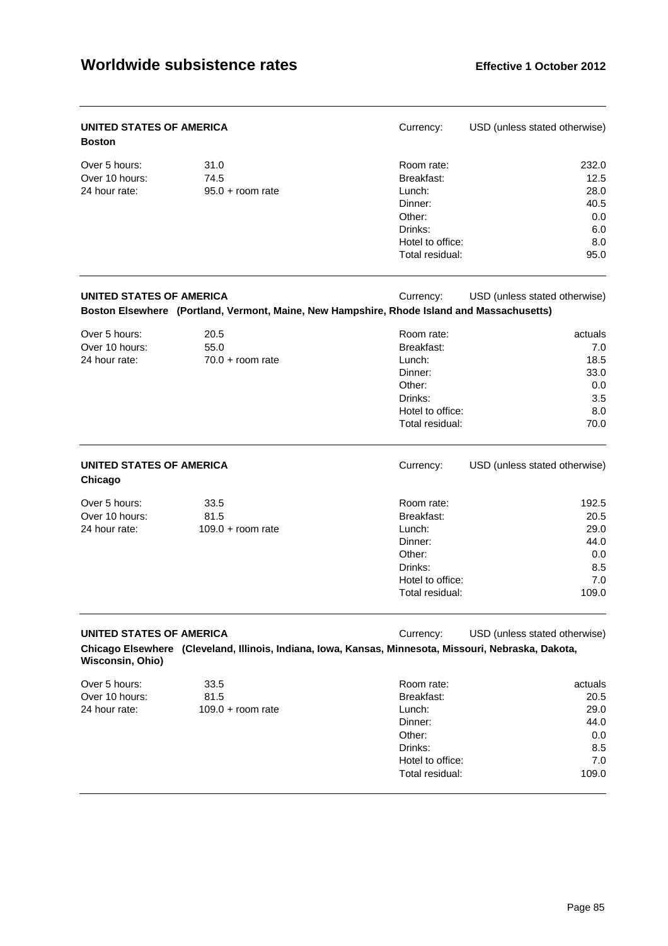| UNITED STATES OF AMERICA<br><b>Boston</b>        |                                                                                                       | Currency:                                                                                                 | USD (unless stated otherwise)                                 |
|--------------------------------------------------|-------------------------------------------------------------------------------------------------------|-----------------------------------------------------------------------------------------------------------|---------------------------------------------------------------|
| Over 5 hours:<br>Over 10 hours:<br>24 hour rate: | 31.0<br>74.5<br>$95.0 + room$ rate                                                                    | Room rate:<br>Breakfast:<br>Lunch:<br>Dinner:<br>Other:                                                   | 232.0<br>12.5<br>28.0<br>40.5                                 |
|                                                  |                                                                                                       | Drinks:<br>Hotel to office:<br>Total residual:                                                            | 0.0<br>6.0<br>8.0<br>95.0                                     |
| UNITED STATES OF AMERICA                         | Boston Elsewhere (Portland, Vermont, Maine, New Hampshire, Rhode Island and Massachusetts)            | Currency:                                                                                                 | USD (unless stated otherwise)                                 |
| Over 5 hours:<br>Over 10 hours:<br>24 hour rate: | 20.5<br>55.0<br>$70.0 +$ room rate                                                                    | Room rate:<br>Breakfast:<br>Lunch:<br>Dinner:<br>Other:<br>Drinks:<br>Hotel to office:<br>Total residual: | actuals<br>7.0<br>18.5<br>33.0<br>0.0<br>3.5<br>8.0<br>70.0   |
| UNITED STATES OF AMERICA<br>Chicago              |                                                                                                       | Currency:                                                                                                 | USD (unless stated otherwise)                                 |
| Over 5 hours:<br>Over 10 hours:<br>24 hour rate: | 33.5<br>81.5<br>$109.0 +$ room rate                                                                   | Room rate:<br>Breakfast:<br>Lunch:<br>Dinner:<br>Other:<br>Drinks:<br>Hotel to office:<br>Total residual: | 192.5<br>20.5<br>29.0<br>44.0<br>0.0<br>8.5<br>7.0<br>109.0   |
| UNITED STATES OF AMERICA<br>Wisconsin, Ohio)     | Chicago Elsewhere (Cleveland, Illinois, Indiana, Iowa, Kansas, Minnesota, Missouri, Nebraska, Dakota, | Currency:                                                                                                 | USD (unless stated otherwise)                                 |
| Over 5 hours:<br>Over 10 hours:<br>24 hour rate: | 33.5<br>81.5<br>$109.0 + room rate$                                                                   | Room rate:<br>Breakfast:<br>Lunch:<br>Dinner:<br>Other:<br>Drinks:<br>Hotel to office:<br>Total residual: | actuals<br>20.5<br>29.0<br>44.0<br>0.0<br>8.5<br>7.0<br>109.0 |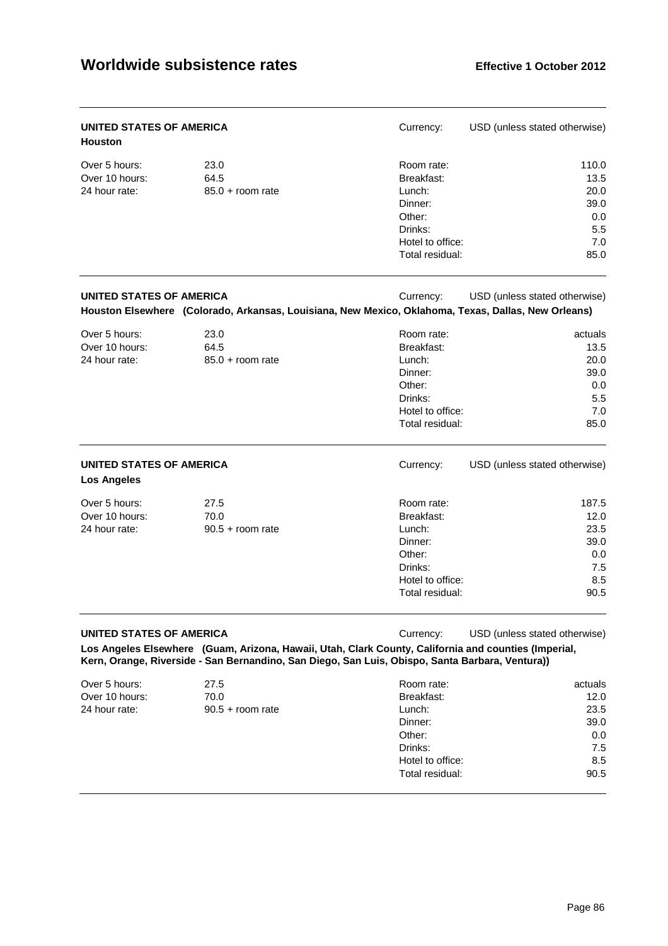| UNITED STATES OF AMERICA<br><b>Houston</b>       |                                    | Currency:                                                                                                                                                                                                            | USD (unless stated otherwise)                                |
|--------------------------------------------------|------------------------------------|----------------------------------------------------------------------------------------------------------------------------------------------------------------------------------------------------------------------|--------------------------------------------------------------|
| Over 5 hours:<br>Over 10 hours:<br>24 hour rate: | 23.0<br>64.5<br>$85.0 + room$ rate | Room rate:<br>Breakfast:<br>Lunch:<br>Dinner:<br>Other:<br>Drinks:<br>Hotel to office:<br>Total residual:                                                                                                            | 110.0<br>13.5<br>20.0<br>39.0<br>0.0<br>5.5<br>7.0<br>85.0   |
| UNITED STATES OF AMERICA                         |                                    | Currency:<br>Houston Elsewhere (Colorado, Arkansas, Louisiana, New Mexico, Oklahoma, Texas, Dallas, New Orleans)                                                                                                     | USD (unless stated otherwise)                                |
| Over 5 hours:<br>Over 10 hours:<br>24 hour rate: | 23.0<br>64.5<br>$85.0 + room$ rate | Room rate:<br>Breakfast:<br>Lunch:<br>Dinner:<br>Other:<br>Drinks:<br>Hotel to office:<br>Total residual:                                                                                                            | actuals<br>13.5<br>20.0<br>39.0<br>0.0<br>5.5<br>7.0<br>85.0 |
| UNITED STATES OF AMERICA<br><b>Los Angeles</b>   |                                    | Currency:                                                                                                                                                                                                            | USD (unless stated otherwise)                                |
| Over 5 hours:<br>Over 10 hours:<br>24 hour rate: | 27.5<br>70.0<br>$90.5 +$ room rate | Room rate:<br>Breakfast:<br>Lunch:<br>Dinner:<br>Other:<br>Drinks:<br>Hotel to office:<br>Total residual:                                                                                                            | 187.5<br>12.0<br>23.5<br>39.0<br>0.0<br>7.5<br>8.5<br>90.5   |
| UNITED STATES OF AMERICA                         |                                    | Currency:<br>Los Angeles Elsewhere (Guam, Arizona, Hawaii, Utah, Clark County, California and counties (Imperial,<br>Kern, Orange, Riverside - San Bernandino, San Diego, San Luis, Obispo, Santa Barbara, Ventura)) | USD (unless stated otherwise)                                |
| Over 5 hours:<br>Over 10 hours:<br>24 hour rate: | 27.5<br>70.0<br>$90.5 +$ room rate | Room rate:<br>Breakfast:<br>Lunch:<br>Dinner:<br>Other:<br>Drinks:<br>Hotel to office:<br>Total residual:                                                                                                            | actuals<br>12.0<br>23.5<br>39.0<br>0.0<br>7.5<br>8.5<br>90.5 |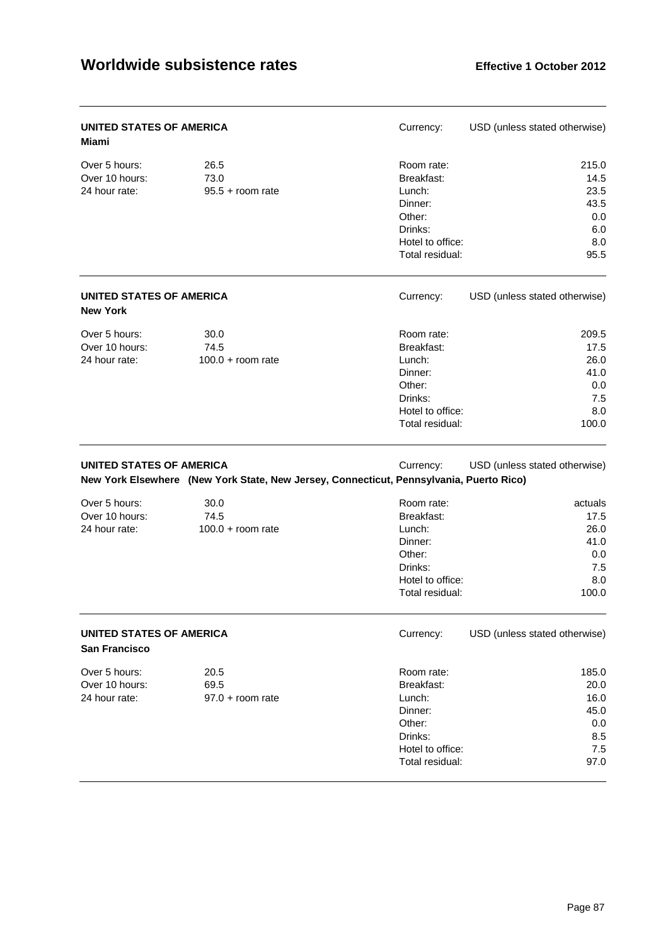| <b>UNITED STATES OF AMERICA</b><br><b>Miami</b>  |                                                                                         | Currency:                                                                                                 | USD (unless stated otherwise)                                 |
|--------------------------------------------------|-----------------------------------------------------------------------------------------|-----------------------------------------------------------------------------------------------------------|---------------------------------------------------------------|
| Over 5 hours:<br>Over 10 hours:<br>24 hour rate: | 26.5<br>73.0<br>$95.5 + room$ rate                                                      | Room rate:<br>Breakfast:<br>Lunch:<br>Dinner:<br>Other:<br>Drinks:<br>Hotel to office:<br>Total residual: | 215.0<br>14.5<br>23.5<br>43.5<br>0.0<br>6.0<br>8.0<br>95.5    |
| UNITED STATES OF AMERICA<br><b>New York</b>      |                                                                                         | Currency:                                                                                                 | USD (unless stated otherwise)                                 |
| Over 5 hours:<br>Over 10 hours:<br>24 hour rate: | 30.0<br>74.5<br>$100.0 +$ room rate                                                     | Room rate:<br>Breakfast:<br>Lunch:<br>Dinner:<br>Other:<br>Drinks:<br>Hotel to office:<br>Total residual: | 209.5<br>17.5<br>26.0<br>41.0<br>0.0<br>7.5<br>8.0<br>100.0   |
| <b>UNITED STATES OF AMERICA</b>                  | New York Elsewhere (New York State, New Jersey, Connecticut, Pennsylvania, Puerto Rico) | Currency:                                                                                                 | USD (unless stated otherwise)                                 |
| Over 5 hours:<br>Over 10 hours:<br>24 hour rate: | 30.0<br>74.5<br>$100.0 + room$ rate                                                     | Room rate:<br>Breakfast:<br>Lunch:<br>Dinner:<br>Other:<br>Drinks:<br>Hotel to office:<br>Total residual: | actuals<br>17.5<br>26.0<br>41.0<br>0.0<br>7.5<br>8.0<br>100.0 |
| UNITED STATES OF AMERICA<br>San Francisco        |                                                                                         | Currency:                                                                                                 | USD (unless stated otherwise)                                 |
| Over 5 hours:<br>Over 10 hours:<br>24 hour rate: | 20.5<br>69.5<br>$97.0 + room rate$                                                      | Room rate:<br>Breakfast:<br>Lunch:<br>Dinner:<br>Other:<br>Drinks:<br>Hotel to office:<br>Total residual: | 185.0<br>20.0<br>16.0<br>45.0<br>0.0<br>8.5<br>7.5<br>97.0    |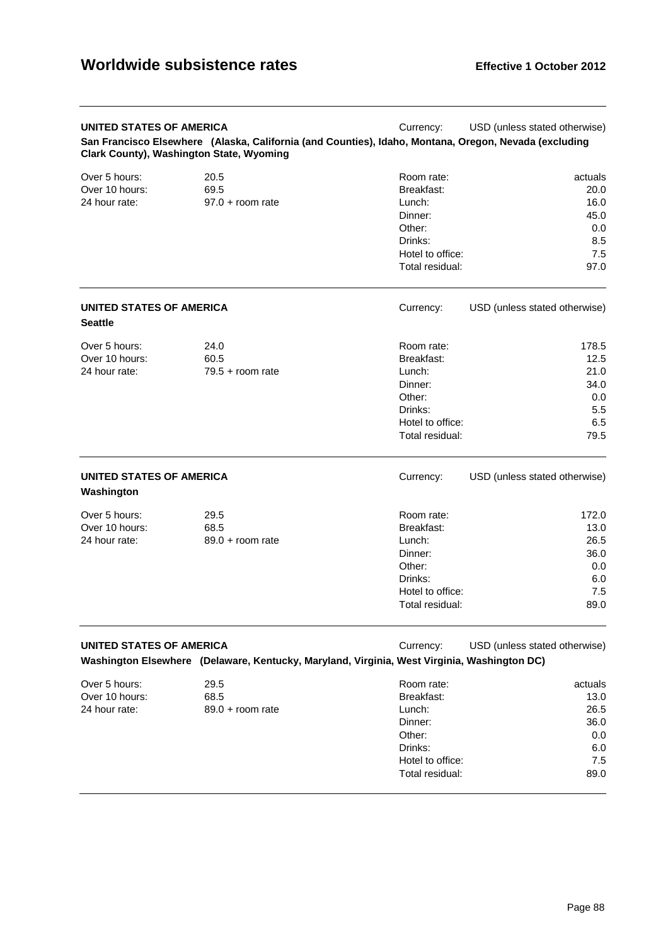| UNITED STATES OF AMERICA<br><b>Clark County), Washington State, Wyoming</b> | San Francisco Elsewhere (Alaska, California (and Counties), Idaho, Montana, Oregon, Nevada (excluding | Currency:                                                                                                 | USD (unless stated otherwise)                                |
|-----------------------------------------------------------------------------|-------------------------------------------------------------------------------------------------------|-----------------------------------------------------------------------------------------------------------|--------------------------------------------------------------|
| Over 5 hours:<br>Over 10 hours:<br>24 hour rate:                            | 20.5<br>69.5<br>$97.0 + room$ rate                                                                    | Room rate:<br>Breakfast:<br>Lunch:<br>Dinner:<br>Other:<br>Drinks:<br>Hotel to office:<br>Total residual: | actuals<br>20.0<br>16.0<br>45.0<br>0.0<br>8.5<br>7.5<br>97.0 |
| <b>UNITED STATES OF AMERICA</b><br><b>Seattle</b>                           |                                                                                                       | Currency:                                                                                                 | USD (unless stated otherwise)                                |
| Over 5 hours:<br>Over 10 hours:<br>24 hour rate:                            | 24.0<br>60.5<br>$79.5 +$ room rate                                                                    | Room rate:<br>Breakfast:<br>Lunch:<br>Dinner:<br>Other:<br>Drinks:<br>Hotel to office:<br>Total residual: | 178.5<br>12.5<br>21.0<br>34.0<br>0.0<br>5.5<br>6.5<br>79.5   |
| UNITED STATES OF AMERICA<br>Washington                                      |                                                                                                       | Currency:                                                                                                 | USD (unless stated otherwise)                                |
| Over 5 hours:<br>Over 10 hours:<br>24 hour rate:                            | 29.5<br>68.5<br>$89.0 +$ room rate                                                                    | Room rate:<br>Breakfast:<br>Lunch:<br>Dinner:<br>Other:<br>Drinks:<br>Hotel to office:<br>Total residual: | 172.0<br>13.0<br>26.5<br>36.0<br>0.0<br>6.0<br>7.5<br>89.0   |
| <b>UNITED STATES OF AMERICA</b>                                             | Washington Elsewhere (Delaware, Kentucky, Maryland, Virginia, West Virginia, Washington DC)           | Currency:                                                                                                 | USD (unless stated otherwise)                                |
| Over 5 hours:<br>Over 10 hours:<br>24 hour rate:                            | 29.5<br>68.5<br>$89.0 + room$ rate                                                                    | Room rate:<br>Breakfast:<br>Lunch:<br>Dinner:<br>Other:<br>Drinks:<br>Hotel to office:<br>Total residual: | actuals<br>13.0<br>26.5<br>36.0<br>0.0<br>6.0<br>7.5<br>89.0 |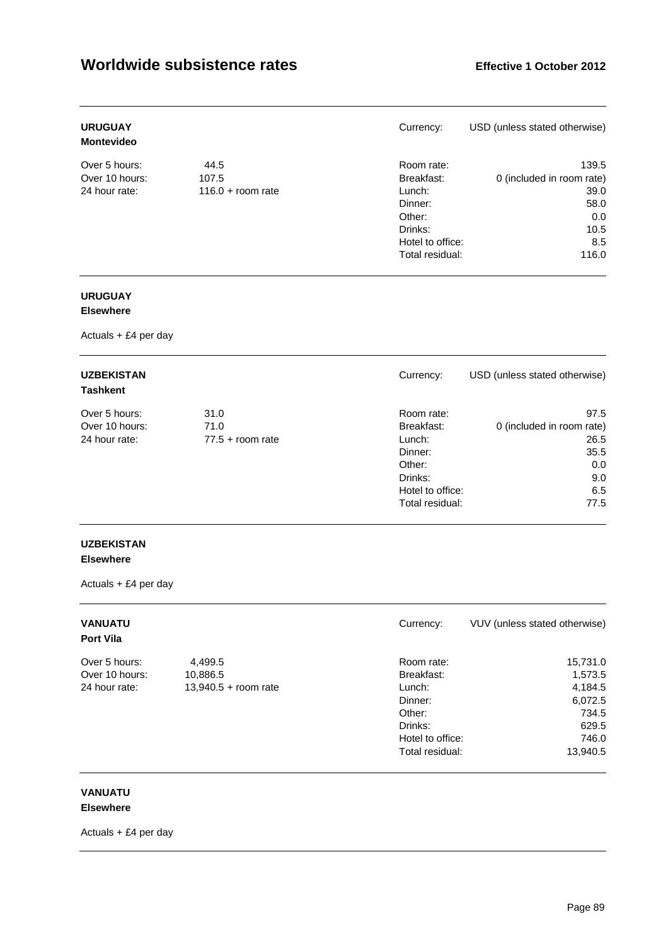| <b>URUGUAY</b><br><b>Montevideo</b> |                     | Currency:        | USD (unless stated otherwise) |
|-------------------------------------|---------------------|------------------|-------------------------------|
| Over 5 hours:                       | 44.5                | Room rate:       | 139.5                         |
| Over 10 hours:                      | 107.5               | Breakfast:       | 0 (included in room rate)     |
| 24 hour rate:                       | $116.0 + room rate$ | Lunch:           | 39.0                          |
|                                     |                     | Dinner:          | 58.0                          |
|                                     |                     | Other:           | 0.0                           |
|                                     |                     | Drinks:          | 10.5                          |
|                                     |                     | Hotel to office: | 8.5                           |
|                                     |                     | Total residual:  | 116.0                         |

### **URUGUAY**

#### **Elsewhere**

Actuals + £4 per day

| <b>UZBEKISTAN</b><br><b>Tashkent</b> |                    | Currency:        | USD (unless stated otherwise) |
|--------------------------------------|--------------------|------------------|-------------------------------|
| Over 5 hours:                        | 31.0               | Room rate:       | 97.5                          |
| Over 10 hours:                       | 71.0               | Breakfast:       | 0 (included in room rate)     |
| 24 hour rate:                        | $77.5 +$ room rate | Lunch:           | 26.5                          |
|                                      |                    | Dinner:          | 35.5                          |
|                                      |                    | Other:           | 0.0                           |
|                                      |                    | Drinks:          | 9.0                           |
|                                      |                    | Hotel to office: | 6.5                           |
|                                      |                    | Total residual:  | 77.5                          |

#### **UZBEKISTAN Elsewhere**

Actuals + £4 per day

| <b>VANUATU</b><br><b>Port Vila</b> |                        | Currency:        | VUV (unless stated otherwise) |
|------------------------------------|------------------------|------------------|-------------------------------|
| Over 5 hours:                      | 4,499.5                | Room rate:       | 15,731.0                      |
| Over 10 hours:                     | 10,886.5               | Breakfast:       | 1,573.5                       |
| 24 hour rate:                      | $13,940.5 +$ room rate | Lunch:           | 4,184.5                       |
|                                    |                        | Dinner:          | 6,072.5                       |
|                                    |                        | Other:           | 734.5                         |
|                                    |                        | Drinks:          | 629.5                         |
|                                    |                        | Hotel to office: | 746.0                         |
|                                    |                        | Total residual:  | 13,940.5                      |

#### **VANUATU Elsewhere**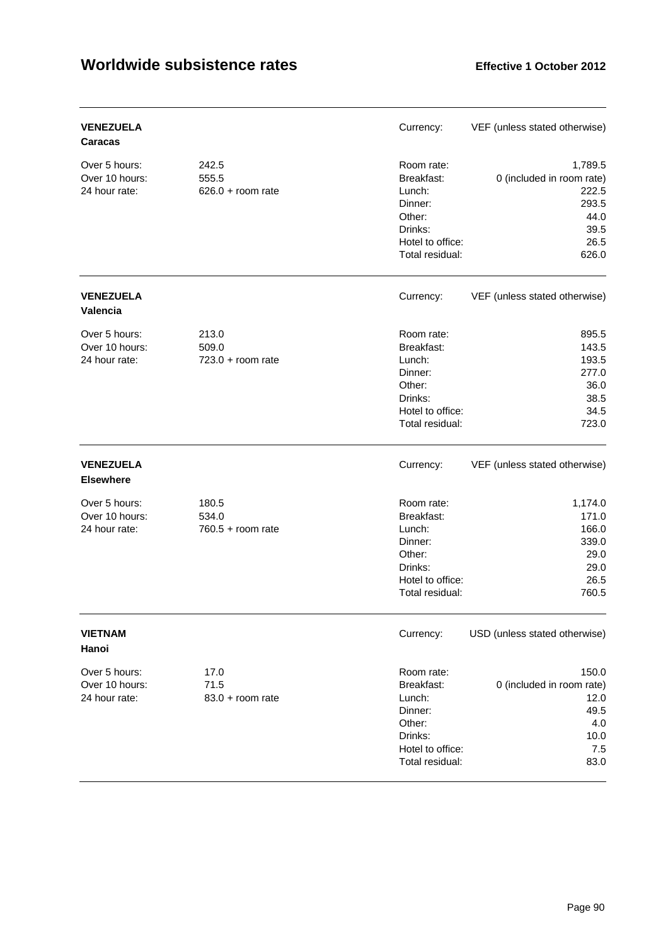| <b>VENEZUELA</b><br>Caracas                      |                                       | Currency:                                                                                                 | VEF (unless stated otherwise)                                                           |
|--------------------------------------------------|---------------------------------------|-----------------------------------------------------------------------------------------------------------|-----------------------------------------------------------------------------------------|
| Over 5 hours:<br>Over 10 hours:<br>24 hour rate: | 242.5<br>555.5<br>$626.0 + room rate$ | Room rate:<br>Breakfast:<br>Lunch:<br>Dinner:<br>Other:<br>Drinks:<br>Hotel to office:<br>Total residual: | 1,789.5<br>0 (included in room rate)<br>222.5<br>293.5<br>44.0<br>39.5<br>26.5<br>626.0 |
| <b>VENEZUELA</b><br>Valencia                     |                                       | Currency:                                                                                                 | VEF (unless stated otherwise)                                                           |
| Over 5 hours:<br>Over 10 hours:<br>24 hour rate: | 213.0<br>509.0<br>$723.0 + room rate$ | Room rate:<br>Breakfast:<br>Lunch:<br>Dinner:<br>Other:<br>Drinks:<br>Hotel to office:<br>Total residual: | 895.5<br>143.5<br>193.5<br>277.0<br>36.0<br>38.5<br>34.5<br>723.0                       |
| <b>VENEZUELA</b><br><b>Elsewhere</b>             |                                       | Currency:                                                                                                 | VEF (unless stated otherwise)                                                           |
| Over 5 hours:<br>Over 10 hours:<br>24 hour rate: | 180.5<br>534.0<br>$760.5 +$ room rate | Room rate:<br>Breakfast:<br>Lunch:<br>Dinner:<br>Other:<br>Drinks:<br>Hotel to office:<br>Total residual: | 1,174.0<br>171.0<br>166.0<br>339.0<br>29.0<br>29.0<br>26.5<br>760.5                     |
| <b>VIETNAM</b><br>Hanoi                          |                                       | Currency:                                                                                                 | USD (unless stated otherwise)                                                           |
| Over 5 hours:<br>Over 10 hours:<br>24 hour rate: | 17.0<br>71.5<br>$83.0 + room rate$    | Room rate:<br>Breakfast:<br>Lunch:<br>Dinner:<br>Other:<br>Drinks:<br>Hotel to office:<br>Total residual: | 150.0<br>0 (included in room rate)<br>12.0<br>49.5<br>4.0<br>10.0<br>7.5<br>83.0        |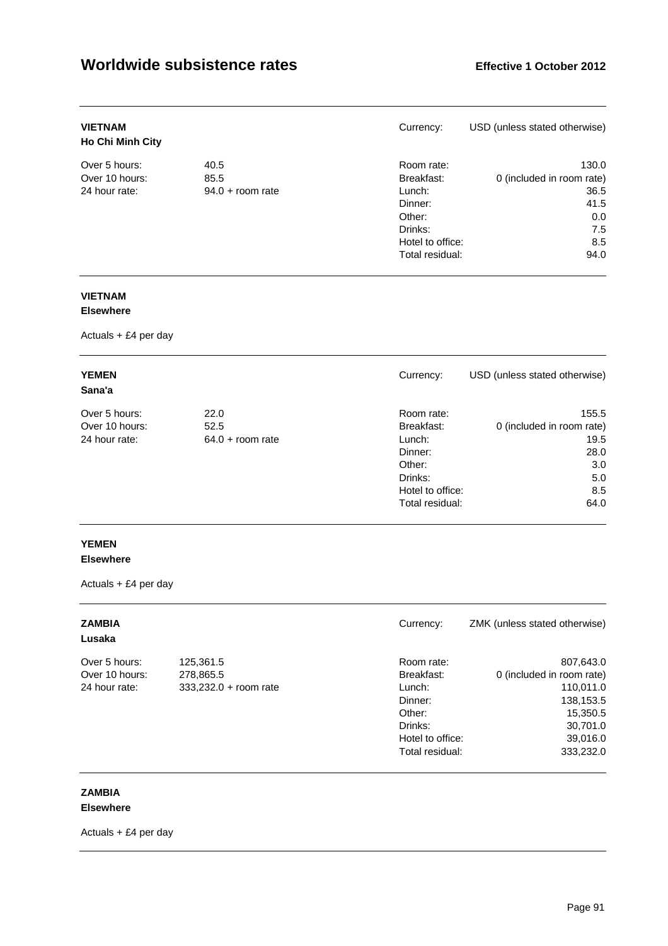| <b>VIETNAM</b><br><b>Ho Chi Minh City</b> |                    | Currency:        | USD (unless stated otherwise) |
|-------------------------------------------|--------------------|------------------|-------------------------------|
| Over 5 hours:                             | 40.5               | Room rate:       | 130.0                         |
| Over 10 hours:                            | 85.5               | Breakfast:       | 0 (included in room rate)     |
| 24 hour rate:                             | $94.0 +$ room rate | Lunch:           | 36.5                          |
|                                           |                    | Dinner:          | 41.5                          |
|                                           |                    | Other:           | 0.0                           |
|                                           |                    | Drinks:          | 7.5                           |
|                                           |                    | Hotel to office: | 8.5                           |
|                                           |                    | Total residual:  | 94.0                          |

### **VIETNAM**

#### **Elsewhere**

Actuals + £4 per day

| <b>YEMEN</b><br>Sana'a |                    | Currency:        | USD (unless stated otherwise) |
|------------------------|--------------------|------------------|-------------------------------|
| Over 5 hours:          | 22.0               | Room rate:       | 155.5                         |
| Over 10 hours:         | 52.5               | Breakfast:       | 0 (included in room rate)     |
| 24 hour rate:          | $64.0 + room$ rate | Lunch:           | 19.5                          |
|                        |                    | Dinner:          | 28.0                          |
|                        |                    | Other:           | 3.0                           |
|                        |                    | Drinks:          | 5.0                           |
|                        |                    | Hotel to office: | 8.5                           |
|                        |                    | Total residual:  | 64.0                          |

### **YEMEN**

#### **Elsewhere**

Actuals + £4 per day

| <b>ZAMBIA</b><br>Lusaka |                         | Currency:        | ZMK (unless stated otherwise) |
|-------------------------|-------------------------|------------------|-------------------------------|
| Over 5 hours:           | 125,361.5               | Room rate:       | 807,643.0                     |
| Over 10 hours:          | 278,865.5               | Breakfast:       | 0 (included in room rate)     |
| 24 hour rate:           | $333,232.0 + room rate$ | Lunch:           | 110,011.0                     |
|                         |                         | Dinner:          | 138,153.5                     |
|                         |                         | Other:           | 15,350.5                      |
|                         |                         | Drinks:          | 30,701.0                      |
|                         |                         | Hotel to office: | 39,016.0                      |
|                         |                         | Total residual:  | 333,232.0                     |

### **ZAMBIA**

### **Elsewhere**